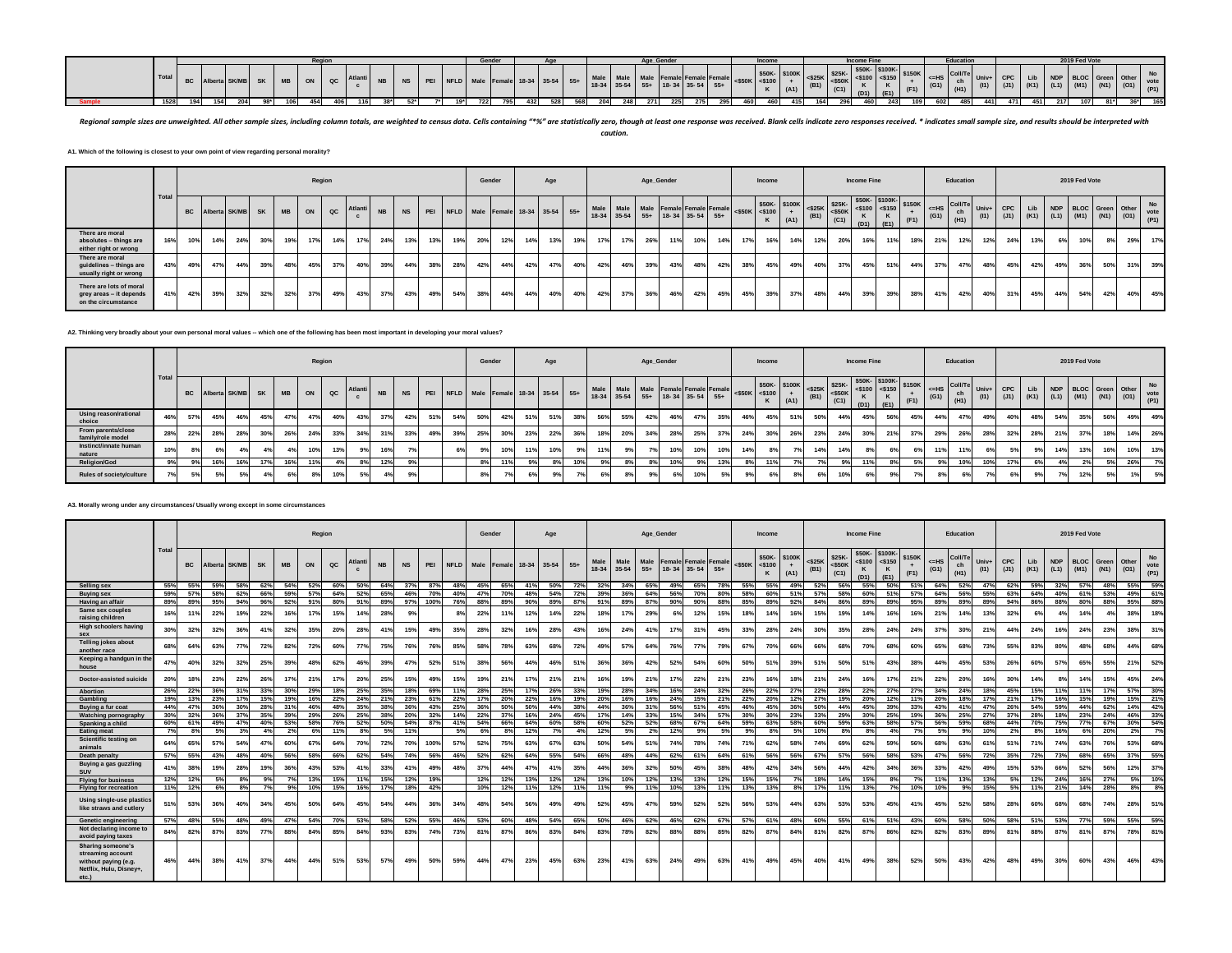|  |       |     |            |     |  | ----      |              |  |  | Gender |  |                                |     |             |      | asa Condor<br>Age_Genae |                   |        | Income                |         |  | <b>Income Fine</b> |     |     | Educatio |  |     | 2019 Fed Vote |      |     |
|--|-------|-----|------------|-----|--|-----------|--------------|--|--|--------|--|--------------------------------|-----|-------------|------|-------------------------|-------------------|--------|-----------------------|---------|--|--------------------|-----|-----|----------|--|-----|---------------|------|-----|
|  | Tota. |     |            |     |  | <b>OM</b> | $A + I$<br>. |  |  |        |  | LD Male Female 18-34 35-54 55+ |     | 18-34 35-54 |      |                         | 18-34 35-54       | $55 -$ | \$50K<br>$K \sim 100$ | $-400K$ |  |                    |     |     |          |  |     |               |      |     |
|  | 1528  | 154 | <b>204</b> | 204 |  |           |              |  |  |        |  |                                | ceo | 204         | 2711 |                         | <b>275</b><br>215 |        |                       |         |  |                    | 243 | 60. | 485      |  | 217 |               | 0.01 | 165 |

Regional sample sizes are unweighted. All other sample sizes, including column totals, are weighted to census data. Cells containing "\*%" are statistically zero, though at least one response was received. Blank cells indic *caution.*

**A1. Which of the following is closest to your own point of view regarding personal morality?**

|                                                                           |      |           |                  |     |     |           |     | Region |         |           |           |     |     | Gender |     |     | Age |                                      |                                                                                      |     | Age_Gender |     |     |     | Income |      |      |      | <b>Income Fine</b> |     |      |     | Education                                                                     |               |                                      |     |     | 2019 Fed Vote |     |                      |                    |
|---------------------------------------------------------------------------|------|-----------|------------------|-----|-----|-----------|-----|--------|---------|-----------|-----------|-----|-----|--------|-----|-----|-----|--------------------------------------|--------------------------------------------------------------------------------------|-----|------------|-----|-----|-----|--------|------|------|------|--------------------|-----|------|-----|-------------------------------------------------------------------------------|---------------|--------------------------------------|-----|-----|---------------|-----|----------------------|--------------------|
|                                                                           | Tota | <b>BC</b> | Alberta SK/MB SK |     |     | <b>MB</b> | ON  | QC     | Atlanti | <b>NB</b> | <b>NS</b> |     |     |        |     |     |     | PEI NFLD Male Female 18-34 35-54 55+ | Male Male Male Female Female Female <\$50K <\$100<br>18-34 35-54 55+ 18-34 35-54 55+ |     |            |     |     |     |        | (A1) | (B1) | (C1) | $(D1)$ $(E1)$      | ĸ   | (F1) |     | $ \left $ <=HS Coll/Te<br>ch<br>(G1) $\begin{bmatrix} cn \\ H1 \end{bmatrix}$ | Univ+<br>(11) | CPC<br>(J1) (K1) (L1) (M1) (N1) (O1) | Lib |     |               |     | NDP BLOC Green Other | No<br>vote<br>(P1) |
| There are moral<br>absolutes - things are<br>either right or wrong        | 16%  | 10%       | 14%              | 24% | 30% | 19%       | 17% | 14%    | 17%     | 24%       | 13%       | 13% | 19% | 20%    | 12% | 14% | 13% | 19%                                  | 17%<br>17%                                                                           | 26% | 11%        | 10% | 14% | 17% | 16%    | 14%  | 12%  | 20%  | 16%                | 11% | 18%  | 21% | 12%                                                                           | 12%           | 24%                                  | 13% | 6%  | 10%           | 8%  | 29%                  | 17%                |
| There are moral<br>guidelines - things are<br>usually right or wrong      | 43%  | 49%       | 47%              | 44% | 39% | 48%       | 45% | 37%    | 40%     | 39%       | 44%       | 38% | 28% | 42%    | 44% | 42% | 47% | 40%                                  | 42%<br>46%                                                                           | 39% | 43%        | 48% | 42% | 38% | 45%    | 49%  | 40%  | 37%  | 45%                | 51% | 44%  | 37% | 47%                                                                           | 48%           | 45%                                  | 42% | 49% | 36%           | 50% | 31%                  | 39%                |
| There are lots of moral<br>grey areas - it depends<br>on the circumstance | 41%  | 42%       | 39%              | 32% | 32% | 32%       | 37% | 49%    | 43%     | 37%       | 43%       | 49% | 54% | 38%    | 44% | 44% | 40% | 40%                                  | 42%<br>37%                                                                           | 36% | 46%        | 42% | 45% | 45% | 39%    | 37%  | 48%  | 44%  | 39%                | 39% | 38%  | 41% | 42%                                                                           | 40%           | 31%                                  | 45% | 44% | 54%           | 42% | 40%                  | 45%                |

**A2. Thinking very broadly about your own personal moral values -- which one of the following has been most important in developing your moral values?**

|                                         |       |     |     |                            |     |                 |     | Region |     |           |           |     |             | Gender                               |     | Age            |     |     |     |     | Age_Gender |                                                                        |     |     | Income              |      |      |      | Income Fine |      |      |                                                                                                                                          | Education  |      |            |     |     | 2019 Fed Vote |     |                                                                                                                  |     |
|-----------------------------------------|-------|-----|-----|----------------------------|-----|-----------------|-----|--------|-----|-----------|-----------|-----|-------------|--------------------------------------|-----|----------------|-----|-----|-----|-----|------------|------------------------------------------------------------------------|-----|-----|---------------------|------|------|------|-------------|------|------|------------------------------------------------------------------------------------------------------------------------------------------|------------|------|------------|-----|-----|---------------|-----|------------------------------------------------------------------------------------------------------------------|-----|
|                                         | Total |     |     | <b>BC</b> Alberta SK/MB SK |     | MB <sup>1</sup> |     | ON QC  |     | <b>NB</b> | <b>NS</b> |     |             | PEI NFLD Male Female 18-34 35-54 55+ |     |                |     |     |     |     |            | Male Male Male Female Female Female<br>18-34 35-54 55+ 18-34 35-54 55+ |     |     | $<$ \$50K $<$ \$100 | (A1) | (B1) | (C1) | (D1)        | (E1) | (F1) | $\left  \begin{array}{c} \n\end{array} \right $ $\leq$ HS $\left  \begin{array}{c} \n\end{array} \right $ Coll/Te Univ+<br>$(G1)$ $(H1)$ | ch         | (11) | <b>CPC</b> |     |     |               |     | Lib NDP BLOC Green Other<br>$\begin{bmatrix} 10 & 10 \\ 0 & 10 \end{bmatrix}$ (K1) (K1) (M1) (M1) (M1) (C1) (C1) |     |
| Using reason/rational<br>choice         | 46%   | 57% | 45% | 46%                        | 45% | 47%             | 47% | 40%    | 43% | 37%       | 42%       | 51% |             | 42%                                  | 51% | 51%            | 38% | 56% | 55% | 42% | 46%        | 47%                                                                    |     | 46% | 45%                 | 51%  | 50%  | 44%  | 45%         | 56%  | 45%  | 44%                                                                                                                                      | 47%        | 49%  |            | 48% | 54% | 35%           | 56% | 49%                                                                                                              | 49% |
| From parents/close<br>family/role model | 28%   | 22% | 28% | 28%                        | 30% | 26%             | 24% | 33%    | 34% | 31%       | 33%       | 49% | <b>25%</b>  | 30%                                  | 23% | 22%            | 36% | 18% | 20% | 34% | 28%        | 25%                                                                    | 37% | 24% | 30%                 | 26%  | 23%  | 24%  | 30%         | 21%  | 37%  | 29%                                                                                                                                      | <b>26%</b> |      |            | 28% | 21% | 37%           | 18% | 14%                                                                                                              | 26% |
| Instinct/innate human<br>nature         | 10%   |     |     |                            |     |                 | 10% | 13%    |     | 16%       |           |     |             | 10%                                  |     | 10%            | 9%  | 11% |     |     | 10%        | 10%                                                                    | 10% | 14% | 8%                  |      | 14%  | 14%  |             |      |      |                                                                                                                                          |            |      |            |     |     | 13%           | 16% | 10%                                                                                                              | 13% |
| <b>Religion/God</b>                     | 9%    | 9%  | 16% | 16%                        | 17% | 16%             | 11% |        |     | 12%       | 9%        |     | $8^{\circ}$ |                                      |     | 8%             | 10% | 9%  |     |     | 10%        | $Q^{\alpha}$                                                           | 13% |     | 11%                 |      |      |      | 440         |      |      | 9%                                                                                                                                       | 10%        |      |            | 6%  | 4%  |               | 5%  | 26%                                                                                                              | 7%  |
| Rules of society/culture                |       | 5%  |     |                            |     |                 | 8%  | 10%    |     | 49        | 9%        |     |             | 7%                                   |     | 0 <sup>0</sup> | 7%  | 6%  |     |     |            | 10%                                                                    |     |     | 6%                  |      |      | 10%  |             |      |      |                                                                                                                                          | 6%         |      |            | 9%  |     | 12%           | 5%  |                                                                                                                  | 5%  |

#### **A3. Morally wrong under any circumstances/ Usually wrong except in some circumstances**

|                                                                                                           |       |         |         |       |           |           |     | Region      |         |           |            |      |             | Gender |        |       | Age   |       |               |                   |               | Age_Gender |                                                |         |           | Income                         |             |                   |                             | <b>Income Fine</b>                                         |      |                |                 | Education             |               |              |             |                    | 2019 Fed Vote                                  |     |               |                           |
|-----------------------------------------------------------------------------------------------------------|-------|---------|---------|-------|-----------|-----------|-----|-------------|---------|-----------|------------|------|-------------|--------|--------|-------|-------|-------|---------------|-------------------|---------------|------------|------------------------------------------------|---------|-----------|--------------------------------|-------------|-------------------|-----------------------------|------------------------------------------------------------|------|----------------|-----------------|-----------------------|---------------|--------------|-------------|--------------------|------------------------------------------------|-----|---------------|---------------------------|
|                                                                                                           | Total | BC.     | Alberta | SK/MB | <b>SK</b> | <b>MB</b> | ON  | $_{\rm QC}$ | Atlanti | <b>NB</b> | <b>NS</b>  | PEI  | <b>NFLD</b> | Male   | Female | 18-34 | 35-54 | $55+$ | Male<br>18-34 | Male<br>$35 - 54$ | Male<br>$55+$ |            | <b>Female Female Female</b><br>18-34 35-54 55+ |         | $<$ \$50K | \$50K-\$100K<br>$<$ \$100<br>K | $+$<br>(A1) | $<$ \$25K<br>(B1) | \$25K-<br>$<$ \$50K<br>(C1) | \$50K- \$100K-<br>$<$ \$100 <\$150<br>$\mathbf{K}$<br>(D1) | (E1) | \$150K<br>(F1) | $=$ HS<br>(G1)  | Coll/Te<br>ch<br>(H1) | Univ+<br>(11) | CPC.<br>(J1) | Lib<br>(K1) | <b>NDP</b><br>(L1) | <b>BLOC</b> Green<br>$\vert$ (M1) $\vert$ (N1) |     | Other<br>(01) | <b>No</b><br>vote<br>(P1) |
| Selling sex                                                                                               | 55%   | 55%     | 59%     | 58%   | 62%       | 54%       | 52% | 60%         | 50%     | 64%       | 37%        | 87%  | 48%         | 45%    | 65%    | 41%   | 50%   | 72%   | 32%           | 34%               | 65%           | 49%        | 65%                                            | 78%     | 55%       | 55%                            | 49%         | 52%               | 56%                         | 55%                                                        | 50%  | 51%            | 64%             | 52%                   | 47%           | 62%          | 59%         | 32%                | 57%                                            | 48% | 55%           | 59%                       |
| <b>Buying sex</b>                                                                                         | 59%   | 57%     | 58%     | 62%   | 66%       | 59%       | 57% | 64%         | 52%     | 65%       | 46%        | 70%  | 40%         | 47%    | 70%    | 48%   | 54%   | 72%   | 39%           | 36%               | 64%           | 56%        | 70%                                            | 80%     | 58%       | 60%                            | 51          | 57%               | 58%                         | 60%                                                        | 51%  | 57%            | 64%             | 56%                   | 55%           | 63%          | 64%         | 40%                | 61%                                            | 53% | 49%           | 61%                       |
| Having an affair                                                                                          | 89%   | 89%     | 95%     | 94%   | 96%       | 92%       | 91% | 80%         | 91%     | 89%       | 97%        | 100% | 76%         | 88%    | 89%    | 90%   | 89%   | 87%   | 91%           | 89%               | 87%           | 90%        | 90%                                            | 88%     | 85%       | 89%                            | 92%         | 84%               | 86%                         | 89%                                                        | 89%  | 95%            | 89%             | 89%                   | 89%           | 94%          | 86%         | 88%                | 80%                                            | 88% | 95%           | 88%                       |
| Same sex couples<br>raising children                                                                      | 16%   |         | 22%     | 19%   | 22%       | 16%       | 17% | 15%         | 14%     | 28%       |            |      |             | 22%    | 11%    | 12%   | 14%   | 22%   | 18%           | 17%               | 29%           |            | 12%                                            | 15%     | 18%       | 14%                            | 16%         | 15%               | 19%                         | 14%                                                        | 16%  | 16%            | 21%             | 14%                   | 13%           | 32%          | 63          |                    | 14%                                            |     | 38%           | 18%                       |
| High schoolers having<br>SAX                                                                              | 30%   | 32%     | 32%     | 36%   | 41%       | 32%       | 35% | 20%         | 28%     | 41%       | 15%        | 49%  | 35%         | 28%    | 32%    | 16%   | 28%   | 43%   | 16%           | 24%               | 41%           | 17%        | 31%                                            | 45%     | 33%       | 28%                            | 24%         | 30%               | 35%                         | <b>28%</b>                                                 | 24%  | 24%            | 37 <sup>%</sup> | 30%                   | 21%           | 44%          | 24%         | 16%                | 24%                                            | 23% | 38%           | 31%                       |
| <b>Telling jokes about</b><br>another race                                                                | 68%   | 64%     | 63%     | 77%   | 72%       | 82%       | 72% | 60%         | 77%     | 75%       | 76%        | 76%  | 85%         | 58%    | 78%    | 63%   | 68%   | 72%   | 49%           | 57%               | 64%           | 76%        | 77%                                            | 79%     | 67%       | 70%                            | 66%         | 66%               | 68%                         | 70%                                                        | 68%  | 60%            | 65%             | 68%                   | 73%           | 55%          | 83%         | 80%                | 48%                                            | 68% | 44%           | 68%                       |
| Keeping a handgun in the                                                                                  | 47%   | 40%     | 32%     | 32%   | 25%       | 39%       | 48% | 62%         | 46%     | 39%       | 47%        | 52%  | 51%         | 38%    | 56%    | 44%   | 46%   | 51%   | 36%           | 36%               | 42%           | 52%        | 54%                                            | 60%     | 50%       | 51%                            | 39%         | 51%               | 50%                         | 51%                                                        | 43%  | 38%            | 44%             | 45%                   | 53%           | 26%          | 60%         | 57%                | 65%                                            | 55% | 21%           | 52%                       |
| house<br>Doctor-assisted suicide                                                                          | 20%   | 18%     | 23%     | 22%   | 26%       | 17%       | 21% | 17%         | 20%     | 25%       | 15%        | 49%  |             | 19%    | 21%    | 17%   | 21%   | 21%   | 16%           | 19%               | 21%           | 17%        | 22%                                            | 21%     | 23%       | 16%                            | 18%         | 21%               | 24%                         | 16%                                                        | 17%  | 21%            | 22%             | 20%                   | 16%           | 30%          | 14%         |                    | 14%                                            | 15% | 45%           | 24%                       |
| <b>Abortion</b>                                                                                           | 26%   | 22%     | 36%     | 31%   | 33%       | 30%       | 29% | 18%         | 25%     | 35%       | 18%        | 69%  |             | 28%    | 25%    |       | 26%   | 33%   | 19%           | 28%               | 34%           | 16%        | 24%                                            | 32%     | 26%       | 22%                            | 27%         | 22%               | 28%                         | 22%                                                        | 27%  | 27%            | 34%             | 24%                   |               | 45%          | 15%         |                    | 11%                                            | 17% | 57%           | 30%                       |
| Gambling                                                                                                  | 19%   | 13%     | 23%     | 17%   | 15%       | 19%       | 16% | 22%         | 24%     | 21%       | 23%        | 61%  | 22%         | 17%    | 20%    | 22%   | 16%   | 19%   | 20%           | 16%               | 16%           | 24%        | 15%                                            | 21%     | 22%       | 20%                            | 12%         | 27%               | 19%                         | 20%                                                        | 12%  | 11%            | 20%             | 18%                   | 17%           | 21%          | 17%         | 16%                | 15%                                            | 19% | 15%           | 21%                       |
| Buying a fur coat                                                                                         | 44%   | 47%     | 36%     | 30%   | 28%       | 31%       | 46% | 48%         | 35%     | 38%       | 36%        | 43%  | 25%         | 36%    | 50%    | 50%   | 44%   | 38%   | 44%           | 36%               | 31%           | 56%        | 51%                                            | 45%     | 46%       | 45%                            | 36%         | 50%               | 44%                         | 45%                                                        | 39%  | 33%            | 43%             | 41%                   | 47%           | 26%          | 54%         | 59%                | 44%                                            | 62% | 14%           | 42%                       |
| <b>Watching pornography</b>                                                                               | 30%   | 32%     | 36%     | 37%   | 35%       | 39%       | 29% | 26%         | 25%     | 38%       | 20%        | 32%  |             | 22%    | 37%    | 16%   | 24%   | 45%   | 17%           | 14%               | 33%           | 15%        | 34%                                            | 57%     | 30%       | 30%                            | 23%         | 33%               | 29%                         | 30%                                                        | 25%  | 19%            | 36%             | 25%                   | 27%           | 37%          | 28%         | 18%                | 23%                                            | 24% | 46%           | 33%                       |
| Spanking a child                                                                                          | 60%   | 61%     | 49%     | 47%   | 40%       | 53%       | 58% | 76%         | 52%     | 50%       | 54%        | 87%  | 41%         | 54%    | 66%    | 64%   | 60%   | 58%   | 60%           | 52%               | 52%           | 68%        | 67%                                            | 64%     | 59%       | 63%                            | 58%         | 60%               | 59%                         | 63%                                                        | 58%  | 57%            | 56%             | 59%                   | 68%           | 44%          | 70%         | 75%                | 77%                                            | 67% | 30%           | 54%                       |
| <b>Eating meat</b>                                                                                        | 7%    | 8%      | 5%      | 3%    | 4%        | 2%        | 6%  | 11%         | 8%      | 5%        | 11%        |      | 5%          | 6%     | 8%     | 12%   | 7%    | 4%    | 12%           | 5%                | 2%            | 12%        | 9%                                             | 5%      | 9%        | 8%                             | 5%          | 10%               | 8%                          | 8%                                                         | 4%   | 7%             | 5%              | 9%                    | 10%           | 2%           | 8%          | 16%                | 6%                                             | 20% | 2%            | 7%                        |
| Scientific testing on<br>animals                                                                          | 64%   | 65%     | 57%     | 54%   | 47%       | 60%       | 67% | 64%         | 70%     | 72%       | <b>70%</b> | 100% | 57%         | 52%    | 75%    | 63%   | 67%   | 63%   | 50%           | 54%               | 51%           | 74%        | 78%                                            | 74%     | 71%       | 62%                            | 58%         | 74%               | 69%                         | 62%                                                        | 59%  | 56%            | 68%             | 63%                   | 61%           | 51%          | 719         | 74%                | 63%                                            | 76% | 53%           | 68%                       |
| Death penalty                                                                                             | 57%   | 55%     | 43%     | 48%   | 40%       | 56%       | 58% | 66%         | 62%     | 54%       | 74%        | 56%  | 46%         | 52%    | 62%    | 64%   | 55%   | 54%   | 66%           | 48%               | 44%           | 62%        | 61%                                            | 64%     | 61%       | 56%                            | 56%         | 67%               | 57%                         | 56%                                                        | 58%  | 53%            | 47%             | 56%                   | 72%           | 35%          | 72%         | 73%                | 68%                                            | 65% | 37%           | 55%                       |
| Buying a gas guzzling<br><b>SUV</b>                                                                       | 41%   | 38%     | 19%     | 28%   | 19%       | 36%       | 43% | 53%         | 41%     | 33%       | 41%        | 49%  | 48%         | 37%    | 44%    | 47%   | 41%   | 35%   | 44%           | 36%               | 32%           | 50%        | 45%                                            | 38%     | 48%       | 42%                            | 34%         | 56%               | 44%                         | 42%                                                        | 34%  | 36%            | 33%             | 42%                   | 49%           | 15%          | 53%         | 66%                | 52%                                            | 56% | 12%           | 37%                       |
| <b>Flying for business</b>                                                                                |       | 12% 12% | 5%      | 8%    | 9%        | 7%        | 13% | 15%         | 11%     | 15%       | 12%        | 19%  |             | 12%    | 12%    | 13%   | 12%   | 12%   | 13%           | 10%               | 12%           | 13%        |                                                | 13% 12% | 15%       | 15%                            | 7%          | 18%               | 14%                         | 15%                                                        | 8%   | 7%             | 11%             | 13%                   | 13%           | 5%           | 12%         | 24%                | 16%                                            | 27% | 5%            | 10%                       |
| <b>Flying for recreation</b>                                                                              | 11%   | 12%     | 6%      | 8%    | 7%        | 9%        | 10% | 15%         | 16%     | 17%       | 18%        | 42%  |             | 10%    | 12%    | 11%   | 12%   | 11%   | 11%           | 9%                | 11%           | 10%        | 13%                                            | 11%     | 13%       | 13%                            | 8%          | 17%               | 11%                         | 13%                                                        | 7%   | 10%            | 10%             | 9%                    | 15%           | 5%           | 11%         | 21%                | 14%                                            | 28% | 8%            | 8%                        |
| Using single-use plastics<br>like straws and cutlery                                                      | 51%   | 53%     | 36%     | 40%   | 34%       | 45%       | 50% | 64%         | 45%     | 54%       | 44%        | 36%  | 34%         | 48%    | 54%    | 56%   | 49%   | 49%   | 52%           | 45%               | 47%           | 59%        | 52%                                            | 52%     | 56%       | 53%                            | 44%         | 63%               | 53%                         | 53%                                                        | 45%  | 41%            | 45%             | 52%                   | 58%           | 28%          | 60%         | 68%                | 68%                                            | 74% | 28%           | 51%                       |
| <b>Genetic engineering</b>                                                                                | 57%   | 48%     | 55%     | 48%   | 49%       | 47%       | 54% | 70%         | 53%     | 58%       | 52%        | 55%  | 46%         | 53%    | 60%    | 48%   | 54%   | 65%   | 50%           | 46%               | 62%           | 46%        | 62%                                            | 67%     | 57%       | 61%                            | 48%         | 60%               | 55%                         | 61%                                                        | 51%  | 43%            | 60%             | 58%                   | 50%           | 58%          | 51%         | 53%                | 77%                                            | 59% | 55%           | 59%                       |
| Not declaring income to<br>avoid paying taxes                                                             | 84%   | 82%     | 87%     | 83%   | 77%       | 88%       | 84% | 85%         | 84%     | 93%       | 83%        | 74%  | 73%         | 81%    | 87%    | 86%   | 83%   | 84%   | 83%           | 78%               | 82%           | 88%        | 88%                                            | 85%     | 82%       | 87%                            | 84%         | 81%               | 82%                         | 87%                                                        | 86%  | 82%            | 82%             | 83%                   | 89%           | 81%          | 88%         | 87%                | 81%                                            | 87% | 78%           | 81%                       |
| <b>Sharing someone's</b><br>streaming account<br>without paying (e.g.<br>Netflix, Hulu, Disney+,<br>etc.) | 46%   | 44%     | 38%     | 41%   | 37%       | 44%       | 44% | 51%         | 53%     | 57%       | 49%        | 50%  | 59%         | 44%    | 47%    | 23%   | 45%   | 63%   | 23%           | 41%               | 63%           | 24%        | 49%                                            | 63%     | 41%       | 49%                            | 45%         | 40%               | 41%                         | 49%                                                        | 38%  | 52%            | 50%             | 43%                   | 42%           | 48%          | 49%         | 30%                | 60%                                            | 43% | 46%           | 43%                       |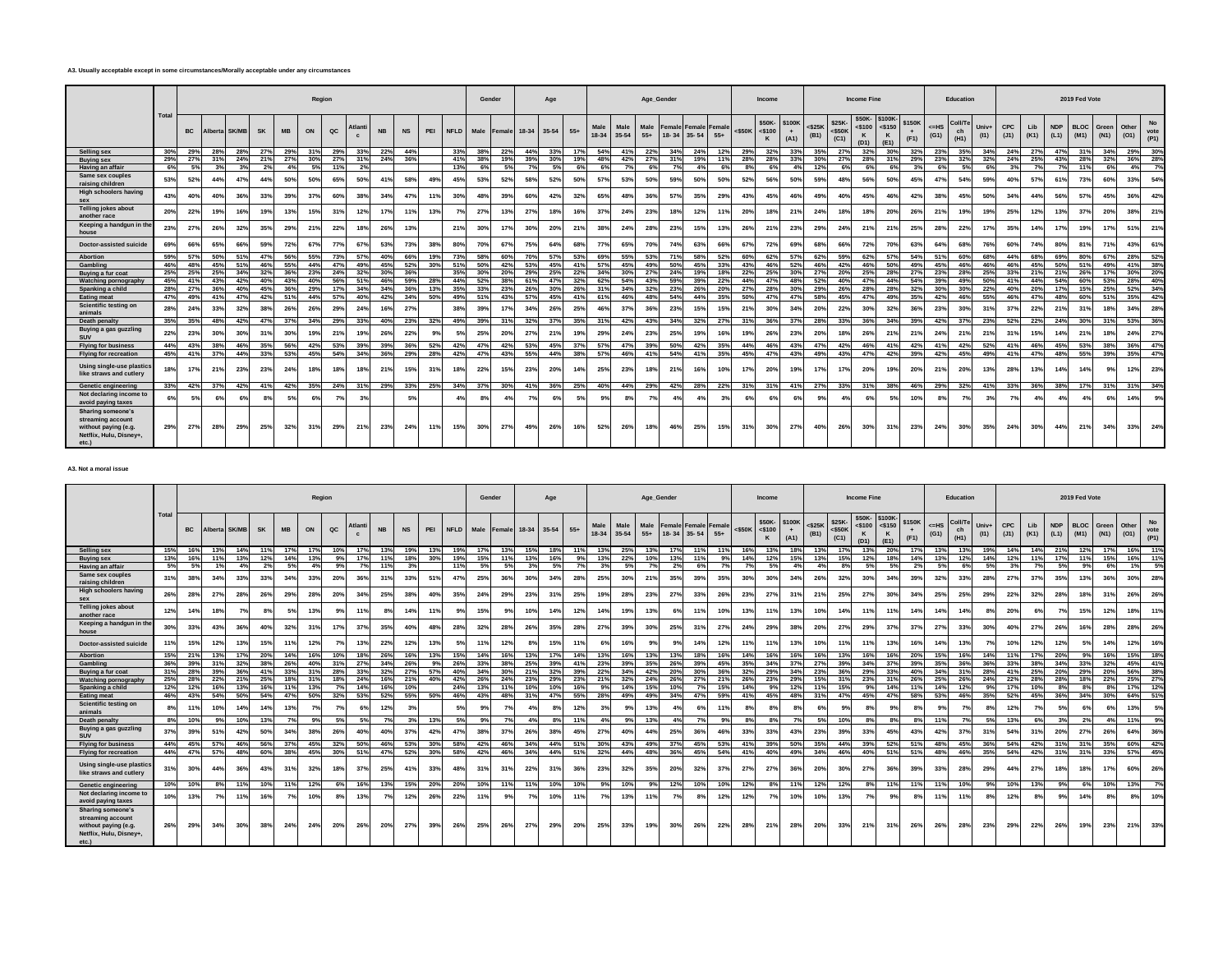#### **A3. Usually acceptable except in some circumstances/Morally acceptable under any circumstances**

|                                                                                                    |       |           |         |              |           |           |     | Region |        |           |           |     |             |      | Gender          |           | Age       |       |     |               |               | Age_Gender    |     |                                                |     |              | Income                         |             |                      |                             | <b>Income Fine</b>     |                                    |                |                | Education             |               |      |     |                                    | 2019 Fed Vote |                        |               |              |
|----------------------------------------------------------------------------------------------------|-------|-----------|---------|--------------|-----------|-----------|-----|--------|--------|-----------|-----------|-----|-------------|------|-----------------|-----------|-----------|-------|-----|---------------|---------------|---------------|-----|------------------------------------------------|-----|--------------|--------------------------------|-------------|----------------------|-----------------------------|------------------------|------------------------------------|----------------|----------------|-----------------------|---------------|------|-----|------------------------------------|---------------|------------------------|---------------|--------------|
|                                                                                                    | Total | <b>BC</b> | Alberta | <b>SK/MB</b> | <b>SK</b> | <b>MB</b> | ON  | QC     | Atlant | <b>NB</b> | <b>NS</b> | PEI | <b>NFLD</b> | Male | Female          | $18 - 34$ | $35 - 54$ | $55+$ |     | Male<br>18-34 | Male<br>35-54 | Male<br>$55+$ |     | <b>Female Female Female</b><br>18-34 35-54 55+ |     | $<$ \$50 $K$ | \$50K-\$100K<br>$<$ \$100<br>K | $+$<br>(A1) | $<$ \$25 $K$<br>(B1) | \$25K-<br>$<$ \$50K<br>(C1) | $<$ \$100<br>K<br>(D1) | \$50K-\$100K-<br>$<$ \$150<br>(E1) | \$150K<br>(F1) | $=$ HS<br>(G1) | Coll/Te<br>ch<br>(H1) | Univ+<br>(11) | CPC. | Lib | <b>NDP</b><br>$(J1)$ $(K1)$ $(L1)$ | <b>BLOC</b>   | Green<br>$(M1)$ $(N1)$ | Other<br>(01) | vote<br>(P1) |
| Selling sex                                                                                        | 30%   | 29%       | 28%     | 28%          | 27%       | 29%       | 31% | 29%    | 33%    | 22%       | 44%       |     | 33%         | 38%  | 22%             | 44%       | 33%       |       | 17% | 54%           | 41%           | 22%           | 34% | 24%                                            | 12% | 29%          | 32%                            | 33%         | 35%                  | 27%                         | 32%                    | 30%                                | 32%            | 23%            | 35%                   | 34%           | 24%  | 27% | 47%                                | 31%           | 34%                    | 29%           | 30%          |
| <b>Buving sex</b>                                                                                  | 29%   | 27%       | 31%     | 24%          | 21%       | 27%       | 30% | 27%    | 31%    | 24%       | 36%       |     | 41%         | 38%  | 19%             | 39%       | 30%       |       | 19% | 48%           | 42%           | 27%           | 31% | 19%                                            | 11% | 28%          | 28%                            | 33%         | 30%                  | 27%                         | 28%                    | 31%                                | 29%            | 23%            | 32%                   | 32%           | 24%  | 25% | 43%                                | 28%           | 32%                    | 36%           | 28%          |
| Having an affair                                                                                   | 6%    | 5%        | 3%      | 3%           | 2%        | 4%        | 5%  | 11%    | 2%     |           |           |     | 13%         | 6%   | 5%              | 70/       | 5%        |       | 6%  | 6%            | 7%            | 6%            | 7°/ | 4%                                             | 6%  | 8%           | 6%                             | 4%          | 12%                  | 6%                          |                        | 6%                                 | 3%             | 6%             | 5%                    | 6%            | 3%   | 7%  | 7%                                 | 11%           | 6%                     | 4%            | 7%           |
| Same sex couples<br>raising children                                                               | 53%   | 52%       | 44%     | 47%          | 44%       | 50%       | 50% | 65%    | 50%    | 41%       | 58%       | 49% | 45%         | 53%  | 52%             | 58%       | 52%       |       | 50% | 57%           | 53%           | 50%           | 59% | 50%                                            | 50% | 52%          | 56%                            | 50%         | 59%                  | 48%                         | 56%                    | 50%                                | 45%            | 47%            | 54%                   | 59%           | 40%  | 57% | 61%                                | 73%           | 60%                    | 33%           | 54%          |
| <b>High schoolers having</b><br>sex                                                                | 43%   | 40%       | 40%     | 36%          | 33%       | 39%       | 37% | 60%    | 38%    | 34%       | 47%       | 11% | 30%         | 48%  | 39%             | 60%       | 42%       |       | 32% | 65%           | 48%           | 36%           | 57% | 35%                                            | 29% | 43%          | 45%                            | 46%         | 49%                  | 40%                         | 45%                    | 46%                                | 42%            | 38%            | 45%                   | 50%           | 34%  | 44% | 56%                                | 57%           | 45%                    | 36%           | 42%          |
| Telling jokes about<br>another race                                                                | 20%   | 22%       | 19%     | 16%          |           | 13%       | 15% | 31%    | 12%    | 17%       | 11%       | 13% | 7%          | 27%  | 13 <sup>9</sup> | 27%       | 18%       |       | 16% | 37%           | 24%           | 23%           | 18% | 12%                                            |     | 20%          | 18%                            | 21%         | 24%                  | 18%                         | 18%                    | 20%                                | 26%            | 21%            | 19%                   | 19%           | 25%  | 12% | 13%                                | 37%           | 20%                    | 38%           | 21%          |
| Keeping a handgun in the<br>house                                                                  | 23%   | 27%       | 26%     | 32%          | 35%       | 29%       | 21% | 22%    | 18%    | 26%       | 13%       |     | 21%         | 30%  | 17 <sup>9</sup> | 30%       | 20%       |       | 21% | 38%           | 24%           | 28%           | 23% | 15%                                            | 13% | 26%          | 21%                            | 23%         | 29%                  | 24%                         | 21%                    | 21%                                | 25%            | 28%            | 22%                   | 17%           | 35%  | 14% | 17%                                | 19%           | 17%                    | 51%           | 21%          |
| Doctor-assisted suicide                                                                            | 69%   | 66%       | 65%     | 66%          | 59%       | 72%       | 67% | 77%    | 67%    | 53%       | 73%       | 38% | 80%         | 70%  | 67%             | 75%       | 64%       |       | 68% | 77%           | 65%           | 70%           | 74% | 63%                                            | 66% | 67%          | 72%                            | 69%         | 68%                  | 66%                         | 72%                    | 70%                                | 63%            | 64%            | 68%                   | 76%           | 60%  | 74% | 80%                                | 81%           | 71%                    | 43%           | 61%          |
| <b>Abortion</b>                                                                                    | 59%   | 57%       | 50%     | 51%          | 47%       | 56%       | 55% | 73%    | 57%    | 40%       | 66%       | 19% | 73%         | 58%  | 60%             | 70%       | 57%       |       | 53% | 69%           | 55%           | 53%           | 71% | 58%                                            | 52% | 60%          | 62%                            | 57%         | 62%                  | 59%                         | 62%                    | 57%                                | 54%            | 51%            | 60%                   | 68%           | 44%  | 68% | 69%                                | 80%           | 67%                    | 28%           | 52%          |
| Gambling                                                                                           | 46%   | 48%       | 45%     | 51%          | 46%       | 55%       | 44% | 47%    | 49%    | 45%       | 52%       | 30% | 51%         | 50%  | 42%             | 53%       | 45%       |       | 41% | 57%           | 45%           | 49%           | 50% | 45%                                            | 33% | 43%          | 46%                            | 52%         | 46%                  | 42%                         | 46%                    | 50%                                | 49%            | 45%            | 46%                   | 46%           | 46%  | 45% | 50%                                | 51%           | 49%                    | 41%           | 38%          |
| Buving a fur coat                                                                                  | 25%   | 25%       | 25%     | 34%          | 32%       | 36%       | 23% | 24%    | 32%    | 30%       | 36%       |     | 35%         | 30%  | 20%             | 29%       | 25%       |       | 22% | 34%           | 30%           | 27%           | 24% | 19%                                            | 18% | 22%          | 25%                            | 30%         | 27%                  | 20%                         | 25%                    | 28%                                | 27%            | 23%            | 28%                   | 25%           | 33%  | 21% | 21%                                | 26%           | 17%                    | 30%           | 20%          |
| Watching pornography                                                                               | 45%   | 41%       | 43%     | 42%          | 40%       | 43%       | 40% | 56%    | 51%    | 46%       | 59%       | 28% | 44%         | 52%  | 38%             | 61%       | 47%       |       | 32% | 62%           | 54%           | 43%           | 59% | 39%                                            | 22% | 44%          | 47%                            | 48%         | 52%                  | 40%                         | 47%                    | 44%                                | 54%            | 39%            | 49%                   | 50%           | 41%  | 44% | 54%                                | 60%           | 53%                    | 28%           | 40%          |
| Spanking a child                                                                                   | 28%   | 27%       | 36%     | 40%          | 45%       | 36%       | 29% | 17%    | 34%    | 34%       | 36%       | 13% | 35%         | 33%  | 23%             | 26%       | 30%       |       | 26% | 31%           | 34%           | 32%           | 23% | 26%                                            | 20% | 27%          | 28%                            | 30%         | 29%                  | 26%                         | 28%                    | 28%                                | 32%            | 30%            | 30%                   | 22%           | 40%  | 20% | 17%                                | 15%           | 25%                    | 52%           | 34%          |
| <b>Eating meat</b>                                                                                 | 47%   | 49%       | 41%     | 47%          | 42%       | 51%       | 44% | 57%    | 40%    | 42%       | 34%       | 50% | 49%         | 51%  | 43%             | 57%       | 45%       |       | 41% | 61%           | 46%           | 48%           | 54% | 44%                                            | 35% | 50%          | 47%                            | 47%         | 58%                  | 45%                         | 47%                    | 49%                                | 35%            | 42%            | 46%                   | 55%           | 46%  | 47% | 48%                                | 60%           | 51%                    | 35%           | 42%          |
| Scientific testing on<br>animals                                                                   | 28%   | 24%       | 33%     | 32%          | 38%       | 26%       | 26% | 29%    | 24%    | 16%       | 27%       |     | 38%         | 39%  | 17 <sup>9</sup> | 34%       | 26%       |       | 25% | 46%           | 37%           | 36%           | 23% | 15%                                            | 15% | 21%          | 30%                            | 34%         | 20%                  | 22%                         | 30%                    | 32%                                | 36%            | 23%            | 30%                   | 31%           | 37%  | 22% | 21%                                | 31%           | 18%                    | 34%           | 28%          |
| Death penalty                                                                                      | 35%   | 35%       | 48%     | 42%          | 47%       | 37%       | 34% | 29%    | 33%    | 40%       | 23%       | 32% | 49%         | 39%  | 31%             | 32%       | 37%       |       | 35% | 31%           | 42%           | 43%           | 34% | 32%                                            | 27% | 31%          | 36%                            | 37%         | 28%                  | 33%                         | 36%                    | 34%                                | 39%            | 42%            | 37%                   | 23%           | 52%  | 22% | 24%                                | 30%           | 31%                    | 53%           | 36%          |
| Buying a gas guzzling<br>SUV                                                                       | 22%   | 23%       | 30%     | 30%          | 31%       | 30%       | 19% | 21%    | 19%    | 26%       | 22%       |     | 5%          | 25%  | 20%             | 27%       | 21%       |       | 19% | 29%           | 24%           | 23%           | 25% | 19%                                            | 16% | 19%          | 26%                            | 23%         | 20%                  | 18%                         | 26%                    | 21%                                | 21%            | 24%            | 21%                   | 21%           | 31%  | 15% | 14%                                | 21%           | 18%                    | 24%           | 27%          |
| <b>Flying for business</b>                                                                         | 44%   | 43%       | 38%     | 46%          | 35%       | 56%       | 42% | 53%    | 39%    | 39%       | 36%       | 52% | 42%         | 47%  | 42%             | 53%       | 45%       |       | 37% | 57%           | 47%           | 39%           | 50% | 42%                                            | 35% | 44%          | 46%                            | 43%         | 47%                  | 42%                         | 46%                    | 41%                                | 42%            | 41%            | 42%                   | 52%           | 41%  | 46% | 45%                                | 53%           | 38%                    | 36%           | 47%          |
| <b>Flying for recreation</b>                                                                       | 45%   | 41%       | 37%     | 44%          | 33%       | 53%       | 45% | 54%    | 34%    | 36%       | 29%       | 28% | 42%         | 47%  | 43%             | 55%       | 44%       |       | 38% | 57%           | 46%           | 41%           | 54% | 41%                                            | 35% | 45%          | 47%                            | 43%         | 49%                  | 43%                         | 47%                    | 42%                                | 39%            | 42%            | 45%                   | 49%           | 41%  | 47% | 48%                                | 55%           | 39%                    | 35%           | 47%          |
| Using single-use plastics<br>like straws and cutlery                                               | 18%   | 17%       | 21%     | 23%          | 23%       | 24%       | 18% | 18%    | 18%    | 21%       | 15%       | 31% | 18%         | 22%  | 15%             | 23%       | 20%       |       | 14% | 25%           | 23%           | 18%           | 21% | 16%                                            | 10% | 17%          | 20%                            | 19%         | 17%                  | 17%                         | 20%                    | 19%                                | 20%            | 21%            | 20%                   | 13%           | 28%  | 13% | 14%                                | 14%           | 9%                     | 12%           | 23%          |
| <b>Genetic engineering</b>                                                                         | 33%   | 42%       | 37%     | 42%          | 41%       | 42%       | 35% | 24%    | 31%    | 29%       | 33%       | 25% | 34%         | 37%  | 30%             | 41%       | 36%       | 25%   |     | 40%           | 44%           | 29%           | 42% | 28%                                            | 22% | 31%          | 31%                            | 41%         | 27%                  | 33%                         | 31%                    | 38%                                | 46%            | 29%            | 32%                   | 41%           | 33%  | 36% | 38%                                | 17%           | 31%                    | 31%           | 34%          |
| Not declaring income to<br>avoid paying taxes                                                      | 6%    | 5%        | 6%      | 6%           |           | 5%        | 6%  |        | 3%     |           | 5%        |     | 4%          | 8%   | 4%              |           | 6%        |       | 5%  |               |               | 7%            |     |                                                | 3%  | 6%           | 6%                             |             | 9%                   | 4%                          |                        | 5%                                 | 10%            |                | 7%                    | 3%            | 7°   |     | 4%                                 | 4%            | 6%                     | 14%           | 9%           |
| Sharing someone's<br>streaming account<br>without paying (e.g.<br>Netflix, Hulu, Disney+,<br>etc.) | 29%   | 27%       | 28%     | 29%          | 25%       | 32%       | 31% | 29%    | 21%    | 23%       | 24%       | 11% | 15%         | 30%  | 27%             | 49%       | 26%       |       | 16% | 52%           | 26%           | 18%           | 46% | 25%                                            | 15% | 31%          | 30%                            | 27%         | 40%                  | 26%                         | 30%                    | 31%                                | 23%            | 24%            | 30%                   | 35%           | 24%  | 30% | 44%                                | 21%           | 34%                    | 33%           | 24%          |

#### **A3. Not a moral issue**

|                                                                                                              |              |           |            |              |           |           |     | Region          |       |           |                |     |      |      | Gender |     | Age         |       |               |               |               | Age_Gender |                                                |                       |           | Income                                |             |                   |                            | Income Fine                      |                                          |                |                | Education            |               |                    |             |                    | 2019 Fed Vote                       |                 |                 |                           |
|--------------------------------------------------------------------------------------------------------------|--------------|-----------|------------|--------------|-----------|-----------|-----|-----------------|-------|-----------|----------------|-----|------|------|--------|-----|-------------|-------|---------------|---------------|---------------|------------|------------------------------------------------|-----------------------|-----------|---------------------------------------|-------------|-------------------|----------------------------|----------------------------------|------------------------------------------|----------------|----------------|----------------------|---------------|--------------------|-------------|--------------------|-------------------------------------|-----------------|-----------------|---------------------------|
|                                                                                                              | <b>Total</b> | <b>BC</b> | Alberta    | <b>SK/MB</b> | <b>SK</b> | <b>MB</b> | ON  | $_{\rm QC}$     | Atlan | <b>NB</b> | <b>NS</b>      | PEI | NFLD | Male | Female |     | 18-34 35-54 | $55+$ | Male<br>18-34 | Male<br>35-54 | Male<br>$55+$ |            | <b>Female Female Female</b><br>18-34 35-54 55+ |                       | $<$ \$50K | \$50K-\$100K<br>$<$ \$100<br>$\kappa$ | $+$<br>(A1) | $<$ \$25K<br>(B1) | \$25K<br>$<$ \$50K<br>(C1) | \$50K-<br>$<$ \$100<br>к<br>(D1) | \$100K-<br>$<$ \$150<br>$\kappa$<br>(E1) | \$150K<br>(F1) | $=$ HS<br>(G1) | Coll/T<br>ch<br>(H1) | Univ+<br>(11) | <b>CPC</b><br>(J1) | Lib<br>(K1) | <b>NDP</b><br>(L1) | <b>BLOC</b><br>$(M1)$ $(N1)$ $(O1)$ | Green           | Other           | <b>No</b><br>vote<br>(P1) |
| <b>Selling sex</b>                                                                                           | 15%          | 16%       | 13%        | 14%          | 11%       | 17%       | 17% | 10%             | 17%   | 13%       | 19%            | 13% | 19%  | 17%  | 13%    | 15% | 18%         | 11%   | 13%           | 25%           | 13%           | 17%        | 11%                                            | 11%                   | 16%       | 13%                                   | 18%         | 13%               | 17%                        | 13%                              | 20%                                      | 17%            | 13%            | 13%                  | 19%           | 14%                | 14%         | 21%                | 12%                                 | 17%             | 16%             | 11%                       |
| Buving sex                                                                                                   | 13%          | 16%       | 11%        | 13%          | 12%       | 14%       | 13% |                 | 17%   | 11%       | 18%            | 30% |      | 15%  | 11%    | 13% | 16%         | 9%    | 13%           | 22%           | 10%           | 13%        | 11%                                            | <b>Q</b> <sup>Q</sup> | 14%       | 12%                                   |             | 13%               | 15%                        | 12%                              | 18%                                      | 14%            | 13%            | 12%                  | 14%           | 12%                | 11%         | 17%                | 11%                                 | 15%             | 16%             | 11%                       |
| Having an affair                                                                                             | 5%           | 5%        | 1%         | 4%           | 2%        | 5%        | 4%  | 9%              | 7%    | 11%       |                |     |      | 5%   | 5%     | 3%  | 5%          | 7%    | 3%            | 5%            | 7%            | 2%         | 6%                                             | 7%                    | 7%        | 5%                                    | 4%          | 4%                | 8%                         | 5%                               | 5%                                       | 2%             | 5%             | 6%                   | 5%            | 3%                 | 7%          | 5%                 | 9%                                  | 6%              | 1%              | 5%                        |
| Same sex couples<br>raising children                                                                         | 31%          | 38%       | 34%        | 33%          | 33%       | 34%       | 33% | 20%             | 36%   | 31%       | 33%            | 51% | 47%  | 25%  | 36%    | 30% | 34%         | 28%   | 25%           | 30%           | 21%           | 35%        | 39%                                            | 35%                   | 30%       | 30%                                   | 34%         | 26%               | 32%                        | 30%                              | 34%                                      | 39%            | 32%            | 33%                  | 28%           | 27%                | 37%         | 35%                | 13%                                 | 36 <sup>°</sup> | 30%             | 28%                       |
| <b>High schoolers having</b><br>SAX                                                                          | 26%          | 28%       | <b>27%</b> | 28%          | 26%       | 29%       | 28% | 20%             | 34%   | 25%       | 38%            | 40% | 35%  | 24%  | 29%    | 23% | 31%         | 25%   | 19%           | 28%           | 23%           | 27%        | 33%                                            | 26%                   | 23%       | 27%                                   | 31%         | 21%               | 25%                        | 27%                              | 30%                                      | 34%            | 25%            | 25%                  | 29%           | 22%                | 32%         | 28%                | 18%                                 | 31%             | 26%             | 26%                       |
| <b>Telling jokes about</b><br>another race                                                                   | 12%          | 14%       | 18%        | 7%           | 8%        | 5%        | 13% | 9 <sup>9</sup>  | 11%   | 8%        | 14%            | 11% | 9%   | 15%  | 9%     | 10% | 14%         | 12%   | 14%           | 19%           | 13%           | 6%         | 11%                                            | 10%                   | 13%       | 11%                                   | 13%         | 10%               | 14%                        | 119                              | 11%                                      | 14%            | 14%            | 14%                  | 8%            | 20%                | 6%          |                    | 15%                                 | 12%             | 18%             | 11%                       |
| Keeping a handgun in the<br>house                                                                            | 30%          | 33%       | 43%        | 36%          | 40%       | 32%       | 31% | 17%             | 37%   | 35%       | 40%            | 48% | 28%  | 32%  | 28%    | 26% | 35%         | 28%   | 27%           | 39%           | 30%           | 25%        | 31%                                            | 27%                   | 24%       | 29%                                   | 38%         | 20%               | 27%                        | 29%                              | 37%                                      | 37%            | 27%            | 33%                  | 30%           | 40%                | 27%         | 26%                | 16%                                 | <b>28%</b>      | 28%             | 26%                       |
| Doctor-assisted suicide                                                                                      | 11%          | 15%       | 12%        | 13%          | 15%       | 11%       | 12% |                 | 13%   | 22%       | 12%            | 13% | 5%   | 11%  | 12%    | 8%  | 15%         | 11%   |               | 16%           | 9%            | 9%         | 14%                                            | 12%                   | 11%       | 11%                                   | 13%         | 10%               | 11%                        | 11%                              | 13%                                      | 16%            | 14%            | 13%                  | 7%            | 10%                | 12%         | 12%                | 5%                                  | 14%             | 12 <sub>2</sub> | 16%                       |
| <b>Abortion</b>                                                                                              | 15%          | 21%       | 13%        | 17%          | 20%       | 14%       | 16% | 10%             | 18%   | 26%       | 16%            | 13% | 15%  | 14%  | 16%    | 13% | 17%         | 14%   | 13%           | 16%           | 13%           | 13%        | 18%                                            | 16%                   | 14%       | 16%                                   | 16%         | 16%               | 13%                        | 16%                              | 16%                                      | 20%            | 15%            | 16%                  | 14%           | 11%                | 17%         | 20%                | 9%                                  | 16%             | 15%             | 18%                       |
| Gambling                                                                                                     | 36%          | 39%       | 31%        | 32%          | 38%       | 26%       | 40% | 31 <sup>°</sup> | 27%   | 34%       | 26%            | 9%  | 26%  | 33%  | 38%    | 25% | 39%         | 41%   | 23%           | 39%           | 35%           | 26%        | 39%                                            | 45%                   | 35%       | 34%                                   | 37%         | 27%               | 39%                        | 34%                              | 37%                                      | 39%            | 35%            | 36%                  | 36%           | 33%                | 38%         | 34%                | 33%                                 | 32%             | 45%             | 41%                       |
| Buving a fur coat                                                                                            | 31%          | 28%       | 39%        | 36%          | 41%       | 33%       | 31% | 28%             | 33%   | 32%       | 27%            | 57% | 40%  | 34%  | 30%    | 21% | 32%         | 39%   | 22%           | 34%           | 42%           | 20%        | 30%                                            | 36%                   | 32%       | 29%                                   | 34%         | 23%               | 36%                        | 29%                              | 33%                                      | 40%            | 34%            | 31%                  | 28%           | 41%                | 25%         | 20%                | 29%                                 | 20%             | 56%             | 38%                       |
| Watching pornography                                                                                         | 25%          | 28%       | 22%        | 21%          | 25%       | 18%       | 31% | 18%             | 24%   | 16%       | 21%            | 40% | 42%  | 26%  | 24%    | 23% | 29%         | 23%   | 21%           | 32%           | 24%           | 26%        | 27%                                            | 21%                   | 26%       | 23%                                   | 29%         | 15%               | 31%                        | 23%                              | 31%                                      | 26%            | 25%            | 26%                  | 24%           | 22%                | 28%         | 28%                | 18%                                 | 22%             | 25%             | 27%                       |
| Spanking a child                                                                                             | 12%          | 12%       | 16%        | 13%          | 16%       | 11%       | 13% | 7%              | 14%   | 16%       | 10%            |     | 24%  | 13%  | 11%    | 10% | 10%         | 16%   | 9%            | 14%           | 15%           | 10%        | 7%                                             | 15%                   | 14%       | 9%                                    | 12%         |                   | 15%                        | 99                               | 14%                                      | 11%            | 14%            | 12%                  | 9%            | 17%                | 10%         | 8%                 | 8%                                  | 8%              | 17%             | 12%                       |
| Eating meat                                                                                                  | 46%          | 43%       | 54%        | 50%          | 54%       | 47%       | 50% | 32%             | 53%   | 52%       | 55%            | 50% | 46%  | 43%  | 48%    | 31% | 47%         | 55%   | 28%           | 49%           | 49%           | 34%        | 47%                                            | 59%                   | 41%       | 45%                                   | 48%         | 31%               | 47%                        | 45%                              | 47%                                      | 58%            | 53%            | 46%                  | 35%           | 52%                | 45%         | 36%                | 34%                                 | 30%             | 64%             | 51%                       |
| Scientific testing on<br>animals                                                                             | 8%           | 11%       | 10%        | 14%          | 14%       | 13%       | 7%  |                 | 6%    | 12%       | 3 <sup>6</sup> |     | 5%   | 9%   | 7%     | 4%  | 8%          | 12%   |               | 9%            | 13%           | 4%         | 6%                                             | 11%                   | 8%        | 8%                                    |             | 6%                | 9%                         |                                  | 9%                                       | 8%             | 93             | 7%                   | 8%            | 12%                | 7%          |                    |                                     | 63              | 13%             | 5%                        |
| Death penalty                                                                                                | 8%           | 10%       | 9%         | 10%          | 13%       | 7%        |     | 5%              | 5%    | 7%        | 3%             | 13% | 5%   | 9%   | 7%     | 4%  | 8%          | 11%   | 4%            | 9%            | 13%           | 4%         | 7%                                             | 9%                    | 8%        | 8%                                    | 7%          | 5%                | 10%                        | 8%                               | 8%                                       | 8%             | 11%            | 7%                   | 5%            | 13%                | 6%          | 3%                 | 2%                                  | 4%              | 11%             | 9%                        |
| Buying a gas guzzling<br><b>SUV</b>                                                                          | 37%          | 39%       | 51%        | 42%          | 50%       | 34%       | 38% | 26%             | 40%   | 40%       | 37%            | 42% | 47%  | 38%  | 37%    | 26% | 38%         | 45%   | 27%           | 40%           | 44%           | 25%        | 36%                                            | 46%                   | 33%       | 33%                                   | 43%         | 23%               | 39%                        | 33%                              | 45%                                      | 43%            | 42%            | 37%                  | 31%           | 54%                | 31%         | 20%                | 27%                                 | <b>26%</b>      | 64%             | 36%                       |
| <b>Flying for business</b>                                                                                   | 44%          | 45%       | 57%        | 46%          | 56%       | 37%       | 45% | 32%             | 50%   | 46%       | 53%            | 30% | 58%  | 42%  | 46%    | 34% | 44%         | 51%   | 30%           | 43%           | 49%           | 37%        | 45%                                            | 53%                   | 41%       | 39%                                   | 50%         | 35%               | 44%                        | 39%                              | 52%                                      | 51%            | 48%            | 45%                  | 36%           | 54%                | 42%         | 31%                | 31%                                 | 35%             | 60%             | 42%                       |
| <b>Flying for recreation</b>                                                                                 | 44%          | 47%       | 57%        | 48%          | 60%       | 38%       | 45% | 30%             | 51%   | 47%       | 52%            | 30% | 58%  | 42%  | 46%    | 34% | 44%         | 51%   | 32%           | 44%           | 48%           | 36%        | 45%                                            | 54%                   | 41%       | 40%                                   | 49%         | 34%               | 46%                        | 40%                              | 51%                                      | 51%            | 48%            | 46%                  | 35%           | 54%                | 42%         | 31%                | 31%                                 | 33%             | 57%             | 45%                       |
| Using single-use plastics<br>like straws and cutlery                                                         | 31%          | 30%       | 44%        | 36%          | 43%       | 31%       | 32% | 18%             | 37%   | 25%       | 41%            | 33% | 48%  | 31%  | 31%    | 22% | 31%         | 36%   | 23%           | 32%           | 35%           | 20%        | 32%                                            | 37%                   | 27%       | 27%                                   | 36%         | 20%               | 30%                        | 27%                              | 36%                                      | 39%            | 33%            | 28%                  | 29%           | 44%                | 27%         | 18%                | 18%                                 | 17%             | 60%             | 26%                       |
| <b>Genetic engineering</b>                                                                                   | 10%          | 10%       | 8%         | 11%          | 10%       | 11%       | 12% | 6%              | 16%   | 13%       | 15%            | 20% | 20%  | 10%  | 11%    | 11% | 10%         | 10%   | 9%            | 10%           | 9%            | 12%        | 10%                                            | 10%                   | 12%       | 8%                                    | 11%         | 12%               | 12%                        | 8%                               | 11%                                      | 11%            | 11%            | 10%                  | 9%            | 10%                | 13%         | 9%                 | 6%                                  | 10%             | 13%             | 7%                        |
| Not declaring income to<br>avoid paying taxes                                                                | 10%          | 13%       |            | 11%          | 16%       |           | 10% |                 | 13%   | 7%        | 12%            | 26% | 22%  | 11%  | 9%     |     | 10%         | 11%   |               | 13%           | 11%           | 7%         | 8%                                             | 12%                   | 12%       | 7%                                    | 10%         | 10%               | 13%                        |                                  | 9%                                       | 8%             | 11%            | 11%                  | 8%            | 12%                | 8%          |                    | 14%                                 | 8 <sup>°</sup>  | 8%              | 10%                       |
| <b>Sharing someone's</b><br>streaming account<br>without paying (e.g.<br>Netflix, Hulu, Disney+,<br>$etc.$ ) | 26%          | 29%       | 34%        | 30%          | 38%       | 24%       | 24% | 20%             | 26%   | 20%       | 27%            | 39% | 26%  | 25%  | 26%    | 27% | 29%         | 20%   | 25%           | 33%           | 19%           | 30%        | 26%                                            | 22%                   | 28%       | 21%                                   | 28%         | 20%               | 33%                        | 21%                              | 31%                                      | 26%            | 26%            | 28%                  | 23%           | 29%                | 22%         | 26%                | 19%                                 | 23%             | 21%             | 33%                       |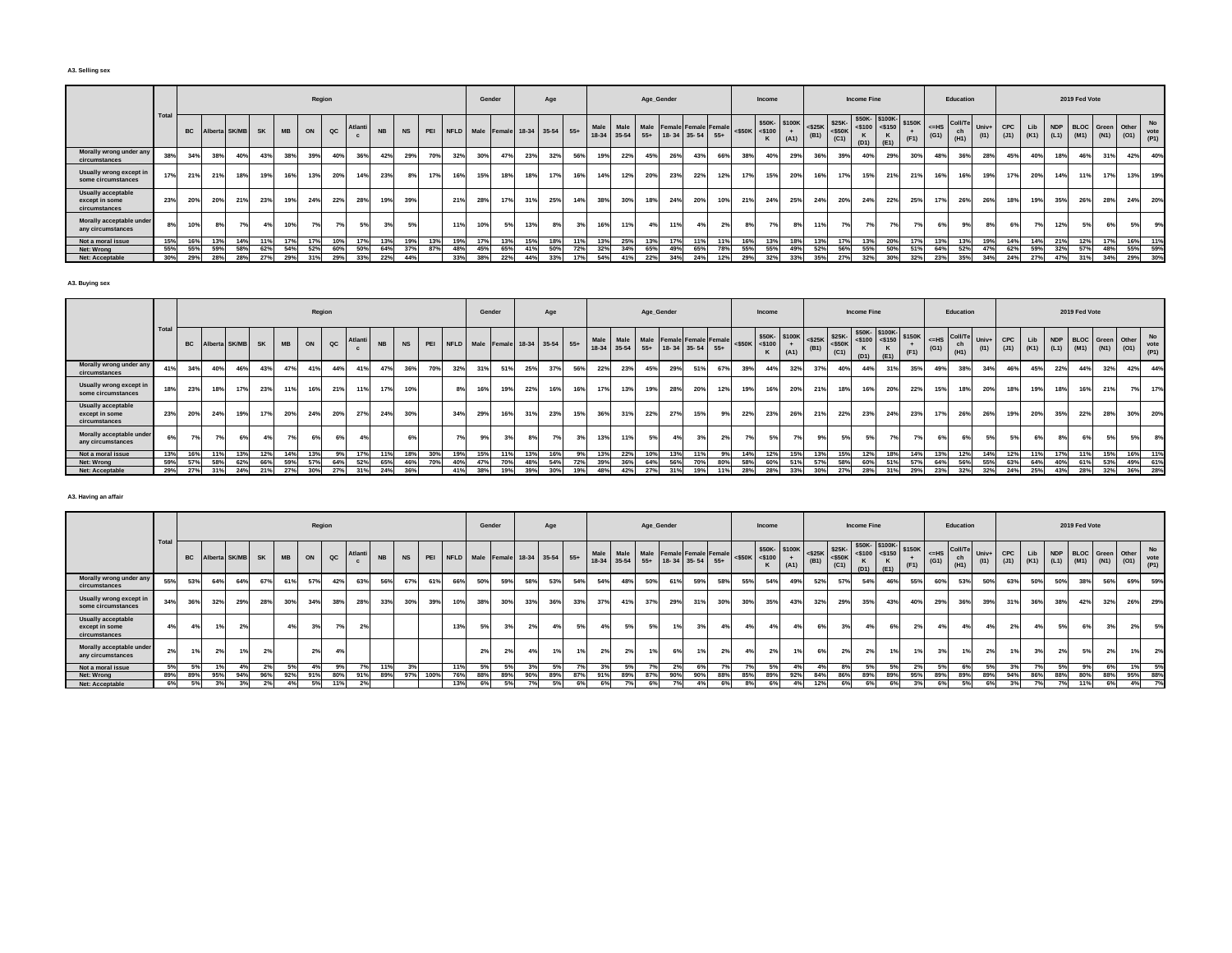#### **A3. Selling sex**

|                                                       |      |           |     |                  |     |           |     | Region          |        |           |           |     |     | Gender                               |     |     | Age |     |                   |       | Age_Gender |     |                                                       |     |                     | Income |                      |      |                                                                                                                                                                                          | <b>Income Fine</b> |                            |                       |                    | Education                                          |               |             |     |     | 2019 Fed Vote                                                                |     |     |                           |
|-------------------------------------------------------|------|-----------|-----|------------------|-----|-----------|-----|-----------------|--------|-----------|-----------|-----|-----|--------------------------------------|-----|-----|-----|-----|-------------------|-------|------------|-----|-------------------------------------------------------|-----|---------------------|--------|----------------------|------|------------------------------------------------------------------------------------------------------------------------------------------------------------------------------------------|--------------------|----------------------------|-----------------------|--------------------|----------------------------------------------------|---------------|-------------|-----|-----|------------------------------------------------------------------------------|-----|-----|---------------------------|
|                                                       | Tota | <b>BC</b> |     | Alberta SK/MB SK |     | <b>MB</b> | ON  | $_{\alpha c}$   | Atlant | <b>NB</b> | <b>NS</b> |     |     | PEI NFLD Male Female 18-34 35-54 55+ |     |     |     |     | Male<br>$18 - 34$ | 35-54 |            |     | Male Male Female Female Female<br>55+ 18-34 35-54 55+ |     | $<$ \$50K $<$ \$100 |        | \$50K-\$100K<br>(A1) | (B1) | $\left \begin{array}{c} $25K$ \\ $50K$ \end{array}\right $ $\left \begin{array}{c} $25K$ \\ $50K$ \end{array}\right $ $\left \begin{array}{c} $50K$ \\ $500$ \end{array}\right $<br>(C1) | $(D1)$ $(E1)$      | \$50K-\$100K-<br>$<$ \$150 | <b>\$150K</b><br>(F1) | $\leq$ =HS<br>(G1) | $\sqrt{\frac{1}{2}$ Coll/ $\sqrt{2}$<br>ch<br>(H1) | Univ+<br>(11) | CPC<br>(J1) |     |     | NDP BLOC Green Other<br>Lib NDP BLOC Green Other<br>(K1) (L1) (M1) (N1) (O1) |     |     | <b>No</b><br>vote<br>(P1) |
| Morally wrong under any<br>circumstances              | 38%  | 34%       | 38% | 40%              | 43% | 38%       | 39% | 40%             | 36%    | 42%       | 29%       | 70% | 32% | 30%                                  | 47% | 23% | 32% | 56% | 19%               | 22%   | 45%        | 26% | 43%                                                   | 66% |                     | 40%    | 29%                  | 36%  | 39%                                                                                                                                                                                      | 40%                | 29%                        | 30%                   | 48%                | 36%                                                | 28%           | 45%         | 40% | 18% | 46%                                                                          | 31% | 42% | 40%                       |
| Usually wrong except in<br>some circumstances         | 17%  | 21%       | 21% | 18%              | 19% | 16%       | 13% | 20%             | 14%    | 23%       | 8%        | 17% | 16% | 15%                                  | 18% | 18% | 17% | 16% | 14%               | 12%   | 20%        | 23% | 22%                                                   | 12% |                     | 15%    | 20%                  | 16%  | 17%                                                                                                                                                                                      | 15%                | 21%                        | 21%                   | 16%                | 16%                                                | 19%           | 17%         | 20% | 14% | 11%                                                                          |     | 13% | 19%                       |
| Usually acceptable<br>except in some<br>circumstances | 23%  | 20%       | 20% | 21%              | 23% |           | 24% | 22%             | 28%    | 19%       | 39%       |     | 21% | 28%                                  | 17% | 31% | 25% | 14% | 38%               | 30%   | 18%        | 24% | 20%                                                   | 10% | 21%                 | 24%    | 25%                  | 24%  | 20%                                                                                                                                                                                      | 24%                | 22%                        | 25%                   | 17%                | 26%                                                | 26%           | 18%         | 19% | 35% | 26%                                                                          | 28% | 24% | 20%                       |
| Morally acceptable under<br>any circumstances         | 8%   | 10%       | 8%  | 7%               |     | 10%       | 7%  |                 | 5%     | 3%        | 5%        |     | 11% | 10%                                  | 5%  | 13% | 8%  | 3%  | 16%               | 11%   | 4%         | 11% | 4%                                                    |     | 8%                  | 7%     | 8%                   | 11%  | 7%                                                                                                                                                                                       | 7%                 | 7%                         |                       | 6%                 | 9%                                                 |               |             | 7%  | 12% | 5%                                                                           |     | 5%  | 9%                        |
| Not a moral issue                                     | 15%  | 16%       | 13% | 14%              | 11% |           |     | 10 <sup>9</sup> |        | 13%       | 19%       | 13% | 19% | 17%                                  | 13% | 15% | 18% | 11% | 13%               | 25%   | 13%        | 17% | 1.181                                                 |     |                     | 13%    | 18%                  | 13%  |                                                                                                                                                                                          | 13%                | 20%                        | 17%                   | 13%                | 13%                                                | 19%           | 14%         | 14% | 21% | 12%                                                                          |     | 16% | 11%                       |
| Net: Wrong                                            | 55%  | 55%       | 59% | 58%              | 62% | 54°       | 52% | 60%             | 50%    | 64%       | 37%       | 87% | 48% | 45%                                  | 65% | 41% | 50% | 72% | 32%               | 34%   | 65%        |     | 65%                                                   |     | 55%                 | 55%    | 49%                  | 52%  | 56%                                                                                                                                                                                      | 55%                | 50%                        |                       | 64%                | 52%                                                | 47%           | 62%         | 59% | 32% | 57%                                                                          |     | 55% | 59%                       |
| Net: Acceptable                                       | 30%  | 29%       | 28% | 28%              | 27% | 29%       | 31% | 29%             | 33%    | 22%       | 44%       |     | 33% | 38%                                  | 22% | 44% | 33% | 17% | 54%               | 41%   | 22%        | 34% | 24%                                                   | 12% | 29%                 | 32%    | 33%                  | 35%  | 27%                                                                                                                                                                                      | 32%                | 30%                        | 32%                   | 23%                | 35%                                                | 34%           | 24%         | 27% | 47% | 31%                                                                          | 34% | 29% | 30%                       |

**A3. Buying sex**

|                                                              |       |           |     |                  |     |           |     | Region      |         |           |           |     |     |     | Gender |     | Age                                  |     |      |     |     | Age_Gender |                                                                   |     |                     | Income |                       |     |                                                                                              | <b>Income Fine</b> |                                                                                                                                                                                                                                                                                                                                |      |                    | Education             |                 |                                           |     |            |     | 2019 Fed Vote           |     |             |     |
|--------------------------------------------------------------|-------|-----------|-----|------------------|-----|-----------|-----|-------------|---------|-----------|-----------|-----|-----|-----|--------|-----|--------------------------------------|-----|------|-----|-----|------------|-------------------------------------------------------------------|-----|---------------------|--------|-----------------------|-----|----------------------------------------------------------------------------------------------|--------------------|--------------------------------------------------------------------------------------------------------------------------------------------------------------------------------------------------------------------------------------------------------------------------------------------------------------------------------|------|--------------------|-----------------------|-----------------|-------------------------------------------|-----|------------|-----|-------------------------|-----|-------------|-----|
|                                                              | Total | <b>BC</b> |     | Alberta SK/MB SK |     | <b>MB</b> | ON  | $_{\rm QC}$ | Atlanti | <b>NB</b> | <b>NS</b> |     |     |     |        |     | PEI NFLD Male Female 18-34 35-54 55+ |     | Male |     |     |            | Male Male Female Female Female<br>18-34 35-54 55+ 18-34 35-54 55+ |     | $<$ \$50K $<$ \$100 |        | \$50K- \$100K<br>(A1) |     | $\left \frac{$25K}{(B1)}\right $ = \$25K-<br>(B1) = $\left \frac{$25K}{(C4)}\right $<br>(C1) | (D1)               | \$50K-\$100K-<br>$-4$ = $\frac{1}{2}$ = $\frac{1}{2}$ = $\frac{1}{2}$ = $\frac{1}{2}$ = $\frac{1}{2}$ = $\frac{1}{2}$ = $\frac{1}{2}$ = $\frac{1}{2}$ = $\frac{1}{2}$ = $\frac{1}{2}$ = $\frac{1}{2}$ = $\frac{1}{2}$ = $\frac{1}{2}$ = $\frac{1}{2}$ = $\frac{1}{2}$ = $\frac{1}{2}$ = $\frac{1}{2}$ = $\frac{1}{2}$<br> E(1) | (F1) | $\leq$ -HS<br>(G1) | Coll/Te<br>ch<br>(H1) | $Univ+$<br>(11) | CPC<br>$(J1)$ $(K1)$ $(L1)$ $(M1)$ $(N1)$ | Lib | <b>NDP</b> |     | <b>BLOC</b> Green Other |     | $(01)$ vote | No  |
| Morally wrong under any<br>circumstances                     | 41%   | 34%       | 40% | 46%              | 43% | 47%       | 41% | 44%         |         | 47%       | 36%       | 70% | 32% | 31% | 51%    | 25% | 37%                                  | 56% | 22%  | 23% | 45% | 29%        | 51%                                                               | 67% | 39%                 | 44%    | 32%                   | 37% | 40%                                                                                          | 44%                |                                                                                                                                                                                                                                                                                                                                | 35%  | 49%                | 38%                   | 34%             | 46%                                       | 45% |            | 22% | 44%                     | 32% | 42%         | 44% |
| Usually wrong except in<br>some circumstances                | 18%   | 23%       | 18% | 17%              | 23% | 11%       | 16% | 21%         |         | 17%       | 10%       |     | 8%  | 16% | 19%    | 22% | 16%                                  | 16% | 17%  | 13% | 19% | 28%        | 20%                                                               | 12% | 19%                 | 16%    | 20%                   | 21% | 18%                                                                                          | 16%                | 20%                                                                                                                                                                                                                                                                                                                            | 22%  | 15%                | 18%                   | 20%             | 18%                                       | 19% |            |     | 16%                     | 21% |             | 17% |
| <b>Usually acceptable</b><br>except in some<br>circumstances | 23%   | 20%       | 24% | 19%              | 17% | 20%       | 24% | 20%         | 27%     | 24%       | 30%       |     | 34% | 29% | 16%    | 31% | 23%                                  | 15% | 36%  | 31% | 22% | 27%        | 15%                                                               |     | 22%                 | 23%    | 26%                   | 21% | 22%                                                                                          | 23%                | 24%                                                                                                                                                                                                                                                                                                                            | 23%  | 17 <sup>°</sup>    | 26%                   | 26%             | 19%                                       | 20% |            | 35% | 22%                     | 28% | 30%         | 20% |
| Morally acceptable under<br>any circumstances                |       | 7%        |     | 6%               |     | 7%        | 6%  |             |         |           | 6%        |     | 7%  | 9%  | 3%     |     | 7%                                   | 3%  | 13%  |     | 5%  | 4%         |                                                                   |     | 70/                 |        |                       |     | 5%                                                                                           |                    |                                                                                                                                                                                                                                                                                                                                | 7°   | 6%                 |                       | 5%              |                                           |     | 6%         |     |                         | 5%  | 5%          | 8%  |
| Not a moral issue                                            | 13%   | 16%       | 11% | 13%              | 12% | 14%       | 13% | 9%          |         |           | 18%       | 30% | 19% | 15% | 11%    | 13% | 16%                                  | 9%  |      | 22% | 10% | 13%        |                                                                   | 9%  | 14%                 | 12%    | 15%                   | 13% | 15%                                                                                          | 12%                |                                                                                                                                                                                                                                                                                                                                | 14%  | 13%                | 12%                   | 14%             | 12%                                       | 11% |            | 17% | 11%                     | 15% | 16%         | 11% |
| Net: Wrong                                                   | 59%   | 57%       | 58% | 62%              | 66% | 59%       | 57% | 64%         | 52%     | 65%       | 46%       | 70% | 40% | 47% | 70%    | 48% | 54%                                  | 72% | 39%  | 36% | 64% | 56%        | 70%                                                               | 80% | 58%                 | 60%    | 51%                   | 57% | 58%                                                                                          | 60%                |                                                                                                                                                                                                                                                                                                                                | 57%  | 64%                | 56%                   | 55%             | 63%                                       | 64% |            | 40% | 61%                     | 53% | 49%         | 61% |
| Net: Acceptable                                              | 29%   | 27%       | 31% | 24%              | 21% | 27%       | 30% | 27%         |         | 24%       | 36%       |     | 41% | 38% | 19%    | 39% | 30%                                  | 19% | 48%  |     | 27% | 31%        | 19%                                                               |     | 28%                 | 28%    | 33%                   | 30% | 27%                                                                                          | 28%                |                                                                                                                                                                                                                                                                                                                                | 29%  | 23%                | 32%                   | 32%             | 24%                                       | 25% | 43%        |     | 28%                     | 32% | 36%         | 28% |

## **A3. Having an affair**

|                                                       |      |           |     |               |                |           |     | Region   |         |           |           |      |             |     | Gender |                             | Age |     |                 |     | Age_Gender |     |                                                                   |     |     | Income              |                      |      |      | Income Fine |                                                                                                                                                                                                                                                                                                                                                                               |      |                 | Education             |               |     |            |      | 2019 Fed Vote |                                                            |     |     |     |
|-------------------------------------------------------|------|-----------|-----|---------------|----------------|-----------|-----|----------|---------|-----------|-----------|------|-------------|-----|--------|-----------------------------|-----|-----|-----------------|-----|------------|-----|-------------------------------------------------------------------|-----|-----|---------------------|----------------------|------|------|-------------|-------------------------------------------------------------------------------------------------------------------------------------------------------------------------------------------------------------------------------------------------------------------------------------------------------------------------------------------------------------------------------|------|-----------------|-----------------------|---------------|-----|------------|------|---------------|------------------------------------------------------------|-----|-----|-----|
|                                                       | Tota | <b>BC</b> |     | Alberta SK/MB | <b>SK</b>      | <b>MB</b> | ON  | $\alpha$ | Atlanti | <b>NB</b> | <b>NS</b> | PEI  | <b>NFLD</b> |     |        | Male Female 18-34 35-54 55+ |     |     | Male            |     |            |     | Male Male Female Female Female<br>18-34 35-54 55+ 18-34 35-54 55+ |     |     | $<$ \$50K $<$ \$100 | \$50K-\$100K<br>(A1) | (B1) | (C1) | (D1)        | $\left \begin{array}{c} \text{S25K} \\ \text{S25K} \end{array}\right  \left \begin{array}{c} \text{S25K-} \\ \text{S50K} \end{array}\right  \left \begin{array}{c} \text{S50K-} \\ \text{S50K} \end{array}\right  \left \begin{array}{c} \text{S150K-} \\ \text{S150K} \end{array}\right  \left \begin{array}{c} \text{S150K} \\ \text{S150K} \end{array}\right $<br>$ $ (E1) | (F1) | $<=$ HS<br>(G1) | Coll/Te<br>ch<br>(H1) | Univ+<br>(11) | CPC | <b>Lib</b> |      |               | NDP BLOC Green Other<br>(J1) (K1) (L1) (M1) (N1) (O1) (P1) |     |     | No  |
| Morally wrong under any<br>circumstances              | 55%  | 53%       | 64% | 64%           | 67%            | 61%       | 57% | 42%      | 63%     | 56%       | 67%       | 61%  | 66%         | 50% | 59%    | 58%                         | 53% | 54% | 54%             | 48% | 50%        | 61% | 59%                                                               | 58% | 55% | 54%                 | 49%                  | 52%  | 57%  | 54%         | 46%                                                                                                                                                                                                                                                                                                                                                                           | 55%  | 60%             | 53%                   | 50%           | 63% | 50%        | 50%  |               | 38%                                                        | 56% | 69% | 59% |
| Usually wrong except in<br>some circumstances         | 34%  | 36%       | 32% | 29%           | 28%            | 30%       | 34% | 38%      | 28%     | 33%       | 30%       | 39%  | 10%         | 38% | 30%    | 33%                         | 36% | 33% | 37 <sup>9</sup> | 41% | 37%        | 29% | 31%                                                               | 30% | 30% | 35%                 | 43%                  | 32%  | 29%  | 35%         | 43%                                                                                                                                                                                                                                                                                                                                                                           | 40%  | 29%             | 36%                   | 39%           | 31% | 36%        | 38%  | 42%           |                                                            | 32% | 26% | 29% |
| Usually acceptable<br>except in some<br>circumstances | 4%   |           | 1%  | 2%            |                |           | 3%  | 7°/      | 2%      |           |           |      | 13%         | 5%  |        |                             |     | 5%  | 4%              |     | 5%         |     | 3%                                                                |     | 4%  | 4%                  | 4%                   | 6%   | 3%   |             | 6%                                                                                                                                                                                                                                                                                                                                                                            | 2%   | 4 <sup>°</sup>  | 4%                    |               | 2%  | 4%         | 5%   |               |                                                            | 3%  | 2%  | 5%  |
| Morally acceptable under<br>any circumstances         | 2%   | 1%        | 2%  | 1%            | 2 <sup>0</sup> |           | 2%  | 4%       |         |           |           |      |             | 2%  | 2%     |                             | 401 | 1%  | 2%              |     |            | 6%  | 1%                                                                | 2%  | 4%  | 2%                  | 1%                   | 6%   | 2%   | 2%          |                                                                                                                                                                                                                                                                                                                                                                               |      | 3 <sup>9</sup>  |                       |               |     | 3%         |      | <b>CO</b>     |                                                            | 2%  | 1%  | 2%  |
| Not a moral issue                                     | 5%   |           |     |               | 2 <sup>0</sup> | 5%        | 4%  | 9%       |         | 11%       | 3%        |      | 11%         | 5%  | 5%     |                             |     |     |                 | .5% |            | 2%  | 6%                                                                |     |     | 5%                  | 4%                   |      | 8%   | 5%          | .5%                                                                                                                                                                                                                                                                                                                                                                           |      | - 5%            |                       |               |     | 7%         | 5% l |               |                                                            |     |     | 5%  |
| Net: Wrong                                            | 89%  | 89%       | 95% | 94%           | 969            |           | 91% | 80%      | 91%     | 89%       | 97%       | 100% | 76%         | 88% | 89%    | 90%                         | 89% |     | 91%             | 899 |            | 90% | 90%                                                               | 88% | 85% | 89%                 | 92%                  | 84%  | 86%  | 89%         | 89%                                                                                                                                                                                                                                                                                                                                                                           | 95%  | 89%             | 89%                   | 89%           | 94% | 86%        | 88%  | 80%           |                                                            | 88% | 95% | 88% |
| Net: Acceptable                                       | 6%   |           | 3%  | 20            |                |           | 5%  |          |         |           |           |      | 13%         | 6%  |        |                             |     |     | 6%              |     |            |     |                                                                   |     |     |                     |                      |      | 6%   | 6%          |                                                                                                                                                                                                                                                                                                                                                                               |      |                 |                       |               | 20, | 7%         | 70/  | 11%           |                                                            |     | 4%  | 7%  |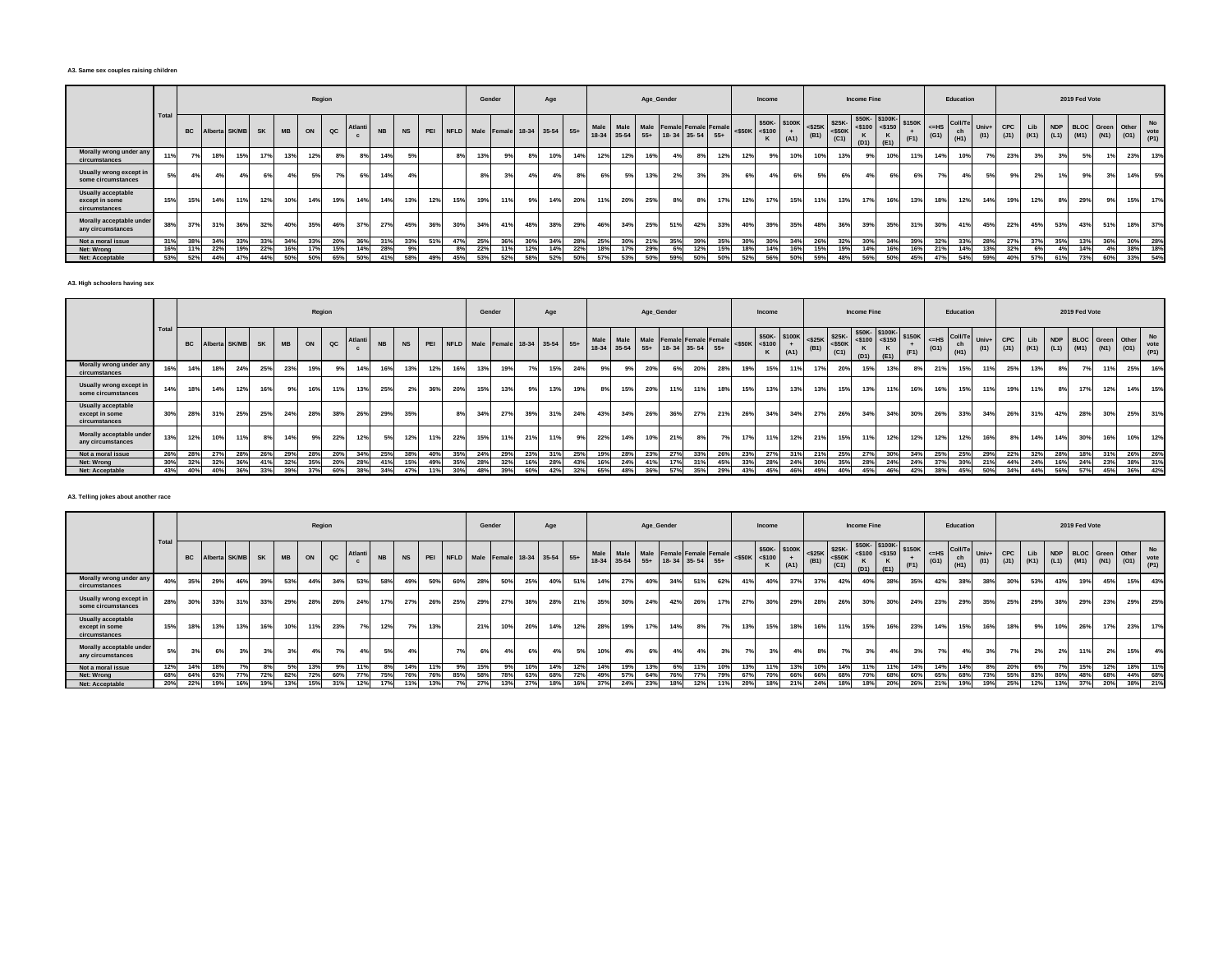#### **A3. Same sex couples raising children**

|                                                       |       |           |     |               |           |           |     | Region        |       |           |           |     |                                      | Gender |     |     | Age |     |     |                | Age_Gender |     |                                                                |     |                     | Income |      |      |                                                                                                                                                                                           | <b>Income Fine</b> |                                           |                |                 | Education                         |               |             |     |     | 2019 Fed Vote |                                                            |     |                           |
|-------------------------------------------------------|-------|-----------|-----|---------------|-----------|-----------|-----|---------------|-------|-----------|-----------|-----|--------------------------------------|--------|-----|-----|-----|-----|-----|----------------|------------|-----|----------------------------------------------------------------|-----|---------------------|--------|------|------|-------------------------------------------------------------------------------------------------------------------------------------------------------------------------------------------|--------------------|-------------------------------------------|----------------|-----------------|-----------------------------------|---------------|-------------|-----|-----|---------------|------------------------------------------------------------|-----|---------------------------|
|                                                       | Total | <b>BC</b> |     | Alberta SK/MB | <b>SK</b> | <b>MB</b> | ON  | $_{\alpha c}$ | Atlan | <b>NB</b> | <b>NS</b> |     | PEI NFLD Male Female 18-34 35-54 55+ |        |     |     |     |     |     | Male Male Male |            |     | <b>Female Female Female</b><br>18-34 35-54 55+ 18-34 35-54 55+ |     | $<$ \$50K $<$ \$100 |        | (A1) | (B1) | $\left \begin{array}{cc} $50K-\\ 8100 & + \end{array}\right $ $\left \begin{array}{cc} $25K-\\ 825K \end{array}\right $ $\left \begin{array}{cc} $25K-\\ 850K \end{array}\right $<br>(C1) | (D1)               | \$50K-\$100K-<br>$<$ \$100 <\$150<br>(E1) | \$150K<br>(F1) | $<=$ HS<br>(G1) | $\sim$ Coll/ $\tau$<br>ch<br>(H1) | Univ+<br>(11) | CPC<br>(J1) | Lib |     |               | NDP BLOC Green Other<br>$(K1)$ $(L1)$ $(M1)$ $(N1)$ $(O1)$ |     | <b>No</b><br>vote<br>(P1) |
| Morally wrong under any<br>circumstances              | 11%   |           | 18% | 15%           | 17%       | 13%       | 12% |               |       |           |           |     |                                      | 13%    | 9%  | 8%  | 10% | 14% | 12% | 12%            | 16%        |     | 8%                                                             | 12% |                     | 9%     | 10%  | 10%  | 13%                                                                                                                                                                                       | 9%                 | 10%                                       | 11%            | 14%             | 10%                               |               | 23%         |     |     |               |                                                            | 23% | 13%                       |
| Usually wrong except in<br>some circumstances         | 5%    | 4%        | 4%  | 4%            |           | 4%        | 5%  |               |       |           | 4%        |     |                                      | 8%     | 3%  | 4%  |     | 8%  | 6%  | 5%             | 13%        | 2%  | 3%                                                             |     | 6%                  | 4%     | 6%   |      | 6%                                                                                                                                                                                        |                    | 6%                                        |                | 7%              | 4%                                | 5%            |             | 2%  | 1%1 | 9%            |                                                            | 14% | 5%                        |
| Usually acceptable<br>except in some<br>circumstances | 15%   | 15%       | 14% | 11%           | 12%       | 10%       | 14% | 19%           | 14%   |           | 13%       | 12% | 15%                                  | 19%    | 11% | 9%  | 14% | 20% | 11% | 20%            | 25%        |     | 8%                                                             | 17% | 12%                 | 17%    | 15%  | 11%  |                                                                                                                                                                                           | 17%                | 16%                                       | 13%            | 18%             | 12%                               | 14%           | 19%         | 12% | 8%  | 29%           |                                                            | 15% | 17%                       |
| Morally acceptable under<br>any circumstances         | 38%   | 37%       | 31% | 36%           | 32%       | 40%       | 35% | 46%           | 37%   | 27%       | 45%       | 36% | 30%                                  | 34%    | 41% | 48% | 38% | 29% | 46% | 34%            | 25%        | 51% | 42%                                                            | 33% | 40%                 | 39%    | 35%  | 48%  | 36%                                                                                                                                                                                       | 39%                | 35%                                       | 31%            | 30%             | 41%                               | 45%           | 22%         | 45% | 53% | 43%           | 51%                                                        | 18% | 37%                       |
| Not a moral issue                                     | 31%   | 38%       | 34% | 33%           | 33%       | 34%       | 33% | 20%           | 36%   |           | 33%       | 51% | 47%                                  | 25%    | 36% | 30% | 34% | 28% | 25% | 30%            | 21%        | 35% | 39%                                                            | 35% | 30%                 | 30%    | 34%  | 26%  | 32%                                                                                                                                                                                       | 30%                | 34%                                       | 39%            | 32%             | 33%                               | 28%           | 27%         | 37% | 35% | 13%           | 36%                                                        | 30% | 28%                       |
| Net: Wrong                                            | 16%   |           | 22% | 19%           | 22%       | 16%       | 17% | 15%           | 14%   | 28%       |           |     |                                      | 22%    |     | 12% | 14% | 22% | 18% | 17%            | 29%        |     | 12%                                                            | 15% |                     |        |      | 15%  |                                                                                                                                                                                           | 14%                |                                           | 16%            | 21%             | 14%                               | 13%           | 32%         |     |     | 14%           |                                                            | 38% | 18%                       |
| Net: Acceptable                                       | 53%   | 52%       | 44% | 47%           | 44%       | 50%       | 50% | 65%           | 50%   |           | 58%       | 49% | 45%                                  | 53%    | 52% | 58% |     | 50% | 57% | 53%            | 50%        | 59% | 50%                                                            | 50% | 52%                 | 56%    | 50%  |      |                                                                                                                                                                                           |                    | 50%                                       | 45%            | 47%             | 54%                               | 59%           | 40%         | 57% | 61% | 73%           | 60%                                                        | 33% | 54%                       |

**A3. High schoolers having sex**

|                                                              |       |     |     |                  |     |           |     | Region        |     |           |           |     |     |     | Gender |     | Age                                  |     |      |     |     | Age_Gender |     |                                                                   |     |     | Income                              |      |      |      | <b>Income Fine</b> |                                                                                                                                                                                                                                                                                                               |     |                    | Education             |               |            |     |     |     | 2019 Fed Vote        |     |                                    |         |
|--------------------------------------------------------------|-------|-----|-----|------------------|-----|-----------|-----|---------------|-----|-----------|-----------|-----|-----|-----|--------|-----|--------------------------------------|-----|------|-----|-----|------------|-----|-------------------------------------------------------------------|-----|-----|-------------------------------------|------|------|------|--------------------|---------------------------------------------------------------------------------------------------------------------------------------------------------------------------------------------------------------------------------------------------------------------------------------------------------------|-----|--------------------|-----------------------|---------------|------------|-----|-----|-----|----------------------|-----|------------------------------------|---------|
|                                                              | Total |     |     | Alberta SK/MB SK |     | <b>MB</b> | ON  | $_{\alpha c}$ |     | <b>NB</b> | <b>NS</b> |     |     |     |        |     | PEI NFLD Male Female 18-34 35-54 55+ |     | Male |     |     |            |     | Male Male Female Female Female<br>18-34 35-54 55+ 18-34 35-54 55+ |     |     | \$50K-\$100K<br>$<$ \$50K $<$ \$100 | (A1) | (B1) | (C1) | (D1)               | $\left  \begin{array}{c} \text{S25K} \\ \text{S25K} \end{array} \right $ $\left  \begin{array}{c} \text{S25K} \\ \text{S25K} \end{array} \right $ $\left  \begin{array}{c} \text{S50K} \\ \text{S50K} \end{array} \right $ $\left  \begin{array}{c} \text{S150K} \\ \text{S150K} \end{array} \right $<br>(E1) |     | $\leq$ -HS<br>(G1) | Coll/Te<br>ch<br>(H1) | Univ+<br>(11) | <b>CPC</b> | Lib |     |     | NDP BLOC Green Other |     | (J1) (K1) (L1) (M1) (N1) (O1) vote | No      |
| Morally wrong under any<br>circumstances                     | 16%   | 14% | 18% | 24%              | 25% | 23%       | 19% |               |     |           | 13%       | 12% | 16% | 13% | 19%    |     | 15%                                  |     | 24%  |     |     | 20%        |     | 20%                                                               | 28% | 19% | 15%                                 | 11%  | 17%  | 20%  | 15%                | 13%                                                                                                                                                                                                                                                                                                           |     | 241                | 15%                   |               | 25%        |     | 13% |     |                      | 11% | 25%                                | 16%     |
| Usually wrong except in<br>some circumstances                | 14%   | 18% | 14% | 12%              | 16% | 9%        | 16% | 11%           | 13% | 25%       | 2%        | 36% | 20% | 15% | 13%    |     | 13%                                  |     | 19%  | 8%  | 15% | 20%        | 11% | 11%                                                               | 18% | 15% | 13%                                 | 13%  | 13%  | 15%  | 13%                | 11%                                                                                                                                                                                                                                                                                                           | 16% | 16%                | 15%                   |               | 19%        |     | 11% |     | 17%                  | 12% | 14%                                | 15%     |
| <b>Usually acceptable</b><br>except in some<br>circumstances | 30%   | 28% | 31% | 25%              | 25% | 24%       | 28% | 38%           | 26% | 29%       | 35%       |     | 8%  | 34% | 27%    | 39% | 31%                                  |     | 24%  | 43% | 34% | 26%        | 36% | 27%                                                               | 21% | 26% | 34%                                 | 34%  | 27%  | 26%  | 34%                | 34%                                                                                                                                                                                                                                                                                                           | 30% | 26%                | 33%                   | 34%           | 26%        | 31% |     | 42% | 28%                  | 30% | 25%                                | 31%     |
| Morally acceptable under<br>any circumstances                | 13%   | 12% | 10% | 11%              | 8%  | 14%       | 9%  | 22%           | 12% | 5%        | 12%       | 11% | 22% | 15% | 11%    | 21% | 11%                                  |     | 9%   | 22% | 14% | 10%        | 21% |                                                                   | 7%  | 17% | 11%                                 | 12%  | 21%  | 15%  | 11%                | 12%                                                                                                                                                                                                                                                                                                           | 12% | 12%                | 12%                   |               |            |     | 14% | 14% | 30%                  | 16% | 10%                                | 12%     |
| Not a moral issue                                            | 26%   | 28% | 27% | 28%              | 26% | - 29%     | 28% | 20%           | 34% | 25%       | 38%       | 40% | 35% | 24% | 29%    | 23% | 31%                                  | 25% |      | 19% | 28% | 23%        | 27% | 33%                                                               | 26% | 23% | 27%                                 | 31%  | 21%  | 25%  | 27%                | 30%                                                                                                                                                                                                                                                                                                           | 34% | 25%                | 25%                   | 29%           | 22%        | 32% |     | 28% | 18%                  | 31% | 26%                                | 26%     |
| Net: Wrong                                                   | 30%   | 32% | 32% | 36%              | 41% | 32%       | 35% | 20%           | 28% | 41%       | 15%       | 49% | 35% | 28% | 32%    | 16% | 28%                                  |     | 43%  | 16% | 24% | 41%        |     | 31%                                                               | 45% | 33% | 28%                                 | 24%  | 30%  | 35%  | 28%                | 24%                                                                                                                                                                                                                                                                                                           | 24% | 37%                | 30%                   |               | 44%        | 24% |     | 16% | 24%                  | 23% |                                    | 38% 31% |
| Net: Acceptable                                              | 43%   | 40% | 40% | 36%              | 33% | 39%       | 37% | 60%           | 38% | 34%       | 47%       |     | 30% | 48% | 39%    | 60% | 42%                                  |     | 32%  | 65% | 48% | 36%        | 57% | 35%                                                               | 29% | 43% | 45%                                 | 46%  | 49%  | 40%  | 45%                | 46%                                                                                                                                                                                                                                                                                                           | 42% | 38%                | 45%                   | 50%           | 34%        |     | 44% | 56% | 57%                  | 45% | 36%                                | 42%     |

# **A3. Telling jokes about another race**

|                                                              |      |           |     |               |           |           |     | Region |         |           |           |     |                                      | Gender |     |     | Age |     |      |     | Age_Gender |     |                                                                   |     |     | Income              |                      |      |                                                                                                                                | <b>Income Fine</b> |      |      |                    | Education       |     |     |     |     | 2019 Fed Vote |     |                                                                                 |     |
|--------------------------------------------------------------|------|-----------|-----|---------------|-----------|-----------|-----|--------|---------|-----------|-----------|-----|--------------------------------------|--------|-----|-----|-----|-----|------|-----|------------|-----|-------------------------------------------------------------------|-----|-----|---------------------|----------------------|------|--------------------------------------------------------------------------------------------------------------------------------|--------------------|------|------|--------------------|-----------------|-----|-----|-----|-----|---------------|-----|---------------------------------------------------------------------------------|-----|
|                                                              | Tota | <b>BC</b> |     | Alberta SK/MB | <b>SK</b> | <b>MB</b> | ON  | QC     | Atlanti | <b>NB</b> | <b>NS</b> |     | PEI NFLD Male Female 18-34 35-54 55+ |        |     |     |     |     | Male |     |            |     | Male Male Female Female Female<br>18-34 35-54 55+ 18-34 35-54 55+ |     |     | $<$ \$50K $<$ \$100 | \$50K-\$100K<br>(A1) | (B1) | $\left \begin{array}{c} \text{S25K} \\ \text{S25K} \\ \text{S30K} \end{array}\right $ = \$50K- \$100K- \$150K \$150K =<br>(C1) | (D1)               | (E1) | (F1) | $\leq$ =HS<br>(G1) | Coll/Te Univ+ I |     |     |     |     |               |     | CPC Lib NDP BLOC Green Other<br>ch (H1) (I1) (J1) (K1) (L1) (M1) (N1) (O1) (P1) | No  |
| Morally wrong under any<br>circumstances                     | 40%  | 35%       | 29% | 46%           | 39%       | 53%       | 44% | 34%    | 53%     | 58%       | 49%       | 50% | 60%                                  | 28%    | 50% | 25% | 40% | 51% | 14%  | 27% | 40%        | 34% | 51%                                                               | 62% | 41% | 40%                 | 37%                  | 37%  | 42%                                                                                                                            | 40%                | 38%  | 35%  | 42%                | 38%             | 38% | 30% | 53% | 43% | 19%           | 45% | 15%                                                                             | 43% |
| Usually wrong except in<br>some circumstances                | 28%  | 30%       | 33% | 31%           | 33%       | 29%       | 28% | 26%    | 24%     | 17%       | 27%       | 26% | 25%                                  | 29%    | 27% | 38% | 28% | 21% | 35%  | 30% | 24%        | 42% | 26%                                                               | 17% | 27% | 30%                 | 29%                  | 28%  | 26%                                                                                                                            | 30%                | 30%  | 24%  | 23%                | 29%             | 35% | 25% | 29% | 38% | 29%           | 23% | 29%                                                                             | 25% |
| <b>Usually acceptable</b><br>except in some<br>circumstances | 15%  | 18%       | 13% | 13%           | 16%       | 10%       | 11% | 23%    | 7%      | 12%       | 7%        | 13% |                                      | 21%    | 10% | 20% | 14% | 12% | 28%  | 19% | 17%        | 14% | 8%                                                                | 7%  | 13% | 15%                 | 18%                  | 16%  | 11%                                                                                                                            | 15%                | 16%  | 23%  | 14%                | 15%             | 16% | 18% | 9%  | 10% | 26%           | 17% | 23%                                                                             | 17% |
| Morally acceptable under<br>any circumstances                | 5%   |           | 6%  | 3%            | 3%        | 3%        | 4%  | 7%     |         | 5%        | 4%        |     | 7%                                   | 6%     | 4%  | 6%  | 4%  | 5%  | 10%  |     | 6%         | 4%  | 4%                                                                |     | 7%  | 3%                  |                      | 8%   | 7%                                                                                                                             | 3%                 |      | 3%   | 7%                 | 4%              | 3%  | 7%  | 2%  | 2%  | 11%           | 2%  | 15%                                                                             | 4%  |
| Not a moral issue                                            | 12%  | 14%       | 18% |               |           |           |     |        |         | 8%        | 14%       |     |                                      | 15%    | 9%  | 10% |     | 12% | 14%  | 19% | 13%        | 6%  | 11%                                                               | 10% | 13% | 11%                 | 13%                  | 10%  | 14%                                                                                                                            | 11%                | 11%  | 14%  | 14%                | 14%             | 8%  | 20% | 6%  |     | 15%           | 12% | 18%                                                                             | 11% |
| Net: Wrong                                                   | 68%  | 64%       | 63% |               | 72%       | 82%       | 72% | 60%    |         | 75%       | 76%       |     | 85%                                  | 58%    | 78% | 63% | 68% | 72% | 49%  |     |            |     |                                                                   | 79% | 67% | 70%                 | 66%                  | 66%  | 68%                                                                                                                            | <b>70%</b>         | 68%  | 60%  | 65%                | 68%             |     | 55% | 83% | 80% | 48%           | 68% | 44%                                                                             | 68% |
| Net: Acceptable                                              | 20%  | 22%       | 19% | 16%           | 19%       | 13%       | 15% | 31%    |         |           |           | 13% |                                      | 27%    | 13% | 27% |     |     | 37   | 24% | 23%        | 18% | 12%                                                               | 11% | 20% | 18%                 | 21%                  |      |                                                                                                                                | 18%                | 20%  | 26%  | 21%                | 19%             | 19% | 25% |     | 13% | 37%           | 20% | 38%                                                                             | 21% |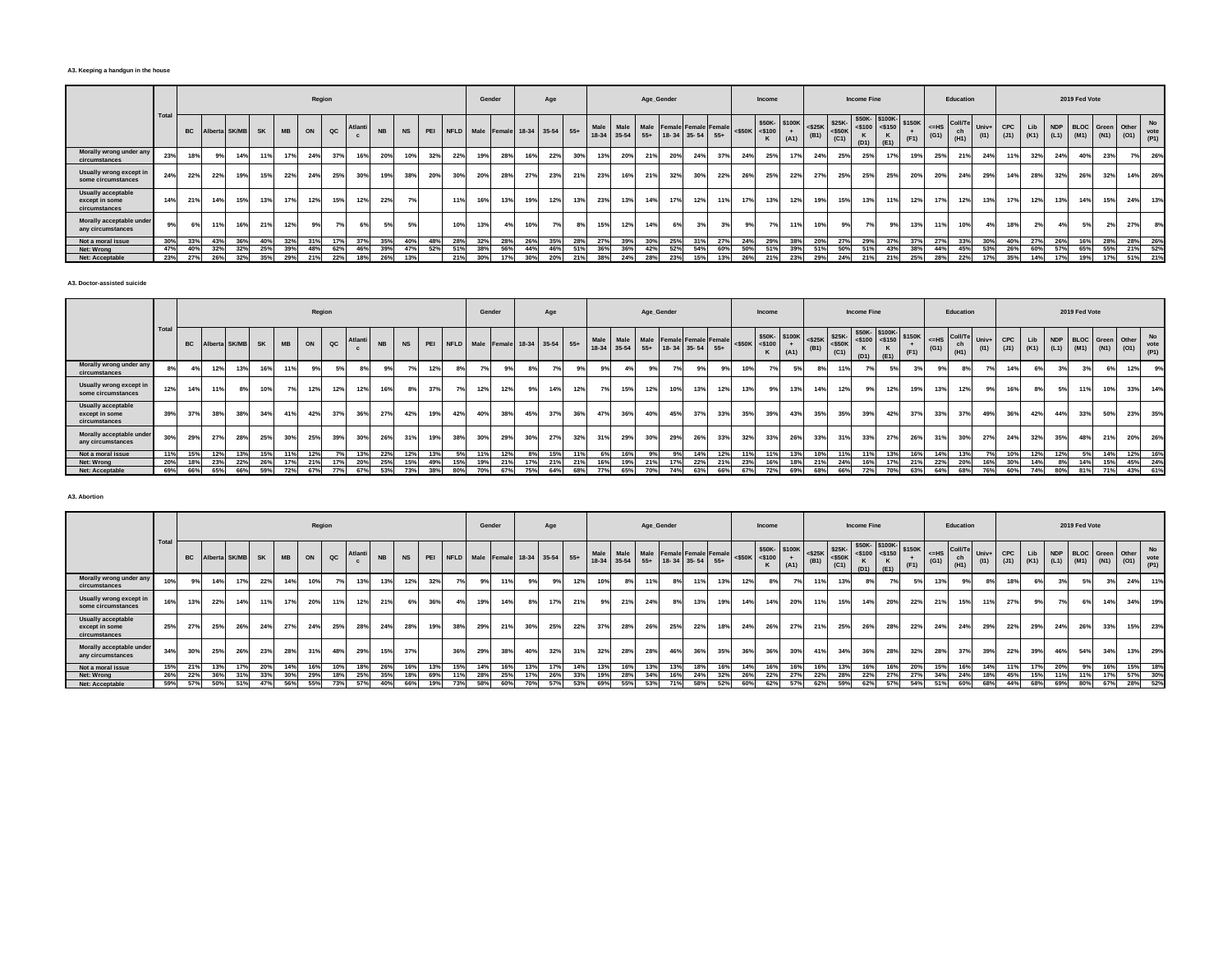#### **A3. Keeping a handgun in the house**

|                                                       |      |           |     |                  |     |           |     | Region        |        |           |           |     |     | Gender |     |     | Age                                  |     |               |           | Age_Gender |     |                                                       |            |                     | Income |                             |      |                                                                                                                                                                                                                                                                                                                          | <b>Income Fine</b> |                                                          |                |               | Education                   |               |             |            |     | 2019 Fed Vote |     |                                                            |                           |
|-------------------------------------------------------|------|-----------|-----|------------------|-----|-----------|-----|---------------|--------|-----------|-----------|-----|-----|--------|-----|-----|--------------------------------------|-----|---------------|-----------|------------|-----|-------------------------------------------------------|------------|---------------------|--------|-----------------------------|------|--------------------------------------------------------------------------------------------------------------------------------------------------------------------------------------------------------------------------------------------------------------------------------------------------------------------------|--------------------|----------------------------------------------------------|----------------|---------------|-----------------------------|---------------|-------------|------------|-----|---------------|-----|------------------------------------------------------------|---------------------------|
|                                                       | Tota | <b>BC</b> |     | Alberta SK/MB SK |     | <b>MB</b> | ON  | $_{\alpha c}$ | Atlant | <b>NB</b> | <b>NS</b> |     |     |        |     |     | PEI NFLD Male Female 18-34 35-54 55+ |     | Male<br>18-34 | $35 - 54$ |            |     | Male Male Female Female Female<br>55+ 18-34 35-54 55+ |            | $<$ \$50K $<$ \$100 |        | \$50K-\$100K<br>$+$<br>(A1) | (B1) | $\left  \begin{array}{c} 1.36 \leq 25 \leq 50 \leq 50 \leq 50 \leq 50 \leq 50 \leq 50 \leq 50 \leq 50 \leq 50 \leq 50 \leq 50 \leq 50 \leq 50 \leq 50 \leq 50 \leq 50 \leq 50 \leq 50 \leq 50 \leq 50 \leq 50 \leq 50 \leq 50 \leq 50 \leq 50 \leq 50 \leq 50 \leq 50 \leq 50 \leq 50 \leq 50 \leq 50 \leq 50 \$<br>(C1) |                    | \$50K-\$100K-<br>$ $ <\$100 <\$150<br>ĸ<br>$(D1)$ $(E1)$ | \$150K<br>(F1) | $=HS$<br>(G1) | <b>Coll/T</b><br>ch<br>(H1) | Univ+<br>(11) | CPC<br>(J1) | Lib        |     |               |     | NDP BLOC Green Other<br>$(K1)$ $(L1)$ $(M1)$ $(N1)$ $(O1)$ | <b>No</b><br>vote<br>(P1) |
| Morally wrong under any<br>circumstances              | 23%  | 18%       |     | 14%              | 11% |           | 24% | 37%           | 16%    | 20%       | 10%       | 32% | 22% |        | 28% | 16% | 22%                                  | 30% | 13%           | 20%       | 21%        | 20% | 24%                                                   | 37%        |                     | 25%    | <b>17%</b>                  | 24%  | 25%                                                                                                                                                                                                                                                                                                                      | 25%                | 17%                                                      | 19%            | 25%           | 21%                         | 24%           | 11%         | 32%        | 24% | 40%           | 23% | 7%                                                         | 26%                       |
| Usually wrong except in<br>some circumstances         | 24%  | 22%       | 22% | 19%              | 15% | 22%       | 24% | 25%           | 30%    | 19%       | 38%       | 20% | 30% | 20%    | 28% | 27% | 23%                                  | 21% | 23%           | 16%       | 21%        | 32% | 30%                                                   | $22^\circ$ | 26%                 | 25%    | 22%                         | 27%  | 25%                                                                                                                                                                                                                                                                                                                      | 25%                | 25%                                                      | 20%            | 20%           | 24%                         | 29%           | 14%         | 28%        | 32% | 26%           | 32% | 14%                                                        | 26%                       |
| Usually acceptable<br>except in some<br>circumstances | 14%  | 21%       | 14% | 15%              | 13% | 17%       | 12% | 15%           | 12%    | 22%       | 7%        |     | 119 |        | 13% | 19% | 12%                                  | 13% | 23%           | 13%       | 14%        | 17% | 12%                                                   | 119        |                     | 13%    | 12%                         | 19%  | 15%                                                                                                                                                                                                                                                                                                                      | 13%                | 11%                                                      | 12%            | 17%           | 12%                         | 13%           | 17%         | 12%        | 13% | 14%           | 15% | 24%                                                        | 13%                       |
| Morally acceptable under<br>any circumstances         |      | 6%        | 11% | 16%              | 21% |           | 9%  |               |        | 5%        | 5%        |     | 10% | 13%    | 4%  | 10% |                                      | 8%  | 15%           | 12%       | 14%        | 6%  | 20I                                                   |            |                     | 7°     |                             | 10%  | 9%                                                                                                                                                                                                                                                                                                                       | 7 <sup>°</sup>     | 9%                                                       | 13%            | 11%           | 10%                         | 4%            | 18%         | 2%         | 4%  | 5%            |     | 27%                                                        | 8%                        |
| Not a moral issue                                     | 30%  | 33%       | 43% | 36%              | 40% | 32%       | 31% |               | 37%    | 35%       | 40%       | 48% | 28% | 32%    | 28% | 26% | 35%                                  | 28% | 27%           | 39%       | 30%        | 25% | 2401                                                  | 27%        |                     | 29%    | 38%                         | 20%  | 27%                                                                                                                                                                                                                                                                                                                      | 29%                | 37%                                                      | 37%            | 27%           | 33%                         | 30%           | 40%         | <b>27%</b> | 26% | 16%           | 28% | 28%                                                        | 26%                       |
| Net: Wrong                                            | 47%  | 40%       | 32% | 32%              | 25% | 39%       | 48% | 62%           | 46%    | 39%       | 47%       | 52% | 519 | 38%    | 56% | 44% | 46%                                  | 51% | 36%           | 36%       | 42%        | 52% | 54%                                                   | 60%        |                     | 51%    | 39%                         | 51%  |                                                                                                                                                                                                                                                                                                                          | 51%                | 43%                                                      | 38%            | 44%           | 45%                         | 53%           | 26%         | 60%        | 57% | 65%           | 55% | 21%                                                        | 52%                       |
| Net: Acceptable                                       | 23%  | 27%       | 26% | 32%              | 35% | 29%       | 21% | 22%           | 18%    | 26%       | 13%       |     | 21% | 30%    | 17% | 30% | 20%                                  | 21% | 38%           | 24%       | 28%        | 23% |                                                       |            |                     | 21%    | 23%                         | 29%  | 24%                                                                                                                                                                                                                                                                                                                      | 21%                | 21%                                                      | 25%            | 28%           | 22%                         | 17%           | 35%         | 14%        | 17% | 19%           | 17% | 51%                                                        | 21%                       |

**A3. Doctor-assisted suicide**

|                                                              |       |           |     |                  |     |           |     | Region      |         |           |           |     |     | Gender |     |     | Age                                  |     |      |     |                                                                   | Age_Gender |     |     |                     | Income |                       |     |                                                                                              | <b>Income Fine</b> |                                                                                                                                                                                                                                                                                                                                       |                |                    | Education             |                 |                                           |     |            | 2019 Fed Vote |     |                         |                   |
|--------------------------------------------------------------|-------|-----------|-----|------------------|-----|-----------|-----|-------------|---------|-----------|-----------|-----|-----|--------|-----|-----|--------------------------------------|-----|------|-----|-------------------------------------------------------------------|------------|-----|-----|---------------------|--------|-----------------------|-----|----------------------------------------------------------------------------------------------|--------------------|---------------------------------------------------------------------------------------------------------------------------------------------------------------------------------------------------------------------------------------------------------------------------------------------------------------------------------------|----------------|--------------------|-----------------------|-----------------|-------------------------------------------|-----|------------|---------------|-----|-------------------------|-------------------|
|                                                              | Total | <b>BC</b> |     | Alberta SK/MB SK |     | <b>MB</b> | ON  | $_{\rm QC}$ | Atlanti | <b>NB</b> | <b>NS</b> |     |     |        |     |     | PEI NFLD Male Female 18-34 35-54 55+ |     | Male |     | Male Male Female Female Female<br>18-34 35-54 55+ 18-34 35-54 55+ |            |     |     | $<$ \$50K $<$ \$100 |        | \$50K- \$100K<br>(A1) |     | $\left \frac{$25K}{(B1)}\right $ = \$25K-<br>(B1) = $\left \frac{$25K}{(C4)}\right $<br>(C1) | (D1)               | \$50K-\$100K-<br>$-4$ = $\frac{1}{2}$ = $\frac{1}{2}$ = $\frac{1}{2}$ = $\frac{1}{2}$ = $\frac{1}{2}$ = $\frac{1}{2}$ = $\frac{1}{2}$ = $\frac{1}{2}$ = $\frac{1}{2}$ = $\frac{1}{2}$ = $\frac{1}{2}$ = $\frac{1}{2}$ = $\frac{1}{2}$ = $\frac{1}{2}$ = $\frac{1}{2}$ = $\frac{1}{2}$ = $\frac{1}{2}$ = $\frac{1}{2}$<br>$ E1\rangle$ | (F1)           | $\leq$ -HS<br>(G1) | Coll/Te<br>ch<br>(H1) | $Univ+$<br>(11) | CPC<br>$(J1)$ $(K1)$ $(L1)$ $(M1)$ $(N1)$ | Lib | <b>NDP</b> |               |     | <b>BLOC</b> Green Other | No<br>$(01)$ vote |
| Morally wrong under any<br>circumstances                     |       | 4%        | 12% | 13%              | 16% | 11%       | 9%  |             |         | 9%        |           | 12% | 8%  |        | 9%  |     |                                      | 9%  | 9%   |     |                                                                   |            |     |     | 10%                 |        | 5%                    |     | 11%                                                                                          |                    |                                                                                                                                                                                                                                                                                                                                       | 3 <sup>9</sup> | 9%                 |                       | 7%1             | 14%                                       |     |            |               | 6%  | 12%                     | 9%                |
| Usually wrong except in<br>some circumstances                | 12%   | 14%       | 11% | 8%               | 10% | 7%        | 12% | 12%         | 12%     | 16%       | 8%        | 37% | 7%  | 12%    | 12% |     | 14%                                  | 12% |      | 15% | 12%                                                               | 10%        | 13% | 12% | 13%                 | $Q_0$  | 13%                   | 14% | 12%                                                                                          |                    |                                                                                                                                                                                                                                                                                                                                       | 19%            | 13%                | 12%                   | 9%              | 16%                                       | 8%  |            | 11%           | 10% | 33%                     | 14%               |
| <b>Usually acceptable</b><br>except in some<br>circumstances | 39%   | 37%       | 38% | 38%              | 34% | 41%       | 42% | 37%         | 36%     | 27%       | 42%       | 19% | 42% | 40%    | 38% | 45% | 37%                                  | 36% | 47%  | 36% | 40%                                                               | 45%        | 37% | 33% | 35%                 | 39%    | 43%                   | 35% | 35%                                                                                          | 39%                | 42%                                                                                                                                                                                                                                                                                                                                   | 37%            | 33%                | 37%                   | 49%             | 36%                                       | 42% | 44%        | 33%           | 50% | 23%                     | 35%               |
| Morally acceptable under<br>any circumstances                | 30%   | 29%       | 27% | 28%              | 25% | 30%       | 25% | 39%         | 30%     | 26%       | 31%       | 19% | 38% | 30%    | 29% | 30% | 27%                                  | 32% | 31%  | 29% | 30%                                                               | 29%        | 26% | 33% | 32%                 | 33%    | 26%                   | 33% | 31%                                                                                          | 33%                | 27%                                                                                                                                                                                                                                                                                                                                   | 26%            | 319                | 30%                   | 27%             | 24%                                       | 32% | 35%        | 48%           | 21% | 20%                     | 26%               |
| Not a moral issue                                            | 11%   | 15%       | 12% | 13%              | 15% | 11%       | 12% |             | 13%     | 22%       | 12%       | 13% | 5%  | 11%    | 12% |     | 15%                                  | 11% | 6%   | 16% | 9%                                                                | 9%         | 14% | 12% | 11%                 | 11%    | 13%                   | 10% | 11%                                                                                          |                    |                                                                                                                                                                                                                                                                                                                                       | 16%            | 14%                | 13%                   |                 | 10%                                       | 12% | 12%        | .5%           | 14% | 12%                     | 16%               |
| Net: Wrong                                                   | 20%   | 18%       | 23% | 22%              | 26% |           | 21% |             | 20%     | 25%       | 15%       | 49% | 15% | 19%    | 21% | 17% | 21%                                  | 21% | 16%  |     | 21%                                                               | 17         | 22% |     | 23%                 | 16%    | 18%                   | 21% | 24%                                                                                          |                    |                                                                                                                                                                                                                                                                                                                                       |                | 22%                | 20%                   | 16%             | 30%                                       | 14% |            | 14%           | 15% | 45%                     | 24%               |
| Net: Acceptable                                              | 69%   | 66%       | 65% | 66%              | 59% | 72%       | 67% | 77%         | 67%     | 53%       | 73%       | 38% | 80% | 70%    | 67% | 75% | 64%                                  | 68% | 77%  | 65% | 70%                                                               | 74%        | 63% | 66% | 67%                 | 72%    | 69%                   | 68% | 66%                                                                                          | 72%                |                                                                                                                                                                                                                                                                                                                                       | 63%            | 64%                | 68%                   | 76%             | 60%                                       | 74% | 80%        | 81%           | 71% | 43%                     | 61%               |

**A3. Abortion**

|                                                              |      |     |     |                  |     |           |     | Region |         |           |           |     |                                  |     | Gender |     | Age |     |                     |      | Age_Gender |     |                                                  |     |     | Income                              |             |      |                                                                         | <b>Income Fine</b> |                                                |      |               | Education                     |      |                                |     |     | 2019 Fed Vote        |               |             |     |
|--------------------------------------------------------------|------|-----|-----|------------------|-----|-----------|-----|--------|---------|-----------|-----------|-----|----------------------------------|-----|--------|-----|-----|-----|---------------------|------|------------|-----|--------------------------------------------------|-----|-----|-------------------------------------|-------------|------|-------------------------------------------------------------------------|--------------------|------------------------------------------------|------|---------------|-------------------------------|------|--------------------------------|-----|-----|----------------------|---------------|-------------|-----|
|                                                              | Tota |     |     | Alberta SK/MB SK |     | <b>MB</b> | ON  | QC     | Atlanti | <b>NE</b> | <b>NS</b> | PEI | NFLD Male Female 18-34 35-54 55+ |     |        |     |     |     | Male<br>18-34 35-54 | Male |            |     | Male Female Female Female<br>55+ 18-34 35-54 55+ |     |     | \$50K-\$100K<br>$<$ \$50K $<$ \$100 | $+$<br>(A1) | (B1) | $\left \frac{$25K}{94}\right $ $\left \frac{$25K}{950K}\right $<br>(C1) | K.<br>(D1)         | $$50K $100K $150K$<br><\$100 <\$150 \,<br>(E1) | (F1) | $=HS$<br>(G1) | Coll/Te Univ+ I<br>ch<br>(H1) | (11) | <b>CPC</b><br>$(J1)$ (K1) (L1) | Lib |     | NDP BLOC Green Other | $(M1)$ $(N1)$ | $(01)$ vote | No  |
| Morally wrong under any<br>circumstances                     | 10%  |     | 14% | 17%              | 22% |           | 10% |        | 13%     | 13%       | 12%       | 32% |                                  |     | 11%    |     |     | 12% | 10%                 |      | 11%        | 8%  | 11%                                              | 13% | 12% | 8%                                  |             | 11%  | 13%                                                                     | 8%                 |                                                | 5%   | 13%           | 9%                            | 8%   | 18%                            | 6%  |     |                      | 3%            | 24%         | 11% |
| Usually wrong except in<br>some circumstances                | 16%  | 13% | 22% | 14%              | 11% | 17%       | 20% | 11%    | 12%     | 21%       | 6%1       | 36% |                                  | 19% | 14%    |     | 17% | 21% | 9%                  | 21%  | 24%        | 8%  | 13%                                              | 19% | 14% | 14%                                 | 20%         | 11%  | 15%                                                                     | 14%                | 20%                                            | 22%  | 21%           | 15%                           | 11%  | 27%                            | 9%  | 7%  | 6%                   | 14%           | 34%         | 19% |
| <b>Usually acceptable</b><br>except in some<br>circumstances | 25%  | 27% | 25% | 26%              | 24% | 27%       | 24% | 25%    | 28%     | 24%       | 28%       | 19% | 38%                              | 29% | 21%    | 30% | 25% | 22% | 37%                 | 28%  | 26%        | 25% | 22%                                              | 18% | 24% | 26%                                 | 27%         | 21%  | 25%                                                                     | 26%                | 28%                                            | 22%  | 24%           | 24%                           | 29%  | 22%                            | 29% | 24% | 26%                  | 33%           | 15%         | 23% |
| Morally acceptable under<br>any circumstances                | 34%  | 30% | 25% | 26%              | 23% | 28%       | 31% | 48%    | 29%     | 15%       | 37%       |     | 36%                              | 29% | 38%    | 40% | 32% | 31% | 32%                 | 28%  | 28%        | 46% | 36%                                              | 35% | 36% | 36%                                 | 30%         | 41%  | 34%                                                                     | 36%                | 28%                                            | 32%  | 28%           | 37%                           | 39%  | 22%                            | 39% | 46% | 54%                  | 34%           | 13%         | 29% |
| Not a moral issue                                            | 15%  | 21% | 13% |                  | 20% |           | 16% | 10%    | 18%     | 26%       | 16%       |     | 15%                              | 14% | 16%    | 13% |     | 14% | 13%                 | 16%  | 13%        | 13% | 18%                                              |     | 14% | 16%                                 | 16%         | 16%  | 13%                                                                     | 16%                | 16%                                            | 20%  | 15%           | 16%                           | 14%  | 11%                            | 17% | 20% |                      | 16%           | 15%         | 18% |
| Net: Wrong                                                   | 26%  |     |     |                  | 33% | 30%       | 29% |        | 25%     | 35%       | 18%       | 69% |                                  | 28% | 25%    |     | 26% | 33% | 19%                 | 28%  | 34%        | 16% | 24%                                              | 32% | 26% | 22%                                 |             | 22%  | 28%                                                                     | 22%                |                                                | 27%  | 34%           | 24%                           | 18%  | 45%                            | 15% | 11% | 11%                  | 17%           | 57%         | 30% |
| Net: Acceptable                                              | 59%  | 57% | 50% | 51%              | 47% | 56%       | 55% | 73%    | 57%     | 40%       | 66%       |     |                                  |     | 60%    | 70% |     | 53% | 69%                 |      |            | 71% | 58%                                              | 52% | 60% | 62%                                 | 57%         | 62%  | 59%                                                                     | 62%                |                                                | 54%  | 51%           | 60%                           | 68%  | 44%                            | 68% | 69% | 80%                  | 67%           | 28%         | 52% |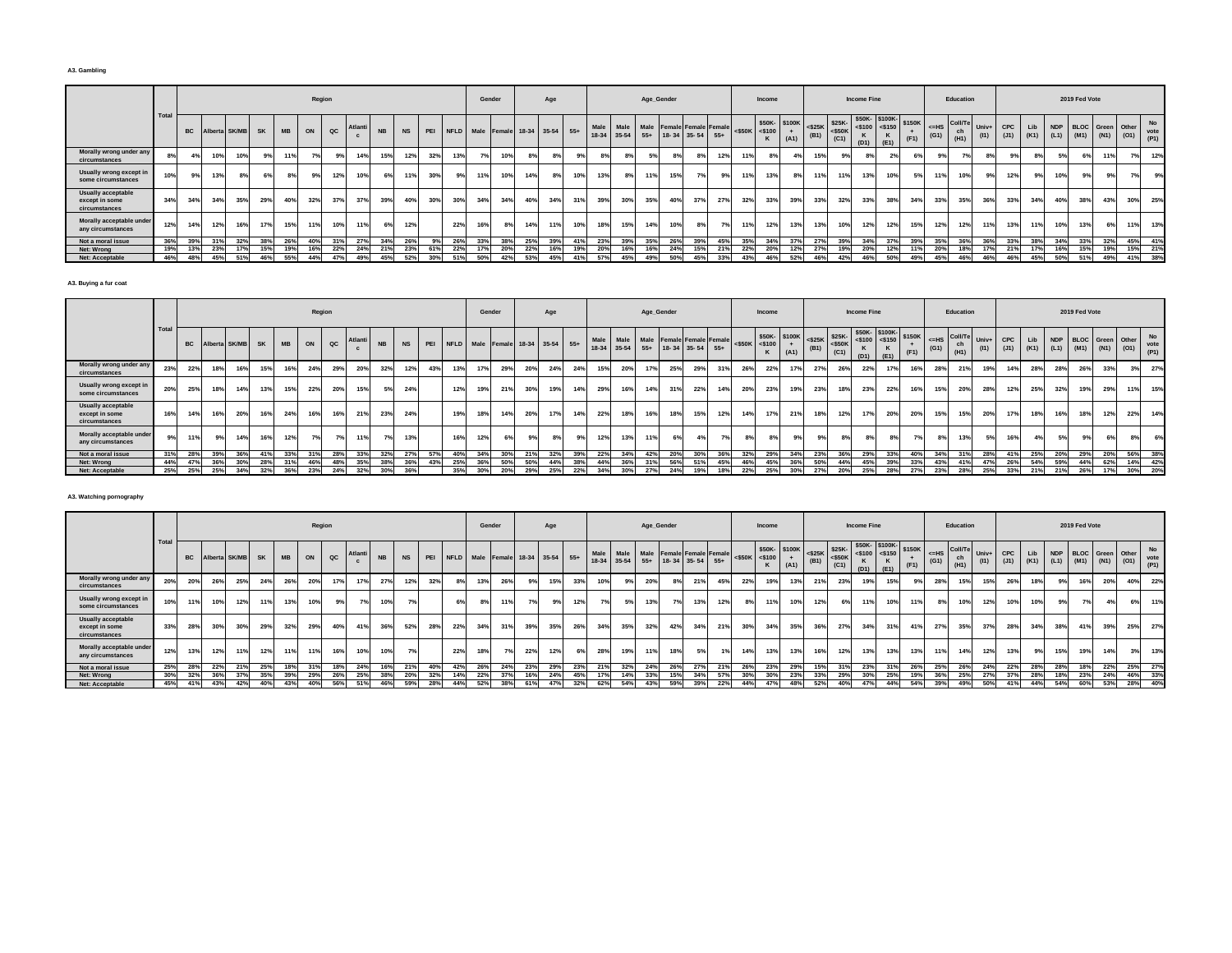#### **A3. Gambling**

|                                                       |      |     |     |                            |     |     |     | Region        |         |           |           |     |     | Gender                               |     |     | Age |     |                |       | Age_Gender |     |                                                       |                 |                     | Income       |                |      |                                       | <b>Income Fine</b>         |                                 |                |                | Education                                     |               |             |     |     | 2019 Fed Vote        |     |                          |                           |
|-------------------------------------------------------|------|-----|-----|----------------------------|-----|-----|-----|---------------|---------|-----------|-----------|-----|-----|--------------------------------------|-----|-----|-----|-----|----------------|-------|------------|-----|-------------------------------------------------------|-----------------|---------------------|--------------|----------------|------|---------------------------------------|----------------------------|---------------------------------|----------------|----------------|-----------------------------------------------|---------------|-------------|-----|-----|----------------------|-----|--------------------------|---------------------------|
|                                                       | Tota |     |     | <b>BC</b> Alberta SK/MB SK |     | MB  | ON  | $_{\alpha c}$ | Atlanti | <b>NB</b> | <b>NS</b> |     |     | PEI NFLD Male Female 18-34 35-54 55+ |     |     |     |     | Male<br>18-34  | 35-54 |            |     | Male Male Female Female Female<br>55+ 18-34 35-54 55+ |                 | $<$ \$50K $<$ \$100 | \$50K-\$100K | (A1)           | (B1) | $<$ \$25K \$25K-<br>$<$ \$50K<br>(C1) | $<$ \$100<br>$(D1)$ $(E1)$ | \$50K-\$100K-<br>$<$ \$150<br>ĸ | \$150K<br>(F1) |                | $ \left $ <=HS Coll/Te<br>ch<br>$(G1)$ $(H1)$ | Univ+<br>(11) | CPC<br>(J1) | Lib |     | NDP BLOC Green Other |     | (K1) (L1) (M1) (N1) (O1) | <b>No</b><br>vote<br>(P1) |
| Morally wrong under any<br>circumstances              |      |     | 10% | 10%                        |     |     | 7%  | 9%            | 14%     | 15%       | 12%       | 32% | 13% |                                      | 10% |     |     | 9%  | 8 <sup>0</sup> |       | E9/        |     | 8%                                                    | 12%             |                     | 8%           |                | 15%  | 9%                                    | 8%                         | 2%                              |                | Q <sub>0</sub> | 7%                                            |               |             | 8%  | 5%  | 6%                   |     | 7%                       | 12%                       |
| Usually wrong except in<br>some circumstances         | 10%  |     | 13% | 8%                         |     |     |     | 12%           | 10%     | 6%        | 11%       | 30% |     |                                      | 10% | 14% |     | 10% | 13%            | 8%    | 11%        | 15% |                                                       |                 |                     | 13%          | 8 <sup>°</sup> |      | 11%                                   | 13%                        | 10%                             |                | 11%            | 10%                                           | 9%            | 12%         | 9%  | 10% | 9%                   |     | 7%                       | 9%                        |
| Usually acceptable<br>except in some<br>circumstances | 34%  | 34% | 34% | 35%                        | 29% | 40% | 32% | 37%           | 37%     | 39%       | 40%       | 30% | 30% | 34%                                  | 34% | 40% | 34% | 31% | 39%            | 30%   | 35%        | 40% | 37%                                                   | $27^\circ$      | 32%                 | 33%          | 39%            | 33%  | 32%                                   | 33%                        | 38%                             | 34%            | 33%            | 35%                                           | 36%           | 33%         | 34% | 40% | 38%                  | 43% | 30%                      | 25%                       |
| Morally acceptable under<br>any circumstances         | 12%  | 14% | 12% | 16%                        | 17% | 15% | 11% | 10%           | 11%     | 6%        | 12%       |     | 22% | 16%                                  | 8%  | 14% | 11% | 10% | 18%            | 15%   | 14%        | 10% | 8%                                                    |                 |                     | 12%          | 13%            | 13%  | 10%                                   | 12%                        | 12%                             | 15%            | 12%            | 12%                                           | 11%           | 13%         | 11% | 10% | 13%                  | 6%  | 11%                      | 13%                       |
| Not a moral issue                                     | 36%  | 39% | 31% | 32%                        | 38% | 26% | 40% | 31%           | 27%     | 34%       | 26%       | 9%  | 26% | 33%                                  | 38% | 25% | 39% | 41% | 23%            | 39%   | 35%        | 26% | 39%                                                   | 45%             | 35%                 | 34%          | 37%            | 27%  | 39%                                   | 34%                        | 37%                             | 39%            | 35%            | 36%                                           | 36%           | 33%         | 38% | 34% | 33%                  | 32% | 45%                      | 41%                       |
| Net: Wrong                                            | 19%  | 13% | 23% | 17%                        | 15% |     |     | 22%           | 24%     | 21%       | 23%       | 61% | 22% |                                      | 20% | 22% | 16% | 19% | 20%            | 16%   | 16%        | 24% | 15%                                                   | 21 <sup>5</sup> | 22%                 |              | 12%            | 27%  |                                       | 20%                        |                                 |                | 20%            | 18%                                           | 17%           | 21%         | 17% | 16% | 15%                  |     | 15%                      | 21%                       |
| Net: Acceptable                                       | 46%  | 48% | 45% | 51%                        | 46% | 55% | 44% | 47%           | 49%     | 45%       | 52%       | 30% | 51% | 50%                                  | 42% | 53% | 45% | 41% | 57%            | 45%   | 49%        | 50% | 45%                                                   | 33%             | 43%                 | 46%          | 52%            | 46%  | 42%                                   | 46%                        | 50%                             | 49%            | 45%            | 46%                                           | 46%           | 46%         | 45% | 50% | 51%                  | 49% | 41%                      | 38%                       |

**A3. Buying a fur coat**

|                                                              |       |           |     |                  |     |           |     | Region      |         |           |           |     |     |     | Gender |     | Age                                  |     |      |     |     | Age_Gender |                                                                   |     |                     | Income |                       |     |                                                                                                 | <b>Income Fine</b> |                                                                                      |      |                    | Education             |                 |     |     |            | 2019 Fed Vote |                                                               |     |                   |
|--------------------------------------------------------------|-------|-----------|-----|------------------|-----|-----------|-----|-------------|---------|-----------|-----------|-----|-----|-----|--------|-----|--------------------------------------|-----|------|-----|-----|------------|-------------------------------------------------------------------|-----|---------------------|--------|-----------------------|-----|-------------------------------------------------------------------------------------------------|--------------------|--------------------------------------------------------------------------------------|------|--------------------|-----------------------|-----------------|-----|-----|------------|---------------|---------------------------------------------------------------|-----|-------------------|
|                                                              | Total | <b>BC</b> |     | Alberta SK/MB SK |     | <b>MB</b> | ON  | $_{\rm QC}$ | Atlanti | <b>NB</b> | <b>NS</b> |     |     |     |        |     | PEI NFLD Male Female 18-34 35-54 55+ |     | Male |     |     |            | Male Male Female Female Female<br>18-34 35-54 55+ 18-34 35-54 55+ |     | $<$ \$50K $<$ \$100 |        | \$50K- \$100K<br>(A1) |     | $\left \begin{array}{c} 525K \\ \text{S25K} \\ \text{(B1)} \end{array}\right $ = \$25K-<br>(C1) | (D1)               | \$50K-\$100K-<br>$-1$ = $\frac{1}{25100}$ = $\frac{1}{25150}$ \$150K<br>$ E1\rangle$ | (F1) | $\leq$ -HS<br>(G1) | Coll/Te<br>ch<br>(H1) | $Univ+$<br>(11) | CPC | Lib | <b>NDP</b> |               | <b>BLOC</b> Green Other<br>$(J1)$ $(K1)$ $(L1)$ $(M1)$ $(N1)$ |     | No<br>$(01)$ vote |
| Morally wrong under any<br>circumstances                     | 23%   | 22%       | 18% | 16%              | 15% | 16%       | 24% | 29%         | 20%     | 32%       | 12%       | 43% | 13% | 17% | 29%    | 20% | 24%                                  | 24% | 15%  | 20% |     | 25%        | 29%                                                               | 31% | 26%                 | 22%    | 17%                   | 27% | 26%                                                                                             | 22%                |                                                                                      | 16%  | 28%                | 21%                   | 19%             | 14% | 28% | 28%        | 26%           | 33%                                                           |     | 27%               |
| Usually wrong except in<br>some circumstances                | 20%   | 25%       | 18% | 14%              | 13% | 15%       | 22% | 20%         | 15%     | 5%        | 24%       |     | 12% | 19% | 21%    | 30% | 19%                                  | 14% | 29%  | 16% | 14% | 31%        | 22%                                                               | 14% | 20%                 | 23%    | 19%                   | 23% | 18%                                                                                             | 23%                | 22%                                                                                  | 16%  | 15%                | 20%                   | 28%             | 12% | 25% | 32%        | 19%           | 29%                                                           | 11% | 15%               |
| <b>Usually acceptable</b><br>except in some<br>circumstances | 16%   | 14%       | 16% | 20%              | 16% | 24%       | 16% | 16%         | 21%     | 23%       | 24%       |     | 19% | 18% | 14%    | 20% | 17%                                  | 14% | 22%  | 18% | 16% | 18%        | 15%                                                               | 12% | 14%                 | 17%    | 21%                   | 18% | 12%                                                                                             | 17%                | 20%                                                                                  | 20%  | 15%                | 15%                   | 20%             | 17% | 18% |            | 18%           | 12%                                                           | 22% | 14%               |
| Morally acceptable under<br>any circumstances                |       | 11%       | 9%  | 14%              | 16% | 12%       | 7%  |             |         | 7%        | 13%       |     | 16% | 12% | 6%     |     |                                      | 9%  | 12%  | 13% |     | 6%         |                                                                   |     | 8%                  | 8%     |                       |     | 8%                                                                                              |                    |                                                                                      |      | 8%                 | 13%                   | 5%              | 16% | 4%  |            |               | 6%                                                            |     | 6%                |
| Not a moral issue                                            | 31%   | 28%       | 39% | 36%              | 41% | 33%       | 31% | 28%         | 33%     | 32%       | 27%       | 57% | 40% | 34% | 30%    | 21% | 32%                                  | 39% | 22%  | 34% | 42% | 20%        | 30%                                                               | 36% | 32%                 | 29%    | 34%                   | 23% | 36%                                                                                             | 29%                | 33%                                                                                  | 40%  | 34%                | 31%                   | 28%             | 41% | 25% | 20%        | 29%           | 20%                                                           | 56% | 38%               |
| Net: Wrong                                                   | 44%   | 47%       | 36% | 30%              | 28% | 31%       | 46% | 48%         | 35%     | 38%       | 36%       | 43% | 25% | 36% | 50%    | 50% | 44%                                  | 38% | 44%  | 36% | 31% | 56%        | 519                                                               | 45% | 46%                 | 45%    | 36%                   | 50% | 44%                                                                                             | 45%                |                                                                                      | 33%  | 43%                | 41%                   | 47%             | 26% | 54% | 59%        | 44%           | 62%                                                           | 14% | 42%               |
| Net: Acceptable                                              | 25%   | 25%       | 25% | 34%              | 32% | 36%       | 23% | 24%         | 32%     | 30%       | 36%       |     | 35% | 30% | 20%    | 29% | 25%                                  | 22% | 34%  |     | 27% | 24%        | 19%                                                               |     | 22%                 | 25%    | 30%                   | 27% | 20%                                                                                             | 25%                |                                                                                      | 27%  | 23%                | 28%                   | 25%             | 33% | 21% | 21%        | 26%           | 17%                                                           | 30% | 20%               |

#### **A3. Watching pornography**

|                                                       |      |           |            |               |           |           |     | Region        |         |           |           |     |                                  |                | Gender       |     | Age |     |           |    |                                                                        | Age_Gender |     |     |     |     | Income                              |      |      |      | <b>Income Fine</b> |                                                                                                                                                                                                                                                                                                  |                |                    | Education             |               |            |     |     | 2019 Fed Vote |                                                            |     |         |     |
|-------------------------------------------------------|------|-----------|------------|---------------|-----------|-----------|-----|---------------|---------|-----------|-----------|-----|----------------------------------|----------------|--------------|-----|-----|-----|-----------|----|------------------------------------------------------------------------|------------|-----|-----|-----|-----|-------------------------------------|------|------|------|--------------------|--------------------------------------------------------------------------------------------------------------------------------------------------------------------------------------------------------------------------------------------------------------------------------------------------|----------------|--------------------|-----------------------|---------------|------------|-----|-----|---------------|------------------------------------------------------------|-----|---------|-----|
|                                                       | Tota | <b>BC</b> |            | Alberta SK/MB | <b>SK</b> | <b>MB</b> | ON  | $_{\alpha c}$ | Atlanti | <b>NB</b> | <b>NS</b> | PEI | NFLD Male Female 18-34 35-54 55+ |                |              |     |     |     |           |    | Male Male Male Female Female Female<br>18-34 35-54 55+ 18-34 35-54 55+ |            |     |     |     |     | \$50K-\$100K<br>$<$ \$50K $<$ \$100 | (A1) | (B1) | (C1) | K<br>(D1)          | \$50K-\$100K-<br>$\left  \begin{array}{cc} \text{525K} \\ \text{525K} \\ \text{550K} \end{array} \right  \left  \begin{array}{cc} \text{530K} \\ \text{530K} \\ \text{550K} \end{array} \right  \left  \begin{array}{cc} \text{5100K} \\ \text{530K} \\ \text{550K} \end{array} \right $<br>(E1) | \$150K<br>(F1) | $\leq$ =HS<br>(G1) | Coll/Te<br>ch<br>(H1) | Univ+<br>(11) | <b>CPC</b> | Lib |     |               | NDP BLOC Green Other<br>(J1) (K1) (L1) (M1) (N1) (O1) vote |     |         | No  |
| Morally wrong under any<br>circumstances              | 20%  | 20%       | $26^\circ$ | 25%           | 24%       | 26%       | 20% |               | 17%     | 27%       | 12%       | 32% |                                  | 13%            | 26%          |     | 15% | 33% |           |    |                                                                        | 20%        |     | 21% | 45% | 22% | 19%                                 | 13%  | 21%  | 23%  | 19%                | 15%                                                                                                                                                                                                                                                                                              |                | 28%                | 15%                   |               |            | 18% |     | 9%            | 16%                                                        | 20% | 40%     | 22% |
| Usually wrong except in<br>some circumstances         | 10%  | 11%       | 10%        | 12%           | 11%       | 13%       | 10% | 9%            | 7%      | 10%       | 7%        |     |                                  | 8 <sup>o</sup> | 11%          |     | 9%  | 12% |           | 7% | 5%                                                                     | 13%        | 7%  | 13% | 12% | 8%  | 11%                                 | 10%  | 12%  | 6%   | 11%                | 10%                                                                                                                                                                                                                                                                                              | 11%            | 8%                 | 10%                   | 12%           | 10%        | 10% |     | 9%            | 7%                                                         | 4%  | 6%      | 11% |
| Usually acceptable<br>except in some<br>circumstances | 33%  | 28%       | 30%        | 30%           | 29%       | 32%       | 29% | 40%           | 41%     | 36%       | 52%       | 28% | 22%                              | 34%            | 31%          | 39% | 35% | 26% | 34%       |    | 35%                                                                    | 32%        | 42% | 34% | 21% | 30% | 34%                                 | 35%  | 36%  | 27%  | 34%                | 31%                                                                                                                                                                                                                                                                                              | 41%            | 27%                | 35%                   | 37%           | 28%        | 34% | 38% |               | 41%                                                        | 39% | 25%     | 27% |
| Morally acceptable under<br>any circumstances         | 12%  | 13%       | 12%        | 11%           | 12%       | 11%       | 11% | 16%           | 10%     | 10%       | 7%        |     | 22%                              |                | 7%           | 22% | 12% |     | 28%<br>6% |    | 19%                                                                    | 11%        | 18% | 5%  |     | 14% | 13%                                 | 13%  | 16%  | 12%  | 13%                | 13%                                                                                                                                                                                                                                                                                              | 13%            | 11%                | 14%                   | 12%           | 13%        | 9%  | 15% |               | 19%                                                        | 14% | 3%      | 13% |
| Not a moral issue                                     | 25%  | 28%       | 22%        | 21%           | 25%       | 18%       | 31% | 18%           | 24%     | 16%       | 21%       | 40% | 42%                              | 26%            | 24%          | 23% | 29% | 23% | 21%       |    | 32%                                                                    | 24%        | 26% | 27% | 21% | 26% | 23%                                 | 29%  | 15%  | 31%  | 23%                | 31%                                                                                                                                                                                                                                                                                              | 26%            | 25%                | 26%                   | 24%           | 22%        | 28% | 28% |               | 18%                                                        | 22% | 25%     | 27% |
| Net: Wrong                                            | 30%  |           |            |               | 35%       |           | 29% | 26%           | 25%     | 38%       | 20%       |     |                                  | 22%            | $37^{\circ}$ | 16° | 24% | 45% | 17%       |    | 14%                                                                    | 33%        | 15% |     | 57% |     | 30%                                 | 23%  | 33%  | 29%  | 30%                | 25%                                                                                                                                                                                                                                                                                              | 19%            | 36%                | 25%                   |               |            | 28% | 18% |               | 23%                                                        | 24% | 46%     | 33% |
| Net: Acceptable                                       | 45%  | 41%       | 43%        | 42%           | 40%       | 43%       | 40% | 56%           | 51%     | 46%       | 59%       | 28% |                                  | 52%            | 38%          | 61% | 47% | 32% | 62%       |    | 54%                                                                    | 43%        | 59% | 39% |     |     | 47%                                 | 48%  | 52%  | 40%  | 47%                | 44%                                                                                                                                                                                                                                                                                              | 54%            | 39%                | 49%                   | 50%           |            | 44% | 54% |               | 60%                                                        | 53% | 28% 40% |     |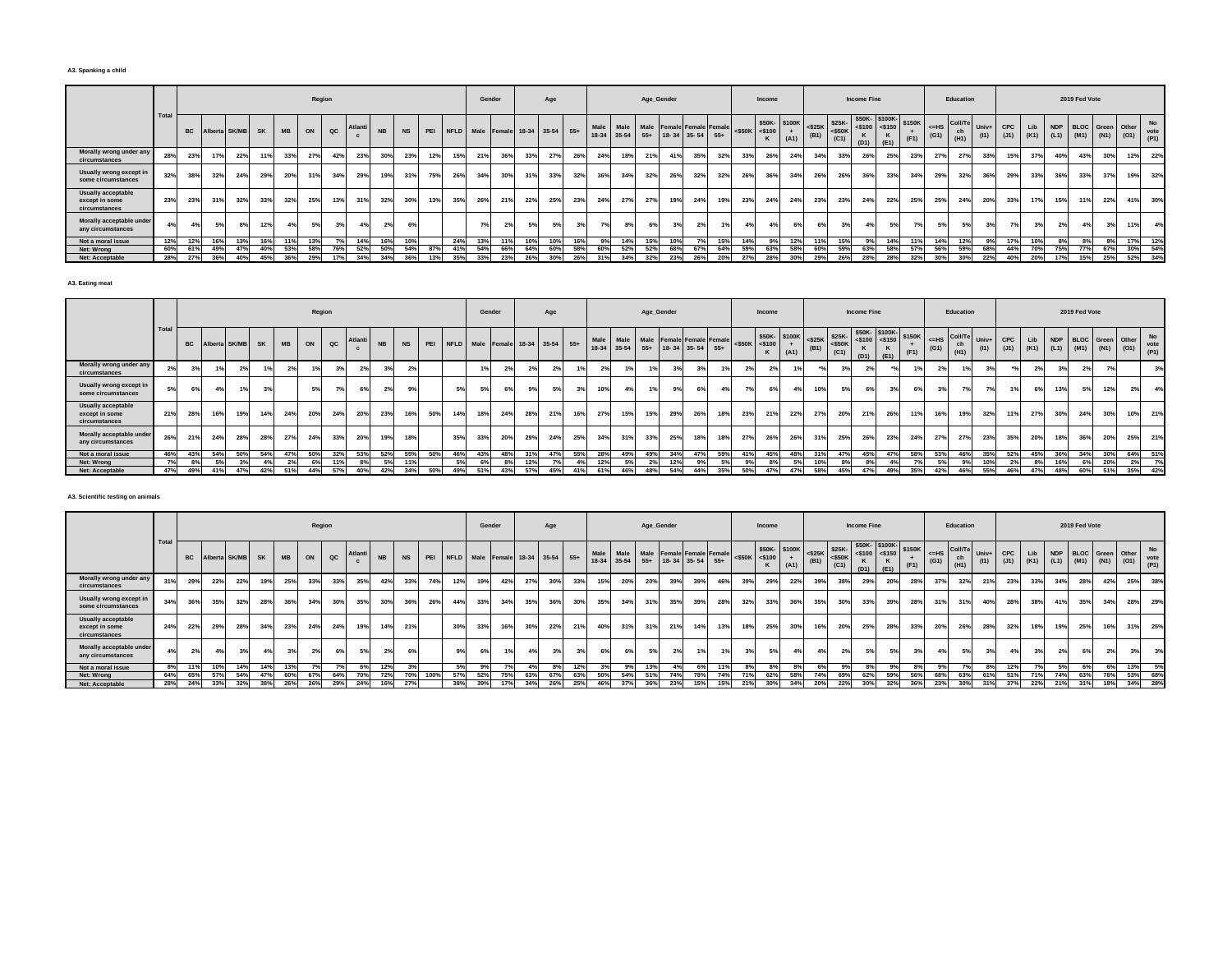#### **A3. Spanking a child**

|                                                              |      |           |     |                  |     |           |     | Region      |         |           |           |     |     | Gender                               |     |     | Age |     |               |       | Age_Gender |     |                                                       |     |                     | Income       |      |      |                                                                                                                                 | <b>Income Fine</b> |                                                  |                |       | Education                            |               |             |     |     | 2019 Fed Vote |     |                                                            |                           |
|--------------------------------------------------------------|------|-----------|-----|------------------|-----|-----------|-----|-------------|---------|-----------|-----------|-----|-----|--------------------------------------|-----|-----|-----|-----|---------------|-------|------------|-----|-------------------------------------------------------|-----|---------------------|--------------|------|------|---------------------------------------------------------------------------------------------------------------------------------|--------------------|--------------------------------------------------|----------------|-------|--------------------------------------|---------------|-------------|-----|-----|---------------|-----|------------------------------------------------------------|---------------------------|
|                                                              | Tota | <b>BC</b> |     | Alberta SK/MB SK |     | <b>MB</b> | ON  | $_{\rm QC}$ | Atlanti | <b>NB</b> | <b>NS</b> |     |     | PEI NFLD Male Female 18-34 35-54 55+ |     |     |     |     | Male<br>18-34 | 35-54 |            |     | Male Male Female Female Female<br>55+ 18-34 35-54 55+ |     | $<$ \$50K $<$ \$100 | \$50K-\$100K | (A1) | (B1) | $\left  \begin{array}{c} $25K$ \\ <50K \end{array} \right $ $\left  \begin{array}{c} $25K$ \\ <50K \end{array} \right $<br>(C1) | $<$ \$100          | \$50K-\$100K-<br>$<$ \$150<br>κ<br>$(D1)$ $(E1)$ | \$150K<br>(F1) | $=HS$ | <b>Coll/T</b><br>ch<br>$(G1)$ $(H1)$ | Univ+<br>(11) | CPC<br>(J1) | Lib |     |               |     | NDP BLOC Green Other<br>$(K1)$ $(L1)$ $(M1)$ $(N1)$ $(O1)$ | <b>No</b><br>vote<br>(P1) |
| Morally wrong under any<br>circumstances                     | 28%  | 23%       | 17% | 22%              | 11% | 33%       | 27% | 42%         | 23%     | 30%       | 23%       | 12% | 15% | 21%                                  | 36% | 33% | 27% | 26% | 24%           | 18%   | 21%        | 41% | 35%                                                   | 32% |                     | 26%          | 24%  | 34%  | 33%                                                                                                                             | 26%                | 25%                                              | 23%            | 27%   | 27%                                  | 33%           | 15%         | 37% | 40% | 43%           | 30% | 12%                                                        | 22%                       |
| Usually wrong except in<br>some circumstances                | 32%  | 38%       | 32% | 24%              | 29% | 20%       | 31% | 34%         | 29%     | 19%       | 31%       | 75% | 26% | 34%                                  | 30% | 31% | 33% | 32% | 36%           | 34%   | 32%        | 26% | 32%                                                   | 32% | 26%                 | 36%          | 34%  | 26%  | 26%                                                                                                                             | 36%                | 33%                                              | 34%            | 29%   | 32%                                  | 36%           | 29%         | 33% | 36% | 33%           | 37% | 19%                                                        | 32%                       |
| <b>Usually acceptable</b><br>except in some<br>circumstances | 23%  | 23%       | 31% | 32%              | 33% | 32%       | 25% | 13%         | 31%     | 32%       | 30%       | 13% | 35% | 26%                                  | 21% | 22% | 25% | 23% | 24%           | 27%   | 27%        | 19% | 24%                                                   | 19% | 23%                 | 24%          | 24%  | 23%  | 23%                                                                                                                             | 24%                | 22%                                              | 25%            | 25%   | 24%                                  | 20%           | 33%         | 17% | 15% | 11%           | 22% | 41%                                                        | 30%                       |
| Morally acceptable under<br>any circumstances                | 4%   | 4%        | 5%  | 8%               | 12% |           | 5%  |             |         | 2%        | 6%        |     |     | 70,                                  | 2%  |     |     | 3%  | 7%            | 8%    | 6%         | 3%  |                                                       |     |                     | 4%           | 6%   | 6%   | 3%                                                                                                                              | 4%                 | 5%                                               |                | 5%    | 5%                                   | 3%            |             |     | 2%  | 4%            |     | 11%                                                        | 4%                        |
| Not a moral issue                                            | 12%  | 12%       | 16% | 13%              | 16% |           | 13% |             | 14%     |           | 10%       |     | 24% | 13%                                  | 11% | 10% | 10% | 16% |               | 14%   | 15%        | 10% |                                                       | 15% |                     | 9%           | 12%  |      | 15%                                                                                                                             | 9%                 | 14%                                              |                | 14%   | 12%                                  | $Q_0$         | 17%         | 10% | 8%  | 8%            |     | 17%                                                        | 12%                       |
| Net: Wrong                                                   | 60%  | 61%       | 49% | 47%              |     | 53%       | 58% |             | 52%     | 50%       | 54%       | 87% |     |                                      | 66% | 64% | 60% | 58% | 60%           | 52%   | 52%        | 68% |                                                       | 64  |                     | 63%          | 58%  | 60%  | 59%                                                                                                                             | 63%                | 58%                                              | 57%            | 56%   | 59%                                  | 68%           |             | 70% | 75% |               | 67% | 30%                                                        | 54%                       |
| Net: Acceptable                                              | 28%  | 27%       | 36% | 40%              | 45% | 36%       | 29% | 17%         | 34%     | 34%       | 36%       | 13% | 35% | 33%                                  | 23% | 26% | 30% | 26% | 31%           | 34%   | 32%        | 23% | 26%                                                   | 20% |                     | 28%          | 30%  | 29%  | 26%                                                                                                                             | 28%                | 28%                                              | 32%            | 30%   | 30%                                  | 22%           | 40%         | 20% | 17% | 15%           | 25% | 52%                                                        | 34%                       |

**A3. Eating meat**

|                                                              |       |     |     |                  |     |                |     | Region        |     |                |                |     |     |                | Gender |     | Age                                  |     |      |             | Age_Gender                     |     |                     |     |     | Income              |                                                             |      |      | <b>Income Fine</b> |                                                                                                                                                                                                                                                                                            |     |                   | Education                   |      |            |     |    |     | 2019 Fed Vote                                              |     |         |     |
|--------------------------------------------------------------|-------|-----|-----|------------------|-----|----------------|-----|---------------|-----|----------------|----------------|-----|-----|----------------|--------|-----|--------------------------------------|-----|------|-------------|--------------------------------|-----|---------------------|-----|-----|---------------------|-------------------------------------------------------------|------|------|--------------------|--------------------------------------------------------------------------------------------------------------------------------------------------------------------------------------------------------------------------------------------------------------------------------------------|-----|-------------------|-----------------------------|------|------------|-----|----|-----|------------------------------------------------------------|-----|---------|-----|
|                                                              | Total |     |     | Alberta SK/MB SK |     | <b>MB</b>      | ON  | $_{\alpha c}$ |     | <b>NB</b>      | <b>NS</b>      |     |     |                |        |     | PEI NFLD Male Female 18-34 35-54 55+ |     | Male | 18-34 35-54 | Male Male Female Female Female |     | 55+ 18-34 35-54 55+ |     |     | $<$ \$50K $<$ \$100 | \$50K- \$100K <\$25K \$25K-<br><\$100 + (R1) <\$50K<br>(A1) | (B1) | (C1) | K<br>(D1)          | \$50K-\$100K-<br>$\left  \begin{array}{c} \text{150} \\ \text{150} \end{array} \right $ = \$150 \times \times \times \times \times \times \times \times \times \times \times \times \times \times \times \times \times \times \times \times \times \times \times \times \times \ti<br>(E1) |     | $\leq$ HS<br>(G1) | Coll/Te Univ+<br>ch<br>(H1) | (11) | <b>CPC</b> | Lib |    |     | NDP BLOC Green Other<br>(J1) (K1) (L1) (M1) (N1) (O1) vote |     |         | No  |
| Morally wrong under any<br>circumstances                     |       | 3%  |     |                  |     |                | 1%  |               |     | 3%             | 2 <sup>5</sup> |     |     | 1 <sup>9</sup> |        | 2%  |                                      | 1%  |      |             | 19                             |     |                     | 1%  |     | 2%                  |                                                             |      | 3%   |                    |                                                                                                                                                                                                                                                                                            | 1%  |                   |                             |      |            | 2%  |    |     |                                                            |     |         | 3%  |
| Usually wrong except in<br>some circumstances                |       | 6%  | 4%  | 1%               | 3%  |                | 5%  |               | 6%  | 2 <sup>9</sup> | 9%             |     |     |                |        |     | 59                                   | 3%  | 10%  |             | 19                             | 9%  |                     | 4%  | 7%  | 6%                  |                                                             | 10%  | 5%   |                    |                                                                                                                                                                                                                                                                                            | 6%  |                   |                             |      |            |     | 6% | 13% | 5%                                                         | 12% | 2%      | 4%  |
| <b>Usually acceptable</b><br>except in some<br>circumstances | 21%   | 28% | 16% | 19%              | 14% | 24%            | 20% | 24%           | 20% | 23%            | 16%            | 50% | 14% | 18%            | 24%    | 28% | 21%                                  | 16% | 27%  | 15%         | 15%                            | 29% | 26%                 | 18% | 23% | 21%                 | 22%                                                         | 27%  | 20%  | 21%                | 26%                                                                                                                                                                                                                                                                                        | 11% | 16%               | 19%                         | 32%  |            | 27% |    | 30% | 24%                                                        | 30% | 10%     | 21% |
| Morally acceptable under<br>any circumstances                | 26%   | 21% | 24% | 28%              | 28% | 27%            | 24% | 33%           | 20% | 19%            | 18%            |     | 35% | 33%            | 20%    | 29% | 24%                                  | 25% | 34%  | 31%         | 33%                            | 25% | 18%                 | 18% | 27% | 26%                 | 26%                                                         | 31%  | 25%  | 26%                | 23%                                                                                                                                                                                                                                                                                        | 24% | <b>27%</b>        | <b>27%</b>                  | 23%  | 35%        | 20% |    | 18% | 36%                                                        | 20% | 25%     | 21% |
| Not a moral issue                                            | 46%   | 43% | 54% | 50%              | 54% | 47%            | 50% | 32%           | 53% | 52%            | 55%            | 50% | 46% | 43%            | 48%    | 31% | 47%                                  | 55% | 28%  | 49%         | 49%                            | 34% | 47%                 | 59% | 41% | 45%                 | 48%                                                         | 31%  | 47%  | 45%                | 47%                                                                                                                                                                                                                                                                                        | 58% | 53%               | 46%                         | 35%  | 52%        | 45% |    | 36% | 34%                                                        | 30% | 64%     | 51% |
| Net: Wrong                                                   | 7%    | 8%  | 5%  | 3%               | 4%  | 2 <sup>°</sup> | 6%  | 11%           |     | 5%             |                |     |     |                |        | 12% |                                      |     | 12%  |             | 2%                             | 12% | 9%                  | 5%  | 9%  | 8%                  |                                                             | 10%  | 8%   |                    |                                                                                                                                                                                                                                                                                            |     |                   |                             |      |            | 8%  |    | 16% | 6%                                                         | 20% | 2%      | 7%  |
| Net: Acceptable                                              | 47%   | 49% | 41% | 47%              | 42% | 51%            | 44% | 57%           | 40% | 42%            | 34%            | 50% | 49% | 51%            | 43%    | 57% | 45%                                  | 41% | 61%  | 46%         | 48%                            | 54% | 44%                 | 35% | 50% | 47%                 | 47%                                                         | 58%  | 45%  | 47%                | 49%                                                                                                                                                                                                                                                                                        | 35% | 42%               | 46%                         | 55%  | 46%        | 47% |    | 48% | 60%                                                        | 51% | 35% 42% |     |

### **A3. Scientific testing on animals**

|                                                       |      |     |     |                     |     |           |     | Region        |         |           |           |      |     |                                      | Gender |     | Age |     |     |     |     | Age_Gender |                                                                        |     |     | Income              |                      |      |      | <b>Income Fine</b> |                                                |      |                    | Education             |               |     |     |     | 2019 Fed Vote |     |                                                                |     |
|-------------------------------------------------------|------|-----|-----|---------------------|-----|-----------|-----|---------------|---------|-----------|-----------|------|-----|--------------------------------------|--------|-----|-----|-----|-----|-----|-----|------------|------------------------------------------------------------------------|-----|-----|---------------------|----------------------|------|------|--------------------|------------------------------------------------|------|--------------------|-----------------------|---------------|-----|-----|-----|---------------|-----|----------------------------------------------------------------|-----|
|                                                       | Tota |     |     | BC Alberta SK/MB SK |     | <b>MB</b> | ON  | $_{\alpha c}$ | Atlanti | <b>NB</b> | <b>NS</b> |      |     | PEI NFLD Male Female 18-34 35-54 55+ |        |     |     |     |     |     |     |            | Male Male Male Female Female Female<br>18-34 35-54 55+ 18-34 35-54 55+ |     |     | $<$ \$50K $<$ \$100 | \$50K-\$100K<br>(A1) | (B1) | (C1) | к<br>(D1)          | *100K <\$25K \$25K \$50K \$100K \$150n<br>(E1) | (F1) | $\leq$ =HS<br>(G1) | Coll/Te<br>ch<br>(H1) | Univ+<br>(11) | CPC |     |     |               |     | Lib NDP BLOC Green Other<br>(J1) (K1) (L1) (M1) (N1) (O1) vote | No  |
| Morally wrong under any<br>circumstances              | 31%  | 29% | 22% | 22%                 | 19% | 25%       | 33% | 33%           | 35%     | 42%       | 33%       | 74%  | 12% | 19%                                  | 42%    | 27% | 30% | 33% | 15% | 20% | 20% | 39%        | 39%                                                                    | 46% | 39% | 29%                 | 22%                  | 39%  | 38%  | 29%                | 20%                                            | 28%  | 37%                | 32%                   | 21%           | 23% | 33% | 34% | 28%           | 42% | 25%                                                            | 38% |
| Usually wrong except in<br>some circumstances         | 34%  | 36% | 35% | 32%                 | 28% | 36%       | 34% | 30%           | 35%     | 30%       | 36%       | 26%  | 44% | 33%                                  | 34%    | 35% | 36% | 30% | 35% | 34% | 31% | 35%        | 39%                                                                    | 28% | 32% | 33%                 | 36%                  | 35%  | 30%  | 33%                | 39%                                            | 28%  | 31%                | 31%                   | 40%           | 28% | 38% | 41% | 35%           | 34% | 28%                                                            | 29% |
| Usually acceptable<br>except in some<br>circumstances | 24%  | 22% | 29% | 28%                 | 34% | 23%       | 24% | 24%           | 19%     | 14%       | 21%       |      | 30% | 33%                                  | 16%    | 30% | 22% | 21% | 40% | 31% | 31% | 21%        | 14%                                                                    | 13% | 18% | 25%                 | 30%                  | 16%  | 20%  | 25%                | 28%                                            | 33%  | 20%                | 26%                   | 28%           | 32% | 18% | 19% | 25%           | 16% | 31%                                                            | 25% |
| Morally acceptable under<br>any circumstances         |      | 2%  | 4%  | 3%                  |     | 3%        |     | 6%            | 5%      |           | 6%        |      | 9%  | 6%                                   | 1%     |     | 3%  | 3%  | 6%  | 6%  | 5%  | 2%         | 1%                                                                     | 1%1 | 3%  | 5%                  |                      | 4%   | 2%   | 5%                 | 5%                                             | 3%   | 4%                 | 5%                    |               |     | 3%  |     | 6%            | 2%  | 3%                                                             | 3%  |
| Not a moral issue                                     | 8%   | 11% | 10% | 14%                 | 14% |           |     |               |         |           |           |      |     | 9%                                   |        |     | 8%  | 12% |     | 9%  | 13% | 4%         | 6%                                                                     | 11% | 8%  | 8%                  | 8%                   | 6%   | 9%   | 8%                 |                                                |      |                    |                       |               | 12% |     | 5%  | 6%            | 6%  | 13%                                                            | 5%  |
| Net: Wrong                                            | 64%  | 65% | 57% | 54%                 | 47% | 60%       | 67% | 64%           | 70%     |           | 70%       | 100% | 57% | 52%                                  | 75%    | 63% | 67% | 63% | 50% | 54% | 51% | 74%        | 78%                                                                    | 74% | 71% | 62%                 | 58%                  | 74%  | 69%  | 62%                | 59%                                            | 56%  | 68%                | 63%                   | 61%           | 51% |     | 74% | 63%           | 76% | 53%                                                            | 68% |
| Net: Acceptable                                       | 28%  | 24% | 33% | 32%                 | 38% | 26%       | 26% | 29%           | 24%     |           | 27%       |      | 38% | 39%                                  |        |     | 26% | 25% | 46% |     | 36% | 23%        | 15%                                                                    | 15% | 21% | 30%                 |                      | 20%  | 22%  | 30%                | 32%                                            | 36%  | 23%                | 30%                   |               | 37% | 22% | 21% | 31%           | 18% | 34%                                                            | 28% |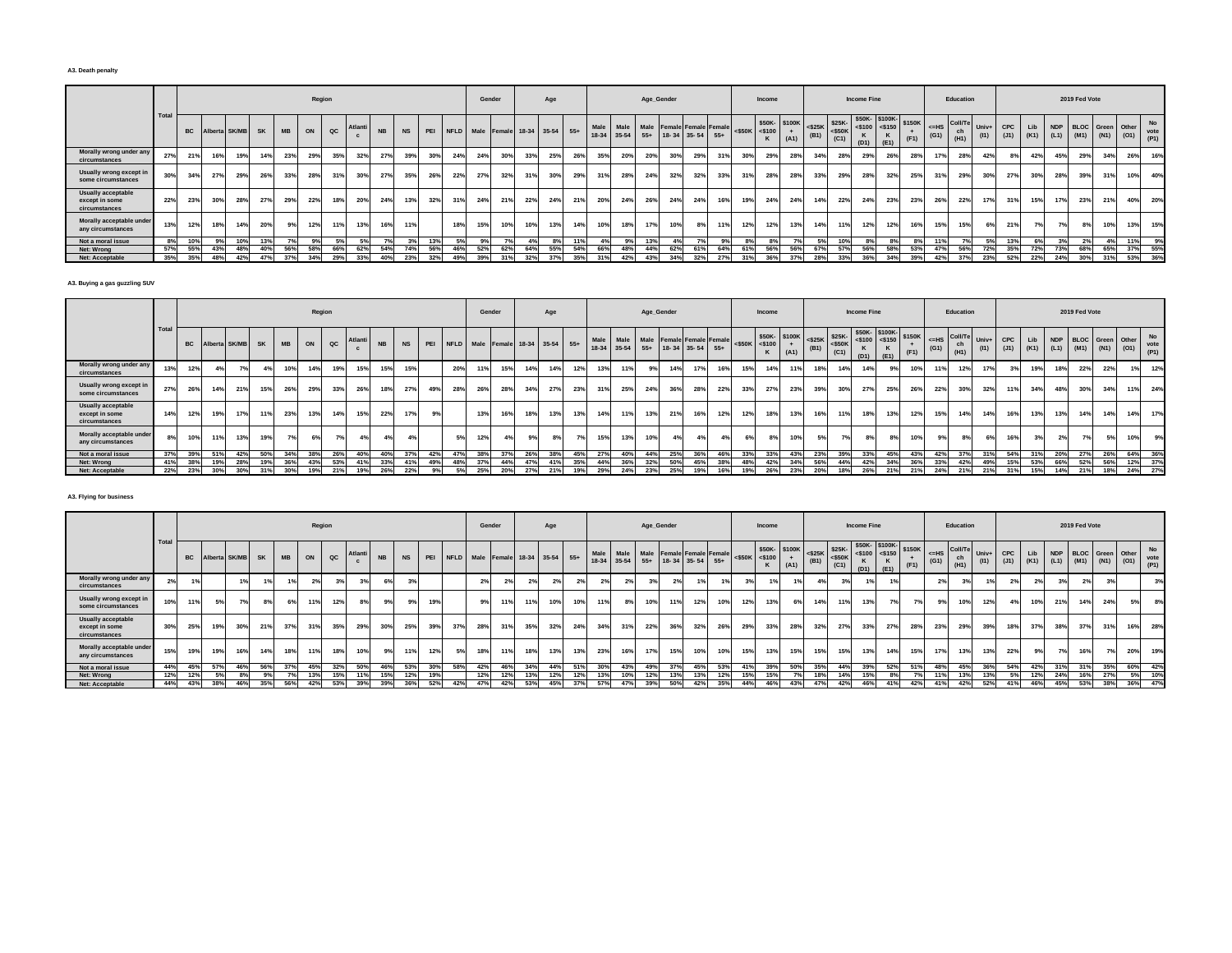#### **A3. Death penalty**

|                                                       |      |     |     |                  |     |           |     | Region      |         |           |           |     |     | Gender                               |     |     | Age     |     |     |     | Age_Gender |     |                                                                        |     |     | Income                              |             |      |                                       | Income Fine |                                                  |                |                                | Education  |               |     |     |            | 2019 Fed Vote |                         |                                           |                           |
|-------------------------------------------------------|------|-----|-----|------------------|-----|-----------|-----|-------------|---------|-----------|-----------|-----|-----|--------------------------------------|-----|-----|---------|-----|-----|-----|------------|-----|------------------------------------------------------------------------|-----|-----|-------------------------------------|-------------|------|---------------------------------------|-------------|--------------------------------------------------|----------------|--------------------------------|------------|---------------|-----|-----|------------|---------------|-------------------------|-------------------------------------------|---------------------------|
|                                                       | Tota |     |     | Alberta SK/MB SK |     | <b>MB</b> | ON  | $_{\rm QC}$ | Atlanti | <b>NB</b> | <b>NS</b> |     |     | PEI NFLD Male Female 18-34 35-54 55+ |     |     |         |     |     |     |            |     | Male Male Male Female Female Female<br>18-34 35-54 55+ 18-34 35-54 55+ |     |     | \$50K-\$100K<br>$<$ \$50K $<$ \$100 | $+$<br>(A1) | (B1) | $<$ \$25K \$25K-<br>$<$ \$50K<br>(C1) | $<$ \$100   | \$50K-\$100K-<br>$<$ \$150<br>ĸ<br>$(D1)$ $(E1)$ | \$150K<br>(F1) | $ \left $ <=HS Coll/Te<br>(G1) | ch<br>(H1) | Univ+<br>(11) | CPC | Lib | <b>NDP</b> |               | <b>BLOC</b> Green Other | $(J1)$ $(K1)$ $(L1)$ $(M1)$ $(N1)$ $(O1)$ | <b>No</b><br>vote<br>(P1) |
| Morally wrong under any<br>circumstances              | 27%  | 21% | 16% | 19%              | 14% | 23%       | 29% | 35%         | 32%     | 27%       | 39%       | 30% | 24% | 24%                                  | 30% | 33% | 25%     | 26% | 35% | 20% | 20%        | 30% | 29%                                                                    | 31% | 30% | 29%                                 | 28%         | 34%  | 28%                                   | 29%         | 26%                                              | 28%            | 17%                            | 28%        | 42%           |     | 42% | 45%        | 29%           | 34%                     | 26%                                       | 16%                       |
| Usually wrong except in<br>some circumstances         | 30%  | 34% | 27% | 29%              | 26% | 33%       | 28% | 31%         | 30%     | 27%       | 35%       | 26% | 22% | 27%                                  | 32% | 31% | 30%     | 29% | 31% | 28% | 24%        | 32% | 32%                                                                    | 33% | 31% | 28%                                 | 28%         | 33%  | 29%                                   | 28%         | 32%                                              | 25%            | 31%                            | 29%        | 30%           | 27% | 30% | 28%        | 39%           | 31%                     | 10%                                       | 40%                       |
| Usually acceptable<br>except in some<br>circumstances | 22%  | 23% | 30% | 28%              | 27% | 29%       | 22% | 18%         | 20%     | 24%       | 13%       | 32% | 31% | 24%                                  | 21% | 22% | 24%     | 21% | 20% | 24% | 26%        | 24% | 24%                                                                    | 16% | 19% | 24%                                 | 24%         | 14%  | 22%                                   | 24%         | 23%                                              | 23%            | 26%                            | 22%        | 17%           | 31% | 15% | 17%        | 23%           | 21%                     | 40%                                       | 20%                       |
| Morally acceptable under<br>any circumstances         | 13%  | 12% | 18% | 14%              | 20% | 9%        | 12% | 11%         | 13%     | 16%       | 11%       |     | 18% | 15%                                  | 10% | 10% | 13%     | 14% | 10% | 18% |            | 10% | 8%                                                                     |     | 12% | 12%                                 | 13%         | 14%  | 11%                                   | 12%         | 12%                                              | 16%            | 15%                            | 15%        | 6%            | 21% | 7%  | 7%         | 8%            | 10%                     | 13%                                       | 15%                       |
| Not a moral issue                                     | 8%   | 10% | qe  | 10%              |     |           | 9%  | 5%          |         |           | 3%        | 13% | 5%  | Q <sub>0</sub>                       | 7%  |     | $R^{0}$ | 11% |     |     |            |     | 7 <sup>°</sup>                                                         | 9%  |     | $8^\circ$                           |             |      | 10%                                   | 8%          | $R^{0}/$                                         |                | 11%                            |            | 5%            | 13% |     | 20         | 2%            |                         | 11%                                       | 9%                        |
| Net: Wrong                                            | 57%  | 55% | 43% | 48%              | 40% |           | 58% | 66%         | 62%     |           | 74%       | 56% | 46% | 52%                                  | 62% | 64% | 55%     | 54% | 66% |     |            | 62% | 61%                                                                    | 64% |     | 56%                                 | 56%         | 67%  | 57%                                   | 56%         | 58%                                              | 53%            | 47%                            | 56%        | 72%           | 25% | 72% | 73%        | 68%           | 65%                     | 37%                                       | 55%                       |
| Net: Acceptable                                       | 35%  | 35% | 48% | 42%              | 47% | 37%       | 34% | 29%         | 33%     | 40%       | 23%       | 32% | 49% | 39%                                  | 31% | 32% | 37%     | 35% | 31% | 42% | 43%        | 34% | 32%                                                                    | 27% |     | 36%                                 | 37%         | 28%  | 33%                                   | 36%         | 34%                                              | 39%            | 42%                            | 37%        | 23%           | 52% | 22% | 24%        | 30%           | 31%                     | 53%                                       | 36%                       |

#### **A3. Buying a gas guzzling SUV**

|                                                       |      |           |     |                  |     |           |     | Region        |        |           |           |     |                                  |     | Gender |     | Age |     |     |     |                                                                        | Age_Gender |     |     |     | Income                              |      |      |                                                                         | <b>Income Fine</b> |                                                     |                |                    | Education                     |      |            |     |     | 2019 Fed Vote |     |                      |                                          |
|-------------------------------------------------------|------|-----------|-----|------------------|-----|-----------|-----|---------------|--------|-----------|-----------|-----|----------------------------------|-----|--------|-----|-----|-----|-----|-----|------------------------------------------------------------------------|------------|-----|-----|-----|-------------------------------------|------|------|-------------------------------------------------------------------------|--------------------|-----------------------------------------------------|----------------|--------------------|-------------------------------|------|------------|-----|-----|---------------|-----|----------------------|------------------------------------------|
|                                                       | Tota | <b>BC</b> |     | Alberta SK/MB SK |     | <b>MB</b> | ON  | $_{\alpha c}$ | Atlant | <b>NB</b> | <b>NS</b> | PEI | NFLD Male Female 18-34 35-54 55+ |     |        |     |     |     |     |     | Male Male Male Female Female Female<br>18-34 35-54 55+ 18-34 35-54 55+ |            |     |     |     | \$50K-\$100K<br>$<$ \$50K $<$ \$100 | (A1) | (B1) | $\left \frac{$25K}{94}\right $ $\left \frac{$25K}{500K}\right $<br>(C1) | к                  | \$50K-\$100K-<br>$ $ <\$100 <\$150<br>$(D1)$ $(E1)$ | \$150K<br>(F1) | $\leq$ =HS<br>(G1) | Coll/Te Univ+ I<br>ch<br>(H1) | (11) | <b>CPC</b> | Lib |     |               |     | NDP BLOC Green Other | No<br>(J1) (K1) (L1) (M1) (N1) (O1) vote |
| Morally wrong under any<br>circumstances              | 13%  |           |     | $7^\circ$        |     |           | 14% | 19%           | 15%    | 15%       | 15%       |     | 20%                              |     | 15%    | 14% | 14% | 12% | 13% | 11% | 9%                                                                     | 14%        | 17% |     | 15% | 14%                                 |      | 18%  | 14%                                                                     | 14%                |                                                     | 10%            | 11%                | 12%                           |      |            | 19% | 18% | 22%           | 22% |                      | 12%                                      |
| Usually wrong except in<br>some circumstances         | 27%  | 26%       | 14% | 21%              | 15% | 26%       | 29% | 33%           | 26%    | 18%       | 27%       | 49% | 28%                              | 26% | 28%    | 34% | 27% | 23% | 31% | 25% | 24%                                                                    | 36%        | 28% | 22% | 33% | 27%                                 | 23%  | 39%  | 30%                                                                     | 27%                | 25%                                                 | 26%            | 22%                | 30%                           | 32%  | 11%        | 34% | 48% | 30%           | 34% | 11%                  | 24%                                      |
| Usually acceptable<br>except in some<br>circumstances | 14%  | 12%       | 19% | 17%              |     | 23%       | 13% | 14%           | 15%    | 22%       | 17%       | 9%  |                                  | 13% | 16%    | 18% | 13% | 13% | 14% | 11% | 13%                                                                    | 21%        | 16% |     | 12% | 18%                                 | 13%  | 16%  | 11%                                                                     | 18%                | 13%                                                 | 12%            | 15%                | 14%                           |      | 16%        | 13% | 13% | 14%           | 14% | 14%                  | 17%                                      |
| Morally acceptable under<br>any circumstances         | 8%   | 10%       | 11% | 13%              | 19% | 7°/       | 6%  |               |        | 4%        | 4%        |     | CO.                              | 12% | 4%     |     |     | 7%  | 15% | 13% | 10%                                                                    |            |     |     |     | 8%                                  | 10%  | 5%   | 7%                                                                      |                    |                                                     | 10%            | 9%                 |                               |      |            | 3%  |     | 7%            |     | 5%<br>10%            | 9%                                       |
| Not a moral issue                                     | 37%  | 39%       | 51% | 42%              | 50% | 34%       | 38% | 26%           | 40%    | 40%       | 37%       | 42% | 47%                              | 38% | 37%    | 26% | 38% | 45% | 27% | 40% | 44%                                                                    | 25%        | 36% | 46% | 33% | 33%                                 | 43%  | 23%  | 39%                                                                     | 33%                | 45%                                                 | 43%            | 42%                | 37%                           |      | 54%        | 31% | 20% | 27%           | 26% | 64%                  | 36%                                      |
| Net: Wrong                                            | 41%  | 38%       | 19% | 28%              | 19% | 36%       | 43% | 53%           | 41%    | 33%       | 41%       | 49% |                                  | 37% | 44%    | 47% | 41% | 35% | 44% | 36% | 32%                                                                    | 50%        | 45% |     | 48% | 42%                                 | 34%  | 56%  | 44%                                                                     | 42%                | 34%                                                 | 36%            | 33%                | 42%                           | 49%  | 15%        | 53% | 66% | 52%           | 56% |                      | 12% 37%                                  |
| Net: Acceptable                                       | 22%  | 23%       | 30% | 30%              | 31% | 30%       | 19% | 21%           | 19%    | 26%       | 22%       |     |                                  | 25% | 20%    |     | 21% | 19% | 29% | 24% | 23%                                                                    | 25%        | 19% |     |     | 26%                                 | 23%  | 20%  | 18%                                                                     | 26%                | 21%                                                 | 21%            | 24%                | 21%                           | 21%  | 31%        | 15% | 14% | 21%           | 18% |                      | 24% 27%                                  |

## **A3. Flying for business**

|                                                       |      |           |     |                  |       |           |     | Region |        |           |           |     |                                      | Gender |     |     | Age |     |      |     | Age_Gender                                                        |     |     |     |     | Income                              |      |      |      | <b>Income Fine</b> |                                                                                                                                                                                                                                                                                                       |     |                | Education                            |       |                                     |     |     | 2019 Fed Vote |               |                      |             |
|-------------------------------------------------------|------|-----------|-----|------------------|-------|-----------|-----|--------|--------|-----------|-----------|-----|--------------------------------------|--------|-----|-----|-----|-----|------|-----|-------------------------------------------------------------------|-----|-----|-----|-----|-------------------------------------|------|------|------|--------------------|-------------------------------------------------------------------------------------------------------------------------------------------------------------------------------------------------------------------------------------------------------------------------------------------------------|-----|----------------|--------------------------------------|-------|-------------------------------------|-----|-----|---------------|---------------|----------------------|-------------|
|                                                       | Tota | <b>BC</b> |     | Alberta SK/MB SK |       | <b>MB</b> | ON  | QC     | Atlant | <b>NB</b> | <b>NS</b> |     | PEI NFLD Male Female 18-34 35-54 55+ |        |     |     |     |     | Male |     | Male Male Female Female Female<br>18-34 35-54 55+ 18-34 35-54 55+ |     |     |     |     | \$50K-\$100K<br>$<$ \$50K $<$ \$100 | (A1) | (B1) | (C1) | K<br>(D1)          | $\left \begin{array}{c} \text{525K} \\ \text{525K} \end{array}\right $ $\left \begin{array}{c} \text{525K} \\ \text{550K} \end{array}\right $ $\left \begin{array}{c} \text{550K} \\ \text{550K} \end{array}\right $ $\left \begin{array}{c} \text{5150K} \\ \text{5150K} \end{array}\right $<br>(E1) |     | $\leq$ =HS     | ch<br>$-41$ (G1) (H1) $\blacksquare$ | Univ+ | CPC  <br>$(H)$ $(J1)$ $(K1)$ $(L1)$ | Lib |     |               | $(M1)$ $(N1)$ | NDP BLOC Green Other | $(01)$ vote |
| Morally wrong under any<br>circumstances              |      |           |     | 1%               |       |           | 2%  |        |        | 6%        | 3%        |     |                                      |        | 2%  |     |     | 2%  |      |     |                                                                   |     |     |     |     |                                     |      |      | 3%   |                    |                                                                                                                                                                                                                                                                                                       |     | 2 <sup>o</sup> |                                      |       |                                     | 2%  |     |               | 3%            |                      | 3%          |
| Usually wrong except in<br>some circumstances         | 10%  | 11%       | 5%  | 7%               | 8%    | 6%        | 11% | 12%    | 8%     | 9%        | 9%        | 19% |                                      | 9%     | 11% | 11% | 10% | 10% | 11%  | 8%  | 10%                                                               | 11% | 12% | 10% | 12% | 13%                                 | 6%   | 14%  | 11%  | 13%                | 7%                                                                                                                                                                                                                                                                                                    | 7%  | 9%             | 10%                                  | 12%   | 4%                                  | 10% | 21% | 14%           | 24%           |                      | 8%<br>5%    |
| Usually acceptable<br>except in some<br>circumstances | 30%  | 25%       | 19% | 30%              | 21%   | 37%       | 31% | 35%    | 29%    | 30%       | 25%       | 39% | 37%                                  | 28%    | 31% | 35% | 32% | 24% | 34%  | 31% | 22%                                                               | 36% | 32% | 26% | 29% | 33%                                 | 28%  | 32%  | 27%  | 33%                | 27%                                                                                                                                                                                                                                                                                                   | 28% | 23%            | 29%                                  | 39%   | 18%                                 | 37% | 38% | 37%           | 31%           | 16%                  | 28%         |
| Morally acceptable under<br>any circumstances         | 15%  | 19%       | 19% | 16%              | 14%   | 18%       | 11% | 18%    | 10%    | 9%        | 11%       | 12% | 5%                                   | 18%    | 11% | 18% | 13% | 13% | 23%  | 16% | 17%                                                               | 15% | 10% | 10% | 15% | 13%                                 | 15%  | 15%  | 15%  | 13%                | 14%                                                                                                                                                                                                                                                                                                   | 15% | 17%            | 13%                                  | 13%   | 22%                                 | 9%  | 7%  | 16%           | 7%            | 20%                  | 19%         |
| Not a moral issue                                     | 44%  | 45%       | 57% | 46%              | 56%   | 37%       | 45% | 32%    | 50%    | 46%       | 53%       | 30% | 58%                                  | 42%    | 46% | 34% | 44% | 51% | 30%  | 43% | 49%                                                               | 37% | 45% | 53% | 41% | 39%                                 | 50%  | 35%  | 44%  | 39%                | 52%                                                                                                                                                                                                                                                                                                   | 51% | 48%            | 45%                                  | 36%   | 54%                                 | 42% | 31% | 31%           | 35%           | 60%                  | 42%         |
| Net: Wrong                                            | 12%  | 12%       | 5%  |                  | $Q_0$ |           | 13% | 15%    |        | 15%       | 12%       | 19% |                                      | 12%    | 12% | 13% |     | 12% | 13%  | 10% | 12%                                                               | 13% |     |     | 15% | 15%                                 |      |      | 14%  | 15%                |                                                                                                                                                                                                                                                                                                       |     |                | 13%                                  | 13%   | .5%                                 | 12% | 24% | 16%           | 27%           |                      | 5%<br>10%   |
| Net: Acceptable                                       | 44%  | 43%       | 38% | 46%              | 35%   | 56%       | 42% | 53%    | 39%    | 39%       | 36%       | 52% | 42%                                  | 47%    | 42% | 53% | 45% | 37% | 57%  | 47% | 39%                                                               | 50% | 42% |     | 44% | 46%                                 | 43%  | 47%  | 42%  | 46%                | 41%                                                                                                                                                                                                                                                                                                   | 42% |                | 42%                                  | 52%   | 41%                                 | 46% |     | 53%           | 38%           | 36%                  | 47%         |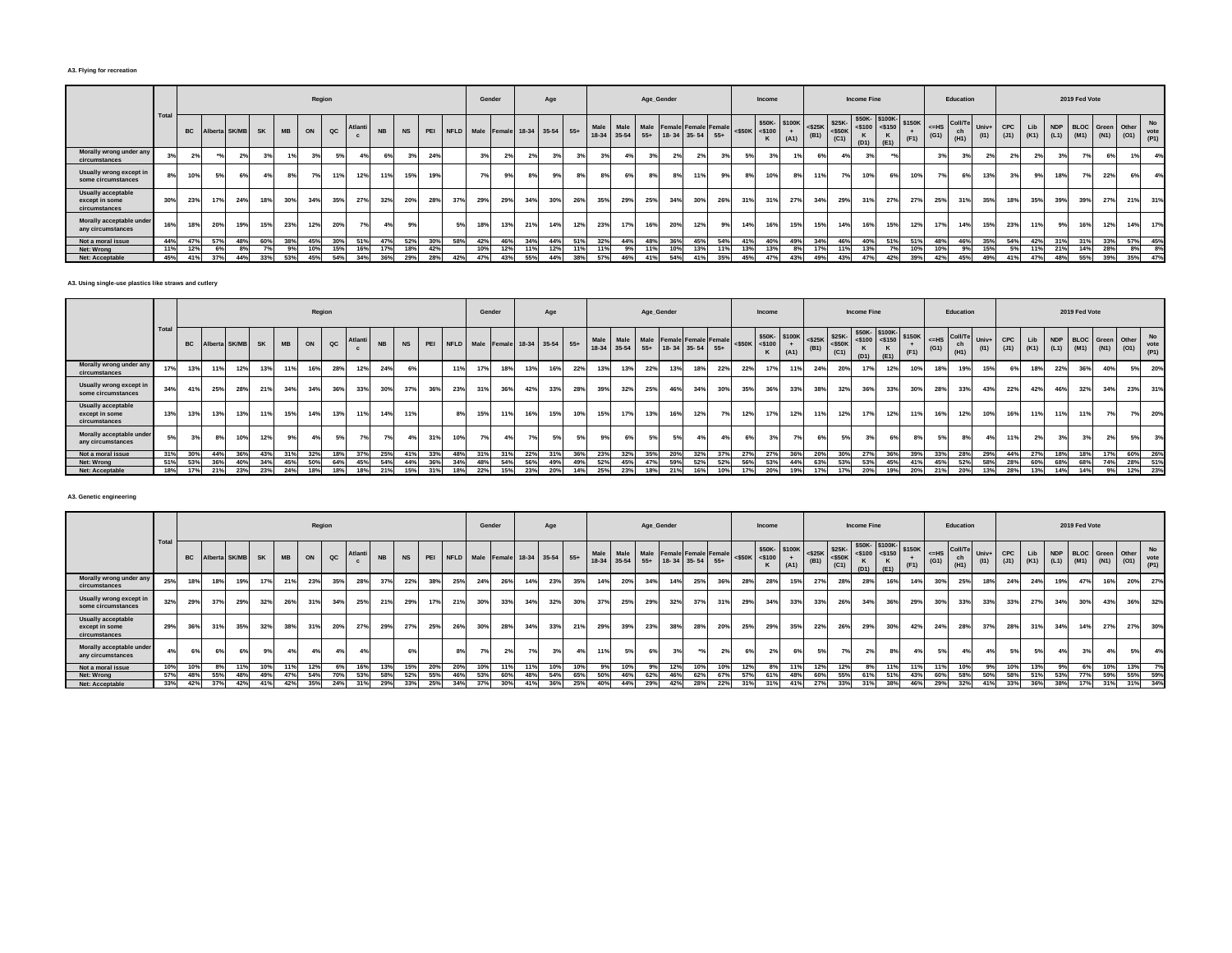#### **A3. Flying for recreation**

|                                                       |      |     |     |                     |     |     |     | Region |                 |           |           |     |     | Gender                               |     |     | Age |     |                                                                        |     | Age_Gender   |                |     |     |     | Income                               |      |      |      | <b>Income Fine</b> |                                                                                                                                                                                                                                                                                              |      |                                             | Education             |                |     |     |     | 2019 Fed Vote |                                                                |      |                           |
|-------------------------------------------------------|------|-----|-----|---------------------|-----|-----|-----|--------|-----------------|-----------|-----------|-----|-----|--------------------------------------|-----|-----|-----|-----|------------------------------------------------------------------------|-----|--------------|----------------|-----|-----|-----|--------------------------------------|------|------|------|--------------------|----------------------------------------------------------------------------------------------------------------------------------------------------------------------------------------------------------------------------------------------------------------------------------------------|------|---------------------------------------------|-----------------------|----------------|-----|-----|-----|---------------|----------------------------------------------------------------|------|---------------------------|
|                                                       | Tota |     |     | BC Alberta SK/MB SK |     | MB  | ON  | QC     | Atlanti         | <b>NB</b> | <b>NS</b> |     |     | PEI NFLD Male Female 18-34 35-54 55+ |     |     |     |     | Male Male Male Female Female Female<br>18-34 35-54 55+ 18-34 35-54 55+ |     |              |                |     |     |     | \$50K- \$100K<br>$<$ \$50K $<$ \$100 | (A1) | (B1) | (C1) | (D1)               | \$50K- \$100K- \$150K<br>$\left  \begin{array}{c} \text{350K} \\ \text{350K} \end{array} \right  \leq 25 \text{K}$<br>$\left  \begin{array}{c} \text{350K} \\ \text{350K} \end{array} \right  \leq 5100$<br>$\left  \begin{array}{c} \text{3100} \\ \text{3100} \end{array} \right $<br>(E1) | (F1) | $H = HS$<br>$\left( \text{G1} \right)$ (H1) | Coll/Te Univ+ I<br>ch | (11)           | CPC |     |     |               | Lib NDP BLOC Green Other<br>$(J1)$ $(K1)$ $(L1)$ $(M1)$ $(N1)$ | (01) | <b>No</b><br>vote<br>(P1) |
| Morally wrong under any<br>circumstances              |      | 2%  |     | 2%                  |     |     | 3%  | .5%    |                 | 6%        | 3%        | 24% |     | 39                                   | 2%  |     |     | 3%  |                                                                        |     | $n_{\alpha}$ | 2 <sup>0</sup> | 2%  |     |     | 3%                                   |      |      | 4%   | 39                 |                                                                                                                                                                                                                                                                                              |      | 20                                          | 3%                    | 2 <sup>9</sup> |     | 2%  | 3%  |               | 6%                                                             |      | 4%                        |
| Usually wrong except in<br>some circumstances         | 8%   | 10% | 5%  | 6%                  |     |     |     |        | 12%             | 11%       | 15%       | 19% |     | 70,                                  | 9%  |     |     | 8%  |                                                                        |     |              |                | 11% |     |     | 10%                                  | 8%   | 11%  | 7%   | 10%                | 6%                                                                                                                                                                                                                                                                                           | 10%  | 70/                                         | 6%                    | 13%            | 20I | 9%  |     | 70/           | 22%                                                            |      | 4%                        |
| Usually acceptable<br>except in some<br>circumstances | 30%  | 23% | 17% | 24%                 | 18% | 30% | 34% | 35%    | 27%             | 32%       | 20%       | 28% | 37% | 29%                                  | 29% | 34% | 30% | 26% | 35%                                                                    | 29% | 25%          | 34%            | 30% | 26% | 31% | 31%                                  | 27%  | 34%  | 29%  | 31%                | 27%                                                                                                                                                                                                                                                                                          | 27%  | 25%                                         | 31%                   | 35%            | 18% | 35% | 39% | 39%           | 27%                                                            | 21%  | 31%                       |
| Morally acceptable under<br>any circumstances         | 16%  | 18% | 20% | 19%                 | 15% | 23% | 12% | 20%    |                 | 4%        | 9%        |     |     | 18%                                  | 13% | 21% | 14% | 12% | 23%                                                                    | 17% | 16%          | 20%            | 12% | 9%  | 14% | 16%                                  | 15%  | 15%  | 14%  | 16%                | 15%                                                                                                                                                                                                                                                                                          | 12%  | 17%                                         | 14%                   | 15%            | 23% | 11% | 9%  | 16%           | 12%                                                            | 14%  | 17%                       |
| Not a moral issue                                     | 44%  | 47% | 57% | 48%                 | 60% | 38% | 45% | 30%    | 51%             | 47%       | 52%       | 30% | 58% | 42%                                  | 46% | 34% | 44% | 51% | 32%                                                                    | 44% | 48%          | 36%            | 45% | 54% | 41% | 40%                                  | 49%  | 34%  | 46%  | 40%                | 51%                                                                                                                                                                                                                                                                                          | 51%  | 48%                                         | 46%                   | 35%            | 54% | 42% | 31% | 31%           | 33%                                                            | 57%  | 45%                       |
| Net: Wrong                                            | 11%  | 12% | 6%  | 8%                  |     |     | 10% | 15%    | 16 <sup>°</sup> |           | 18%       | 42% |     | 10%                                  | 12% | 11% | 12% | 11% | 11%                                                                    |     |              | 10%            | 13% |     | 13% | 13%                                  | 8%   | 17%  | 11%  | 13%                |                                                                                                                                                                                                                                                                                              | 10%  | 10%                                         | 9%                    | 15%            |     | 11% | 21% | 14%           | 28%                                                            | 8%   | 8%                        |
| Net: Acceptable                                       | 45%  | 41% | 37% | 44%                 | 33% | 53% | 45% | 54%    | 34%             | 36%       | 29%       | 28% | 42% | 47%                                  | 43% | 55% | 44% | 38% | 57%                                                                    | 46% |              | 54%            | 41% | 35% | 45% | 47%                                  | 43%  | 49%  | 43%  | 47%                | 42%                                                                                                                                                                                                                                                                                          | 39%  | 42%                                         | 45%                   | 49%            | 41% | 47% | 48% | 55%           | 39%                                                            | 35%  | 47%                       |

**A3. Using single-use plastics like straws and cutlery**

|                                                              |      |     |     |                  |     |           |     | Region |        |           |           |     |     |     | Gender                               |     | Age |     |                     |      | Age_Gender |     |                                                  |     |                 | Income                              |      |     |      | <b>Income Fine</b> |                                                                                                                                                                                                 |      |                 | Education             |               |            |     |     | 2019 Fed Vote |     |                      |                                          |
|--------------------------------------------------------------|------|-----|-----|------------------|-----|-----------|-----|--------|--------|-----------|-----------|-----|-----|-----|--------------------------------------|-----|-----|-----|---------------------|------|------------|-----|--------------------------------------------------|-----|-----------------|-------------------------------------|------|-----|------|--------------------|-------------------------------------------------------------------------------------------------------------------------------------------------------------------------------------------------|------|-----------------|-----------------------|---------------|------------|-----|-----|---------------|-----|----------------------|------------------------------------------|
|                                                              | Tota |     |     | Alberta SK/MB SK |     | <b>MB</b> | ON  | QC     | Atlant | <b>NB</b> | <b>NS</b> |     |     |     | PEI NFLD Male Female 18-34 35-54 55+ |     |     |     | Male<br>18-34 35-54 | Male |            |     | Male Female Female Female<br>55+ 18-34 35-54 55+ |     |                 | \$50K-\$100K<br>$<$ \$50K $<$ \$100 | (A1) |     | (C1) | (D1)               | $\left \begin{array}{c c}\n\text{S25K} & \text{S25K} \\ \text{S25K} & \text{S50K} \\ \text{S50K} & \text{S100} & \text{S150} \\ \text{S150} & \text{S150K}\n\end{array}\right $<br>$\cdot$ (E1) | (F1) | $<=$ HS<br>(G1) | Coll/Te<br>ch<br>(H1) | Univ+<br>(11) | <b>CPC</b> | Lib |     |               |     | NDP BLOC Green Other | No<br>(J1) (K1) (L1) (M1) (N1) (O1) vote |
| Morally wrong under any<br>circumstances                     | 17%  | 13% |     | 12%              | 13% | 11%       | 16% | 28%    | 12%    | 24%       | 6%        |     |     | 17% | 18%                                  | 13% | 16% | 22% | 13%                 | 13%  | 22%        |     | 18%                                              | 22% | 22%             | 17%                                 |      | 24% | 20%  | 17%                | 12%                                                                                                                                                                                             | 10%  | 18%             | 19%                   |               |            | 18% | 22% | 36%           | 40% |                      | 20%                                      |
| Usually wrong except in<br>some circumstances                | 34%  |     | 25% | 28%              | 21% | 34%       | 34% | 36%    | 33%    | 30%       | 37%       | 36% | 23% | 31% | 36%                                  | 42% | 33% | 28% | 39%                 | 32%  | 25%        | 46% | 34%                                              | 30% | 35%             | 36%                                 | 33%  | 38% | 32%  | 36%                | 33%                                                                                                                                                                                             | 30%  | 28%             | 33%                   | 43%           | 22%        | 42% | 46% | 32%           | 34% | 23%                  | 31%                                      |
| <b>Usually acceptable</b><br>except in some<br>circumstances | 13%  | 13% | 13% | 13%              | 11% | 15%       | 14% | 13%    | 11%    | 14%       | 11%       |     | 8%  | 15% | 11%                                  | 16% | 15% | 10% | 15%                 | 17%  | 13%        | 16% | 12%                                              |     | 12 <sup>9</sup> | 17 <sup>9</sup>                     | 12%  | 11% | 12%  | 17%                | 12%                                                                                                                                                                                             | 11%  | 16%             | 12%                   | 10%           | 16%        | 11% | 11% | 11%           | 7%  |                      | 20%                                      |
| Morally acceptable under<br>any circumstances                |      | 20I | 8%  | 10%              | 12% | 9%        | 4%  | 5%     | 7%     | 7%        | 4%        | 31% | 10% | 7%  | 4%                                   |     | 5%  | 5%  |                     |      | 5%         | 5%  |                                                  |     |                 | 3%                                  |      |     | 5%   |                    |                                                                                                                                                                                                 | 00   | E0I             |                       |               |            | 2%  |     | 3%            | 2%  |                      | 3%                                       |
| Not a moral issue                                            |      |     | 44% | 36%              | 43% | 31%       | 32% | 18%    | 270/   | 25%       | 41%       | 33% | 48% | 31% | 31%                                  | 22% | 31% | 36% | 23%                 | 32%  | 35%        | 20% | 32%                                              |     | 27%             | 27%                                 | 36%  | 20% | 30%  | 27%                | 36%                                                                                                                                                                                             | 39%  | 33%             | 28%                   |               | 44%        | 27% | 18% | 18%           | 17% | 60%                  | 26%                                      |
| Net: Wrong                                                   | 51%  | 53% | 36% | 40%              | 34% | 45%       | 50% | 64%    |        | 54%       | 44%       |     |     | 48% | 54%                                  | 56% | 49% | 49% | 52%                 | 45%  | 47%        | 59% | 52%                                              |     |                 | 53%                                 | 44%  |     | 53%  | 53%                |                                                                                                                                                                                                 |      | 45°             | 52%                   |               |            | 60% | 68% |               | 74% | 28%                  | 51%                                      |
| Net: Acceptable                                              |      |     | 21% | 23%              | 23% | 24%       | 18% | 18%    | 18%    | 21%       | 15%       |     |     | 22% | 15%                                  | 23% | 20% | 14% | 25%                 | 23%  | 18%        | 21% |                                                  |     |                 | 20%                                 | 19%  |     | 17%  | 20%                | 19%                                                                                                                                                                                             | 20%  | 21%             | <b>20%</b>            |               | 28%        | 13% | 14% | 14%           | 9%  | 12%                  | 23%                                      |

## **A3. Genetic engineering**

|                                                              |              |           |     |               |     |           |     | Region |         |           |           |     |                                      |     | Gender |     | Age |     |               |     |     | Age_Gender |     |                                                             |     |                     | Income |                                                                                                                                                                                                                       |      |      | <b>Income Fine</b> |           |                |               | Education                                                                |      |     |                 |     | 2019 Fed Vote |     |                                                                    |     |
|--------------------------------------------------------------|--------------|-----------|-----|---------------|-----|-----------|-----|--------|---------|-----------|-----------|-----|--------------------------------------|-----|--------|-----|-----|-----|---------------|-----|-----|------------|-----|-------------------------------------------------------------|-----|---------------------|--------|-----------------------------------------------------------------------------------------------------------------------------------------------------------------------------------------------------------------------|------|------|--------------------|-----------|----------------|---------------|--------------------------------------------------------------------------|------|-----|-----------------|-----|---------------|-----|--------------------------------------------------------------------|-----|
|                                                              | <b>Total</b> | <b>BC</b> |     | Alberta SK/MB | SK  | <b>MB</b> | ON  | QC     | Atlanti | <b>NB</b> | <b>NS</b> |     | PEI NFLD Male Female 18-34 35-54 55+ |     |        |     |     |     | Male<br>18-34 |     |     |            |     | Male Male Female Female Female<br>35-54 55+ 18-34 35-54 55+ |     | $<$ \$50K $<$ \$100 |        | $\begin{array}{ c c c c c c c c c } \hline & $50K$ & $50K$ & $50K$ & $50K$ \\ \hline & $5100$ & $+$ & $50K$ & $50K$ & $5100$ & $51$ \\ & $+$ & $101$ & $+$ & $50K$ & $+$ & $510$ & $+$ \\ \hline \end{array}$<br>(A1) | (B1) | (C1) | (D1)               | ĸ<br>(E1) | \$150K<br>(F1) | $=HS$<br>(G1) | Coll/Te Univ+<br>$\begin{array}{c} \text{ch} \\ \text{(H1)} \end{array}$ | (11) |     |                 |     |               |     | CPC Lib NDP BLOC Green Other<br>(J1) (K1) (L1) (M1) (N1) (O1) vote | No  |
| Morally wrong under any<br>circumstances                     | 25%          | 18%       |     | 19%           | 17% | 21%       | 23% | 35%    | 28%     | 37%       | 22%       | 38% | 25%                                  | 24% | 26%    | 14% | 23% | 35% |               | 14% | 20% | 34%        | 14% | 25%                                                         | 36% | 28%                 | 28%    | 15%                                                                                                                                                                                                                   | 27%  | 28%  | 28%                | 16%       | 14%            | 30%           | 25%                                                                      | 18%  | 24% | 24%             | 19% | 47%           | 16% | 20%                                                                | 27% |
| Usually wrong except in<br>some circumstances                | 32%          | 29%       | 37% | 29%           | 32% | 26%       | 31% | 34%    | 25%     | 21%       | 29%       | 17% | 21%                                  | 30% | 33%    | 34% | 32% | 30% | 37%           |     | 25% | 29%        | 32% | 37%                                                         | 31% | 29%                 | 34%    | 33%                                                                                                                                                                                                                   | 33%  | 26%  | 34%                | 36%       | 29%            | 30%           | 33%                                                                      | 33%  | 33% | 27%             | 34% | 30%           | 43% | 36%                                                                | 32% |
| <b>Usually acceptable</b><br>except in some<br>circumstances | 29%          | 36%       | 31% | 35%           | 32% | 38%       | 31% | 20%    | 27%     | 29%       | 27%       | 25% | 26%                                  | 30% | 28%    | 34% | 33% | 21% | 29%           |     | 39% | 23%        | 38% | 28%                                                         | 20% | 25%                 | 29%    | 35%                                                                                                                                                                                                                   | 22%  | 26%  | 29%                | 30%       | 42%            | 24%           | 28%                                                                      | 37%  | 28% | 31%             | 34% | 14%           | 27% | 27%                                                                | 30% |
| Morally acceptable under<br>any circumstances                | 4%           |           | 6%  | 6%            |     | 4%        | 4%  | 4%     |         |           | 6%        |     |                                      | 7%  | 2%     |     | 3%  | 4%  |               |     | 5%  | 6%         |     |                                                             | 2%  | 6%                  | 2%     |                                                                                                                                                                                                                       | 5%   | 7%   | 2%                 |           | 4%             | 5%            | 4%                                                                       |      | 5%  | 5%              | 4%  | 3%            | 4%  | 5%                                                                 | 4%  |
| Not a moral issue                                            | 10%          | 10%       |     | 11%           | 10% | 11%       | 12% | 6%     | 16%     | 13%       | 15%       | 20% | 20%                                  | 10% | 11%    | 11% |     | 10% |               | 9%  | 10% |            | 12% | 10%                                                         | 10% | 12%                 | 8%     |                                                                                                                                                                                                                       |      | 12%  | 8%                 |           |                | 11%           | 10%                                                                      | 9%   | 10% | 13%             | 9%  | 6%            | 10% | 13%                                                                | 7%  |
| Net: Wrong                                                   | 57%          | 48%       | 55% | 48%           | 49% | 47%       | 54% |        | 53%     | 58%       | 52%       | 55% | 46%                                  | 53% | 60%    | 48% | 54% | 65% |               | 50% | 46% |            | 46% | 62%                                                         | 67% | 57%                 | 61%    |                                                                                                                                                                                                                       | 60%  | 55%  | 61%                |           | 43%            | 60%           | 58%                                                                      | 50%  | 58% |                 | 53% |               | 59% | 55%                                                                | 59% |
| Net: Acceptable                                              | 33%          | 42%       | 37% | 42%           | 41% | 42%       | 35% | 24%    |         | 29%       | 33%       | 25% |                                      | 37% | 30%    |     |     |     |               | 40% |     | 29%        | 42% | 28%                                                         | 22% | 210/                | 31%    |                                                                                                                                                                                                                       |      | 33%  | 31%                | 38%       | 46%            | 29%           | 32%                                                                      |      | 33% | 36 <sup>°</sup> | 38% | 17%           | 31% | 31%                                                                | 34% |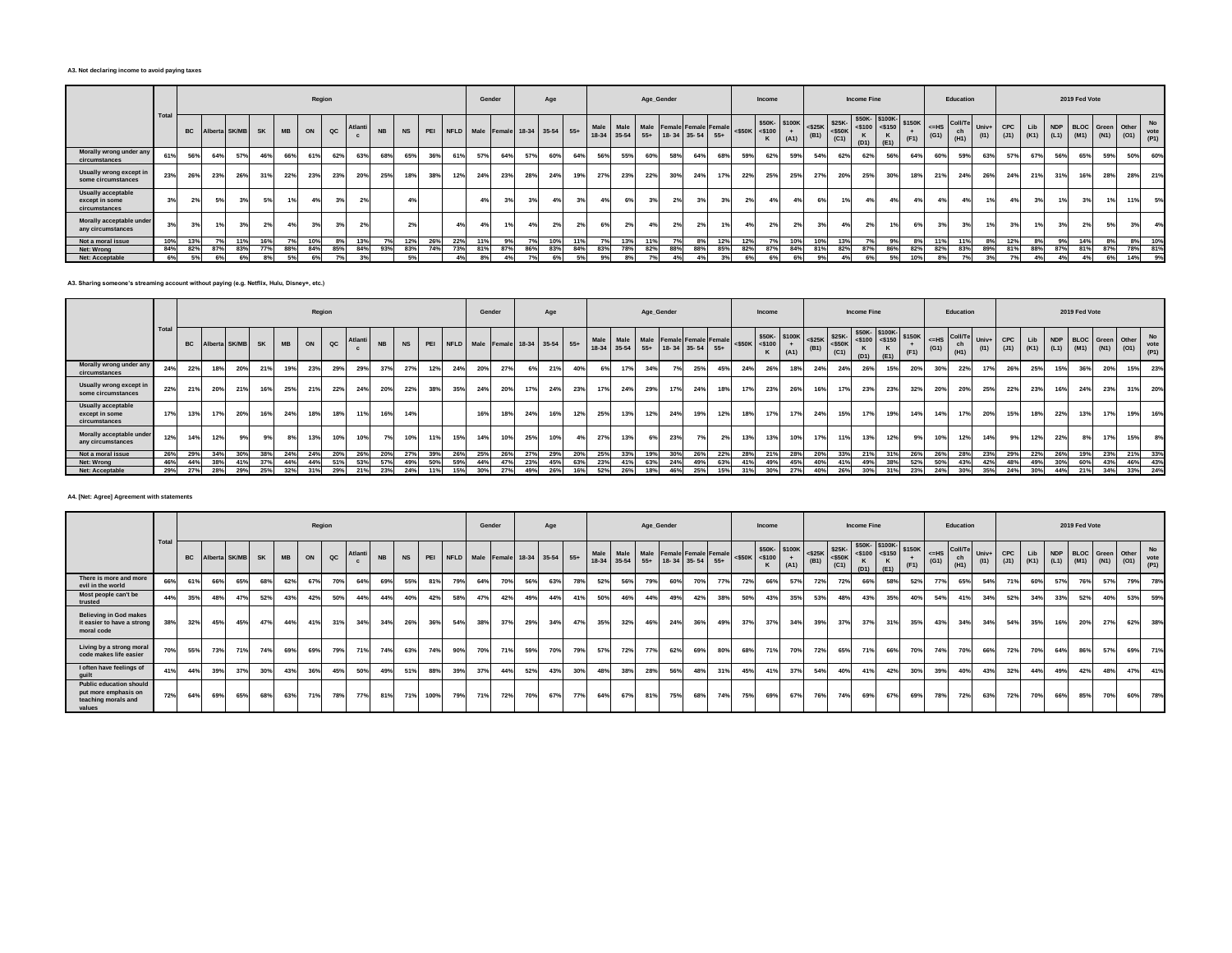#### **A3. Not declaring income to avoid paying taxes**

|                                                       |       |           |     |               |     |           |     | Region |       |           |                |     |                                      | Gender |     |     | Age |     |     |            |     | Age_Gender |                                                                        |     |                     | Income |                             |      |                                                | <b>Income Fine</b> |                                                |                |                 | Education                         |               |             |     |     | 2019 Fed Vote |                                                  |     |                           |
|-------------------------------------------------------|-------|-----------|-----|---------------|-----|-----------|-----|--------|-------|-----------|----------------|-----|--------------------------------------|--------|-----|-----|-----|-----|-----|------------|-----|------------|------------------------------------------------------------------------|-----|---------------------|--------|-----------------------------|------|------------------------------------------------|--------------------|------------------------------------------------|----------------|-----------------|-----------------------------------|---------------|-------------|-----|-----|---------------|--------------------------------------------------|-----|---------------------------|
|                                                       | Total | <b>BC</b> |     | Alberta SK/MB | SK  | <b>MB</b> | ON  | QC     | Atlan | <b>NB</b> | <b>NS</b>      |     | PEI NFLD Male Female 18-34 35-54 55+ |        |     |     |     |     |     |            |     |            | Male Male Male Female Female Female<br>18-34 35-54 55+ 18-34 35-54 55+ |     | $<$ \$50K $<$ \$100 |        | \$50K-\$100K<br>$+$<br>(A1) | (B1) | $\sim$ $ $ <\$25K \$25K -<br>$<$ \$50K<br>(C1) | (D1)               | \$50K-\$100K-<br>$<$ \$100 <\$150<br>ĸ<br>(E1) | \$150K<br>(F1) | $<=$ HS<br>(G1) | $\sim$ Coll/ $\tau$<br>ch<br>(H1) | Univ+<br>(11) | CPC<br>(J1) | Lib |     |               | NDP BLOC Green Other<br>(K1) (L1) (M1) (N1) (O1) |     | <b>No</b><br>vote<br>(P1) |
| Morally wrong under any<br>circumstances              | 61%   | 56%       |     | 57%           | 46% | 66%       | 61% | 62%    | 63%   | 68%       | 65%            | 36% | 61%                                  | 57%    | 64% | 57% | 60% | 64% | 56% | 55%        | 60% | 58%        | 64%                                                                    | 68% | 59%                 | 62%    | 59%                         | 54%  | 62%                                            | 62%                | 56%                                            | 64%            | 60%             | 59%                               | 63%           | 57%         | 67% | 56% | 65%           | 59%                                              | 50% | 60%                       |
| Usually wrong except in<br>some circumstances         | 23%   | 26%       | 23% | 26%           | 31% | 22%       | 23% | 23%    | 20%   | 25%       | 18%            | 38% |                                      | 24%    | 23% | 28% | 24% | 19% | 27% | 23%        | 22% | 30%        | 24%                                                                    | 17% | 22%                 | 25%    | 25%                         | 27%  | 20%                                            | <b>25%</b>         | 30%                                            | 18%            | 21%             | 24%                               | 26%           | 24%         | 21% | 31% | 16%           | 28%                                              | 28% | 21%                       |
| Usually acceptable<br>except in some<br>circumstances | 3%    |           | 5%  | 3%            |     | 1%        | 4%  | $\sim$ |       |           | 4%             |     |                                      | 4%     | 3%  | 3%  |     | 3%  | 4%  | 6%         |     | 2%         | 3%                                                                     | 3%  | 2%                  | 4%     |                             |      |                                                |                    | 4%                                             |                | 4%              | 4%                                |               | 4%          | 3%  | 1%1 | 3%            |                                                  | 11% | 5%                        |
| Morally acceptable under<br>any circumstances         | 3%    |           |     | 3%            |     |           | 3%  |        |       |           | 2 <sup>9</sup> |     |                                      | 4%     | 1%  | 4%  |     | 2%  | 6%  |            |     | 2%         | 2%                                                                     |     |                     | 2%     |                             |      |                                                |                    |                                                |                | 3%              | 3%                                |               |             | 1%  |     | 2%            |                                                  | 3%  | 4%                        |
| Not a moral issue                                     | 10%   | 13%       |     | 11%           | 16% | 7%        | 10% |        |       |           | 12%            | 26% | 22%                                  |        | 9%  | 70/ | 10% | 11% | 7°/ | 13%        | 11% |            | 8%                                                                     | 12% | 12%                 | 7%     | 10%                         | 10%  | 13%                                            |                    | 9%                                             | 8%             | 11%             | 11%                               | 8%            | 12%         | 8%  | 9%  | 14%           |                                                  | 8%  | 10%                       |
| Net: Wrong                                            | 84%   | 82%       | 87% | 83%           | 77% | 88%       | 84% | 85%    | 84%   | 93%       | 83%            | 74% | 73%                                  | 81%    | 87% | 86% | 83% | 84% | 83% | <b>78%</b> | 82% | 88%        | 88%                                                                    | 85% | 82%                 | 87%    | 84%                         | 81%  | 82%                                            | 87%                | 86%                                            | 82%            | 82%             | 83%                               | 89%           | 81%         | 88% | 87% | 81%           | 87%                                              | 78% | 81%                       |
| Net: Acceptable                                       | 6%    |           | 6%  | 6%            |     | 5%        | 6%  |        | 3%    |           | 5%             |     |                                      | 8%     |     |     |     |     | 9%  |            |     | 4%         |                                                                        | 3%  |                     |        | 6%                          |      |                                                |                    |                                                | 10%            | 8%              |                                   | 3%            |             | 4%  | 4%  |               | 6%                                               | 14% | 9%                        |

**A3. Sharing someone's streaming account without paying (e.g. Netflix, Hulu, Disney+, etc.)**

|                                                              |      |     |     |                  |     |           |     | Region |        |           |     |     |                                  | Gender     |                 |     | Age |     |      |     | Age_Gender |     |                                                                   |     |                     | Income |                      |     |      | <b>Income Fine</b> |                                                                                                                                                                                                                                                                                                                                          |      |               | Education  |                         |            |                                    |     | 2019 Fed Vote |     |                          |     |
|--------------------------------------------------------------|------|-----|-----|------------------|-----|-----------|-----|--------|--------|-----------|-----|-----|----------------------------------|------------|-----------------|-----|-----|-----|------|-----|------------|-----|-------------------------------------------------------------------|-----|---------------------|--------|----------------------|-----|------|--------------------|------------------------------------------------------------------------------------------------------------------------------------------------------------------------------------------------------------------------------------------------------------------------------------------------------------------------------------------|------|---------------|------------|-------------------------|------------|------------------------------------|-----|---------------|-----|--------------------------|-----|
|                                                              | Tota |     |     | Alberta SK/MB SK |     | <b>MB</b> | ON  | QC     | Atlant | <b>NB</b> |     | PEI | NFLD Male Female 18-34 35-54 55+ |            |                 |     |     |     | Male |     |            |     | Male Male Female Female Female<br>18-34 35-54 55+ 18-34 35-54 55+ |     | $<$ \$50K $<$ \$100 |        | \$50K-\$100K<br>(A1) |     | (C1) | (D1)               | $\left \begin{array}{c c}\n\text{-}300\text{K} \\ \text{-}525\text{K} \\ \text{-}525\text{K} \\ \text{-}510\text{K}\n\end{array}\right $ = \$150 $\left \begin{array}{c c}\n\text{5100K} \\ \text{5150K} \\ \text{K}\n\end{array}\right $ = \$150 $\left \begin{array}{c}\n\text{5150K} \\ \text{5150K}\n\end{array}\right $<br>$ $ (E1) | (F1) | $=HS$<br>(G1) | ch<br>(H1) | Coll/Te Univ+ I<br>(11) | <b>CPC</b> | (J1) (K1) (L1) (M1) (N1) (O1) (P1) |     |               |     | Lib NDP BLOC Green Other | No  |
| Morally wrong under any<br>circumstances                     | 24%  | 22% | 18% | 20%              | 21% | 19%       | 23% | 29%    | 29%    | 37%       | 27% | 12% | 24%                              | <b>20%</b> | 27%             |     | 21% | 40% | 6%   | 17% | 34%        | 7°/ | 25%                                                               | 45% | 24%                 | 26%    | 18%                  | 24% | 24%  | 26%                | 15%                                                                                                                                                                                                                                                                                                                                      | 20%  | 30%           | 22%        |                         | 26%        | 25%                                | 15% | 36%           | 20% | 15%                      | 23% |
| Usually wrong except in<br>some circumstances                | 22%  | 21% | 20% | 21%              | 16% | 25%       | 21% | 22%    | 24%    | 20%       | 22% | 38% | 35%                              | 24%        | 20%             | 17% | 24% | 23% | 17%  | 24% | 29%        | 17% | 24%                                                               | 18% | 17%                 | 23%    | 26%                  | 16% | 17%  | 23%                | 23%                                                                                                                                                                                                                                                                                                                                      | 32%  | 20%           | 20%        | 25%                     | 22%        | 23%                                | 16% | 24%           | 23% | 31%                      | 20% |
| <b>Usually acceptable</b><br>except in some<br>circumstances | 17%  | 13% | 17% | 20%              | 16% | 24%       | 18% | 18%    | 11%    | 16%       | 14% |     |                                  | 16%        | 18%             | 24% | 16% | 12% | 25%  | 13% | 12%        | 24% | 19%                                                               | 12% | 18%                 | 17%    | 17%                  | 24% | 15%  | 17%                | 19%                                                                                                                                                                                                                                                                                                                                      |      | 14%           | 17%        | 20%                     | 15%        | 18%                                | 22% | 13%           | 17% | 19%                      | 16% |
| Morally acceptable under<br>any circumstances                | 12%  | 14% | 12% | 9%               | 9%  | 8%        | 13% | 10%    | 10%    | 7%        | 10% | 11% | 15%                              | 14%        | 10%             | 25% | 10% | 4%  | 27%  | 13% | 6%         | 23% |                                                                   | 2%  | 13%                 | 13%    | 10%                  | 17% | 11%  | 13%                | 12%                                                                                                                                                                                                                                                                                                                                      |      | 10%           | 12%        | 14%                     | 9%         | 12%                                | 22% | 8%            | 17% | 15%                      | 8%  |
| Not a moral issue                                            | 26%  | 29% | 34% |                  | 38% | 24%       | 24% | 20%    | 26%    | 20%       | 27% | 39% | 26%                              | 25%        | 26%             |     | 29% | 20% | 25%  | 33% |            | 30% | 26%                                                               | 22% |                     | 21%    | 28%                  | 20% | 33%  | 21%                |                                                                                                                                                                                                                                                                                                                                          |      | <b>26%</b>    | 28%        | 23%                     | 29%        | 22%                                | 26% | 19%           | 23% | 21%                      | 33% |
| Net: Wrong                                                   | 46%  | 44% | 38% | 41%              |     | 44%       | 44% | 51%    | 53%    | 57%       | 49% | 50% | 59%                              | 44%        | 47%             | 23% | 45% | 63% | 23%  |     |            | 24% | 49%                                                               | 63% | 41%                 | 49%    | 45%                  | 40% | 41%  | 49%                |                                                                                                                                                                                                                                                                                                                                          |      |               | 43%        | 42%                     | 48%        | 49%                                | 30% | 60%           | 43% | 46%                      | 43% |
| Net: Acceptable                                              | 29%  | 27% | 28% | 29%              | 25% | 32%       | 31% | 29%    | 21%    | 23%       | 24% |     |                                  | 30%        | 27 <sup>°</sup> | 49% | 26% | 16% | 52%  | 26% |            | 46% | 25%                                                               |     | 31%                 | 30%    | 27%                  | 40% | 26%  | 30%                |                                                                                                                                                                                                                                                                                                                                          |      | 24%           | 30%        | 35%                     | 24%        | 30%                                | 44% | 21%           | 34% | 33%                      | 24% |

#### **A4. [Net: Agree] Agreement with statements**

|                                                                                         |       |           |     |                  |     |           |     | Region        |         |           |           |      |             | Gender                      |     |     | Age |     |      |     |     | Age_Gender |                                                                   |     |           | Income        |                      |      |                                                                                                                                                                                                                                                                                                                                                            | <b>Income Fine</b> |           |                |                 | Education             |               |            |     |     | 2019 Fed Vote            |     |                                    |     |
|-----------------------------------------------------------------------------------------|-------|-----------|-----|------------------|-----|-----------|-----|---------------|---------|-----------|-----------|------|-------------|-----------------------------|-----|-----|-----|-----|------|-----|-----|------------|-------------------------------------------------------------------|-----|-----------|---------------|----------------------|------|------------------------------------------------------------------------------------------------------------------------------------------------------------------------------------------------------------------------------------------------------------------------------------------------------------------------------------------------------------|--------------------|-----------|----------------|-----------------|-----------------------|---------------|------------|-----|-----|--------------------------|-----|------------------------------------|-----|
|                                                                                         | Total | <b>BC</b> |     | Alberta SK/MB SK |     | <b>MB</b> | ON  | $_{\alpha c}$ | Atlanti | <b>NE</b> | <b>NS</b> | PEI  | <b>NFLD</b> | Male Female 18-34 35-54 55+ |     |     |     |     | Male |     |     |            | Male Male Female Female Female<br>18-34 35-54 55+ 18-34 35-54 55+ |     | $<$ \$50K | $\sim$ <\$100 | \$50K-\$100K<br>(A1) | (B1) | $\begin{array}{ c c c c c c } \hline \text{2525K} & \text{2525K} & \text{250K} & \text{25100} & \text{25150} & \text{25150} \ \hline \text{250K} & \text{250K} & \text{25150} & \text{25150} & \text{25150} & \text{25150} & \text{25150} & \text{25150} & \text{25150} & \text{25150} & \text{25150} & \text{25150} & \text{25150} & \text{25150$<br>(C1) | $\kappa$<br>(D1)   | K<br>(E1) | \$150K<br>(F1) | $<=$ HS<br>(G1) | Coll/Te<br>ch<br>(H1) | Univ+<br>(11) | <b>CPC</b> |     |     | Lib NDP BLOC Green Other |     | (J1) (K1) (L1) (M1) (N1) (O1) (P1) | No  |
| There is more and more<br>evil in the world                                             | 66%   | 61%       | 66% | 65%              | 68% | 62%       | 67% | 70%           | 64%     | 69%       | 55%       | 81%  | 79%         | 64%                         | 70% | 56% | 63% | 78% | 52%  | 56% | 79% | 60%        | 70%                                                               | 77% | 72%       | 66%           | 57%                  | 72%  | 72%                                                                                                                                                                                                                                                                                                                                                        | 66%                | 58%       | 52%            | 77%             | 65%                   | 54%           | 71%        | 60% | 57% | 76%                      | 57% | 79%                                | 78% |
| Most people can't be<br>trusted                                                         | 44%   | 35%       | 48% | 47%              | 52% | 43%       | 42% | 50%           | 44%     | 44%       | 40%       | 42%  | 58%         | 47%                         | 42% | 49% | 44% | 41% | 50%  | 46% | 44% | 49%        | 42%                                                               | 38% | 50%       | 43%           | 35%                  | 53%  | 48%                                                                                                                                                                                                                                                                                                                                                        | 43%                | 35%       | 40%            | 54%             | 41%                   | 34%           | 52%        | 34% | 33% | 52%                      | 40% | 53%                                | 59% |
| <b>Believing in God makes</b><br>it easier to have a strong<br>moral code               | 38%   | 32%       | 45% | 45%              | 47% | 44%       | 41% | 31%           | 34%     | 34%       | 26%       | 36%  | 54%         | 38%                         | 37% | 29% | 34% | 47% | 35%  | 32% | 46% | 24%        | 36%                                                               | 49% | 37%       | 37%           | 34%                  | 39%  | 37%                                                                                                                                                                                                                                                                                                                                                        | 37%                | 31%       | 35%            | 43%             | 34%                   | 34%           | 54%        | 35% | 16% | 20%                      | 27% | 62%                                | 38% |
| Living by a strong moral<br>code makes life easier                                      | 70%   | 55%       | 73% | 71%              | 74% | 69%       | 69% | 79%           | 71%     | 74%       | 63%       | 74%  | 90%         | 70%                         | 71% | 59% | 70% | 79% | 57%  | 72% | 77% | 62%        | 69%                                                               | 80% | 68%       | 71%           | 70%                  | 72%  | 65%                                                                                                                                                                                                                                                                                                                                                        | 71%                | 66%       | 70%            | 74%             | 70%                   | 66%           | 72%        | 70% | 64% | 86%                      | 57% | 69%                                | 71% |
| I often have feelings of                                                                | 41%   | 44%       | 39% | 37%              | 30% | 43%       | 36% | 45%           | 50%     | 49%       | 51%       | 88%  | 39%         | 37%                         | 44% | 52% | 43% | 30% | 48%  | 38% | 28% | 56%        | 48%                                                               | 31% | 45%       | 41%           | 37%                  | 54%  | 40%                                                                                                                                                                                                                                                                                                                                                        | 41%                | 42%       | 30%            | 39%             | 40%                   | 43%           | 32%        | 44% | 49% | 42%                      | 48% | 47%                                | 41% |
| <b>Public education should</b><br>put more emphasis on<br>teaching morals and<br>values | 72%   | 64%       | 69% | 65%              | 68% | 63%       | 71% | 78%           | 77%     | 81%       | 71%       | 100% | 79%         | 71%                         | 72% | 70% | 67% | 77% | 64%  | 67% | 81% | 75%        | 68%                                                               | 74% | 75%       | 69%           | 67%                  | 76%  | 74%                                                                                                                                                                                                                                                                                                                                                        | 69%                | 67%       | 69%            | 78%             | 72%                   | 63%           | 72%        | 70% | 66% | 85%                      | 70% | 60%                                | 78% |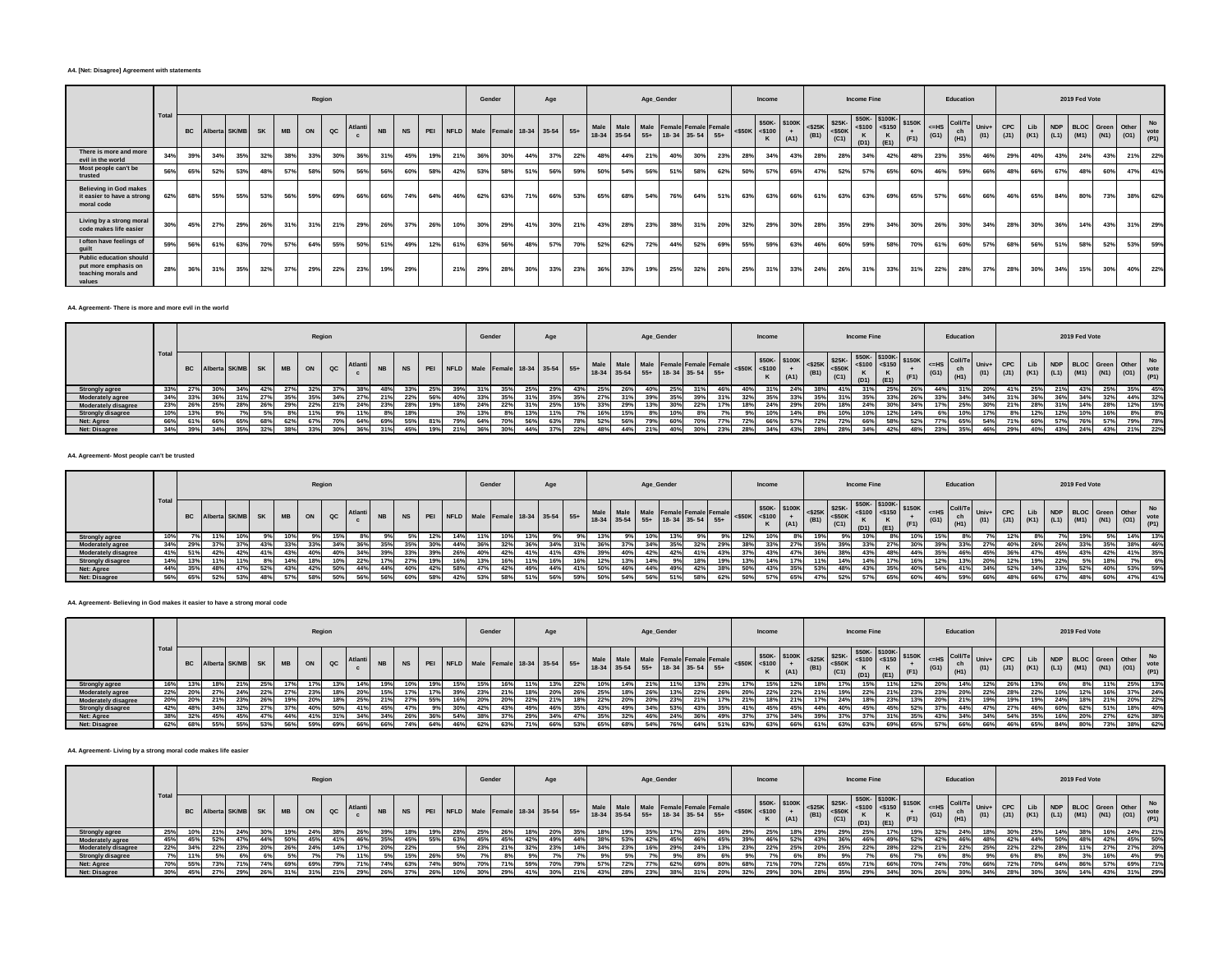#### **A4. [Net: Disagree] Agreement with statements**

|                                                                                         |       |           |     |               |           |           |     | Region      |         |           |           |     |     | Gender                               |     |     | Age |     |     |     |     | Age_Gender                      |     |                                     |                     | Income       |             |      |                                       | <b>Income Fine</b> |                                                                        |      |      | Education  |                                 |                    |     |               | 2019 Fed Vote |                                                  |     |                    |
|-----------------------------------------------------------------------------------------|-------|-----------|-----|---------------|-----------|-----------|-----|-------------|---------|-----------|-----------|-----|-----|--------------------------------------|-----|-----|-----|-----|-----|-----|-----|---------------------------------|-----|-------------------------------------|---------------------|--------------|-------------|------|---------------------------------------|--------------------|------------------------------------------------------------------------|------|------|------------|---------------------------------|--------------------|-----|---------------|---------------|--------------------------------------------------|-----|--------------------|
|                                                                                         | Total | <b>BC</b> |     | Alberta SK/MB | <b>SK</b> | <b>MB</b> | ON  | $_{\rm QC}$ | Atlanti | <b>NB</b> | <b>NS</b> |     |     | PEI NFLD Male Female 18-34 35-54 55+ |     |     |     |     |     |     |     | 18-34 35-54 55+ 18-34 35-54 55+ |     | Male Male Male Female Female Female | $<$ \$50K $<$ \$100 | \$50K-\$100K | $+$<br>(A1) | (B1) | $<$ \$25K \$25K-<br>$<$ \$50K<br>(C1) | $\kappa$<br>(D1)   | $\frac{1}{250K}$ \$50K-<br>$\frac{1}{2500}$ \$150K<br>$\kappa$<br>(E1) | (F1) | (G1) | ch<br>(H1) | $\leq$ HS Coll/Te Univ+<br>(11) | <b>CPC</b><br>(J1) |     | $(K1)$ $(L1)$ |               | Lib NDP BLOC Green Other<br>$(M1)$ $(N1)$ $(O1)$ |     | No<br>vote<br>(P1) |
| There is more and more<br>evil in the world                                             | 34%   | 39%       | 34% | 35%           | 32%       | 38%       | 33% | 30%         | 36%     | 31%       | 45%       | 19% | 21% | 36%                                  | 30% | 44% | 37% | 22% | 48% | 44% | 21% | 40%                             | 30% | 23%                                 | 28%                 | 34%          | 43%         | 28%  | 28%                                   | 34%                | 42%                                                                    | 48%  | 23%  | 35%        | 46%                             | 29%                | 40% | 43%           | 24%           | 43%                                              | 21% | 22%                |
| Most people can't be<br>trusted                                                         | 56%   | 65%       | 52% | 53%           | 48%       | 57%       | 58% | 50%         | 56%     | 56%       | 60%       | 58% | 42% | 53%                                  | 58% | 51% | 56% | 59% | 50% | 54% | 56% | 51%                             | 58% | 62%                                 | 50%                 | 57%          | 65%         | 47%  | 52%                                   | 57%                | 65%                                                                    | 60%  | 46%  | 59%        | 66%                             | 48%                | 66% | 67%           | 48%           | 60%                                              | 47% | 41%                |
| <b>Believing in God makes</b><br>it easier to have a strong<br>moral code               | 62%   | 68%       | 55% | 55%           | 53%       | 56%       | 59% | 69%         | 66%     | 66%       | 74%       | 64% | 46% | 62%                                  | 63% | 71% | 66% | 53% | 65% | 68% | 54% | 76%                             | 64% | 51%                                 | 63%                 | 63%          | 66%         | 61%  | 63%                                   | 63%                | 69%                                                                    | 65%  | 57%  | 66%        | 66%                             | 46%                | 65% | 84%           | 80%           | 73%                                              | 38% | 62%                |
| Living by a strong moral<br>code makes life easier                                      | 30%   | 45%       | 27% | 29%           | 26%       | 31%       | 31% | 21%         | 29%     | 26%       | 37%       | 26% | 10% | 30%                                  | 29% | 41% | 30% | 21% | 43% | 28% | 23% | 38%                             | 31% | 20%                                 | 32%                 | 29%          | 30%         | 28%  | 35%                                   | 29%                | 34%                                                                    | 30%  | 26%  | 30%        | 34%                             | 28%                | 30% | 36%           | 14%           | 43%                                              | 31% | 29%                |
| I often have feelings of<br>quilt                                                       | 59%   | 56%       | 61% | 63%           | 70%       | 57%       | 64% | 55%         | 50%     | 51%       | 49%       | 12% | 61% | 63%                                  | 56% | 48% | 57% | 70% | 52% | 62% | 72% | 44%                             | 52% | 69%                                 | 55%                 | 59%          | 63%         | 46%  | 60%                                   | 59%                | 58%                                                                    | 70%  | 61%  | 60%        | 57%                             | 68%                | 56% | 51%           | 58%           | 52%                                              | 53% | 59%                |
| <b>Public education should</b><br>put more emphasis on<br>teaching morals and<br>values | 28%   | 36%       | 31% | 35%           | 32%       | 37%       | 29% | 22%         | 23%     | 19%       | 29%       |     | 21% | 29%                                  | 28% | 30% | 33% | 23% | 36% | 33% | 19% | 25%                             | 32% | 26%                                 | 25%                 | 31%          | 33%         | 24%  | 26%                                   | 31%                | 33%                                                                    | 31%  | 22%  | 28%        | 37%                             | 28%                | 30% | 34%           | 15%           | 30%                                              | 40% | 22%                |

#### **A4. Agreement- There is more and more evil in the world**

|                          |      |     |     |                         |           |           |     | Region      |        |      |     |                | Gender |     |     | Age                              |  |           | Age_Gender                                                   |     |                     | Income       |      |      |                       | Income Fine |                                    |        |                             | Education |               |     |     |                                    | 2019 Fed Vote |                     |             |           |
|--------------------------|------|-----|-----|-------------------------|-----------|-----------|-----|-------------|--------|------|-----|----------------|--------|-----|-----|----------------------------------|--|-----------|--------------------------------------------------------------|-----|---------------------|--------------|------|------|-----------------------|-------------|------------------------------------|--------|-----------------------------|-----------|---------------|-----|-----|------------------------------------|---------------|---------------------|-------------|-----------|
|                          | Tota |     |     | <b>BC</b> Alberta SK/MB | <b>SK</b> | <b>MB</b> | ON  | $_{\alpha}$ | Atlant |      |     | I PEI          |        |     |     | NFLD Male Female 18-34 35-54 55+ |  | Male Male | Male Female Female Female<br>18-34 35-54 55+ 18-34 35-54 55+ |     | $<$ \$50K $<$ \$100 | \$50K-\$100K | (A1) | (B1) | $525K - 525K$<br>(C1) |             | \$50K-\$100K-<br>$ $ <\$100 <\$150 | \$150K | $I \leq HS$ Coll/Te<br>(G1) | (H1)      | Univ+<br>(11) | CPC | Lib | <b>NDP</b><br>$(K1)$ $(L1)$ $(M1)$ | <b>BLOC</b>   | Green Other<br>(N1) | $(01)$ vote | <b>No</b> |
| Strongly agree           | 33%  |     |     | 34%                     | 42%       |           |     |             |        |      |     |                |        |     |     |                                  |  |           |                                                              |     |                     |              |      |      |                       |             | 25%                                |        |                             |           | 20%           | 41% |     |                                    |               | 25%                 | 35%         | 45%       |
| Moderately agree         | 34%  |     |     |                         |           |           |     |             | 27%    |      | 22% | 56%            |        |     |     |                                  |  |           |                                                              |     |                     |              |      |      |                       |             |                                    | 26%    |                             |           |               |     |     |                                    |               |                     | 44%         | 32%       |
| Moderately disagree      | 23%  | 26% | 25% | 28%                     | 26%       | 29%       | 22% | 21%         | 24%    | 2201 | 28% |                | 24%    | 22% |     | 25%                              |  | 29%       |                                                              |     | 18%                 |              | 29%  | 20%  | 18%                   | 24%         | 30%                                | 34%    | 17%                         | 25%       | 30%           | 21% | 28% | 31%                                | 14%           | 28%                 | 12%         | 15%       |
| <b>Strongly disagree</b> | 10%  | 13% |     | 7%                      |           |           | 11% |             | 11%    |      | 18% |                |        |     |     |                                  |  | 15%       |                                                              |     |                     |              | 14%  | 8%   |                       | 10%         | 12%                                | 14%    |                             | 10%       | 17%           |     | 12% | 12%                                | 10%           | 16%                 |             |           |
| Net: Agree               | 66%  |     |     | 65%                     | 68%       | 62%       | 67% | 70%         | 64%    | 69%  | 55% | R <sub>1</sub> | 64%    |     | 56% |                                  |  | 56        |                                                              |     |                     |              |      | 72%  |                       |             | 59%                                | 52%    |                             |           | 54%           | 71% | 60% | 57%                                | 76%           | 57%                 | 79%         | 78%       |
| Net: Disagree            | 34%  | 39% | 34% | 35%                     | 32%       | 38%       |     | 200         | 200    |      |     |                |        |     |     |                                  |  |           |                                                              | 23% |                     |              |      | 28%  | 28%                   | 34%         | 42%                                | 48%    | 23%                         | 35%       | 46%           | 29% | 40% |                                    | 24%           | 43%                 | 21%         | 22%       |

## **A4. Agreement- Most people can't be trusted**

|                          |      |           |               |           |           | Region |               |                |           |     |     |     | Gender |     |     | Age                              |  |     |     | Age_Gender |                                                                        |     |                     | Income |      |      |                                                                                                                                          | <b>Income Fine</b> |                                              |     |            | Education             |      |      |             |     | 2019 Fed Vote                                |     |                                      |
|--------------------------|------|-----------|---------------|-----------|-----------|--------|---------------|----------------|-----------|-----|-----|-----|--------|-----|-----|----------------------------------|--|-----|-----|------------|------------------------------------------------------------------------|-----|---------------------|--------|------|------|------------------------------------------------------------------------------------------------------------------------------------------|--------------------|----------------------------------------------|-----|------------|-----------------------|------|------|-------------|-----|----------------------------------------------|-----|--------------------------------------|
|                          | Tota | <b>BC</b> | Alberta SK/MB | <b>SK</b> | <b>MB</b> |        | $_{\alpha c}$ | <b>Atlanti</b> | <b>NB</b> |     | PEI |     |        |     |     | NFLD Male Female 18-34 35-54 55+ |  |     |     |            | Male Male Male Female Female Female<br>18-34 35-54 55+ 18-34 35-54 55+ |     | $<$ \$50K $<$ \$100 |        | (A1) | (DA) | $\begin{array}{ c c c c c c } \hline & $50K$ & $100K$ & & $25K$ \\ \hline & $&$5100 & + & $610$ & & $50K$ \\ \hline \end{array}$<br>(C1) | (D1)               | $550K - 15100K - 15150K$<br>$<$ \$100 <\$150 |     | $\leq$ =HS | Coll/Te<br>ch<br>(H1) | (11) | (J1) | Lib<br>(K1) |     | NDP BLOC Green Other<br>$(L1)$ $(M1)$ $(N1)$ |     | <b>No</b><br>$-41$ (01) vote<br>(P1) |
| <b>Strongly agree</b>    | 10%  |           |               |           |           |        |               |                |           |     | 12% | 14% |        |     |     |                                  |  |     |     |            |                                                                        |     |                     |        |      |      |                                                                                                                                          |                    | 8%                                           |     |            |                       |      |      |             |     |                                              |     | 13%                                  |
| <b>Moderately agree</b>  | 34%  |           |               |           |           |        | 34%           |                |           |     |     | 44% |        |     |     |                                  |  |     |     |            |                                                                        |     |                     |        |      |      |                                                                                                                                          |                    |                                              |     |            | 33%                   | 27%  | 40%  |             | 26% |                                              |     | 46%                                  |
| Moderately disagree      | 41%  | 51%       |               |           | 43%       | 40%    | 40%           | 34%            |           |     | 39% | 26% | 40%    |     |     |                                  |  | 40% | 42% | 42%        | 41%                                                                    | 43% |                     |        |      |      |                                                                                                                                          |                    |                                              |     | 35%        | 46%                   | 45%  | 36%  | 47%         | 45% | 43%                                          | 41% | 35%                                  |
| <b>Strongly disagree</b> | 14%  | 139       |               |           |           |        | 10%           | 22%            |           | 27% | 19% | 16% | 13%    |     |     |                                  |  | 13% |     |            | 18%                                                                    | 19% | 13%                 | 14%    |      | 449  |                                                                                                                                          |                    |                                              |     | 12%        | 13%                   | 20%  | 12%  | 19%         | 22% |                                              |     | 6%                                   |
| Net: Agree               | 44%  | 35%       |               | 52%       | 43%       | 42%    | 50%           | 44%            | 44%       | 40% | 42% | 58% | 47%    | 42% | 49% |                                  |  | 46% | 44% | 49%        | 42%                                                                    | 38% | 50%                 |        | 35%  | 539  |                                                                                                                                          | 43%                | 35%                                          | 40% | 54%        | 41%                   | 34%  | 52%  | 34%         |     | 52%                                          | 53% | 59%                                  |
| Net: Disagree            | 56%  | 65%       |               |           |           |        | 50%           | 56%            |           |     | 58% | 42% | 53%    |     |     |                                  |  | 54% |     |            | 58%                                                                    | 62% | 50%                 | 57%    | 65%  |      |                                                                                                                                          | 57%                | 65%                                          |     |            | 59%                   | 66%  |      |             | 67% |                                              | 47% | 41%                                  |

#### **A4. Agreement- Believing in God makes it easier to have a strong moral code**

|                          |       |     |                     |     |           |     | Region        |     |           |     |                                         | Gender |     |     | Age |     |     | Age_Gender                                                                                                                                                                                                                     |     |     |     | Income |     |     | <b>Income Fine</b> |  |               | Education |                                          |       |     |     | 2019 Fed Vote                                                                                               |      |     |     |
|--------------------------|-------|-----|---------------------|-----|-----------|-----|---------------|-----|-----------|-----|-----------------------------------------|--------|-----|-----|-----|-----|-----|--------------------------------------------------------------------------------------------------------------------------------------------------------------------------------------------------------------------------------|-----|-----|-----|--------|-----|-----|--------------------|--|---------------|-----------|------------------------------------------|-------|-----|-----|-------------------------------------------------------------------------------------------------------------|------|-----|-----|
|                          | Total |     | BC Alberta SK/MB SK |     | <b>MB</b> | ON  | $_{\alpha c}$ |     | <b>NB</b> |     | NS PEI NFLD Male Female 18-34 35-54 55+ |        |     |     |     |     |     | Maio Maio Maio Female Female Female 450K 30K 310K 325K 325K 360K 3100K 3150K 3150K 4150 45150 4 4 550 1 4 4 550 1 4 550 1 4 550 1 4 550 1 4 550 1 4 550 1 4 550 1 4 550 1 4 550 1 4 550 1 4 550 1 4 550 1 4 550 1 4 550 1 4 55 |     |     |     |        |     |     | (D1)               |  | $(G1)$ $(H1)$ |           | $\sqrt[3]{K}$ <=HS Coll/Te Univ+<br>(11) | CPC I |     |     | Lib NDP BLOC Green Other vote<br>(K1) (L1) (M1) (N1) (O1) vote<br>$(J1)$ $(K1)$ $(L1)$ $(M1)$ $(N1)$ $(O1)$ |      |     | No  |
| Strongly agree           | 16%   |     |                     | 25% |           |     | 13%           | 14% |           |     |                                         |        |     |     |     | 10% | 14% |                                                                                                                                                                                                                                |     |     |     |        |     |     |                    |  |               |           |                                          |       |     |     |                                                                                                             |      |     | 13% |
| Moderately agree         | 22%   |     |                     | 22% |           | 23% | 18%           | 20% |           |     |                                         |        | 21% |     | 20% | 25% | 18% |                                                                                                                                                                                                                                | 22% | 26% | 20% |        | 22% | 19% |                    |  |               |           |                                          |       | 22% | 10% | 12%                                                                                                         |      |     | 24% |
| Moderately disagree      | 20%   |     |                     |     | 19%       |     | 18%           | 25% |           | 27% | 55%                                     | 20%    | 20% | 22% |     | 22% | 20% |                                                                                                                                                                                                                                |     |     |     | 18%1   | 21% | 24% |                    |  |               |           |                                          | 19%   | 19% | 24% | 18%                                                                                                         |      | 20% | 22% |
| <b>Strongly disagree</b> |       |     |                     |     |           |     | 50%           | 41% |           |     |                                         |        |     | 49% |     |     |     |                                                                                                                                                                                                                                |     |     |     | 45%    |     |     |                    |  |               |           |                                          |       | 46% | 60% | 62%                                                                                                         |      |     | 40% |
| Net: Agree               | 38%   | 32% |                     | 47% | -44%      |     |               |     |           |     |                                         |        |     |     |     |     |     |                                                                                                                                                                                                                                |     |     |     |        |     |     |                    |  |               |           |                                          |       | 35% | 16% | 20%                                                                                                         | -27% | 62% | 38% |
| Net: Disagree            | 62%   | 68% |                     |     |           |     | 69%           | 66% | 66%       |     |                                         |        |     |     | 66% | 65% |     |                                                                                                                                                                                                                                |     |     |     |        |     |     |                    |  |               |           |                                          |       | 65% | 84% | 80%                                                                                                         |      | 38% | 62% |

## **A4. Agreement- Living by a strong moral code makes life easier**

|                          |       |           |                  |     |           |     | Region |         |     |     |     |     | Gender                           |     | Age |     |     |     | Age_Gender                                                                           |      |  | Income |      |      |     | <b>Income Fine</b> |                                                                                                                                                                                                                                        |      |                                                                | Education |      |  |     | 2019 Fed Vote |                                                                |     |                          |
|--------------------------|-------|-----------|------------------|-----|-----------|-----|--------|---------|-----|-----|-----|-----|----------------------------------|-----|-----|-----|-----|-----|--------------------------------------------------------------------------------------|------|--|--------|------|------|-----|--------------------|----------------------------------------------------------------------------------------------------------------------------------------------------------------------------------------------------------------------------------------|------|----------------------------------------------------------------|-----------|------|--|-----|---------------|----------------------------------------------------------------|-----|--------------------------|
|                          | Total | <b>BC</b> | Alberta SK/MB SK |     | <b>MB</b> |     |        | Atlanti |     |     |     |     | NFLD Male Female 18-34 35-54 55+ |     |     |     |     |     | Male Male Male Female Female Female <\$50K <\$100<br>18-34 35-54 55+ 18-34 35-54 55+ |      |  |        | (A1) | (B1) |     |                    | $\left  \begin{array}{cc} $50K$ & $100K$ \end{array} \right  \le $25K$$ $\left  \begin{array}{cc} $25K$ & $50K$ & $100K$ \end{array} \right $ $\le $150K$$ $\left  \begin{array}{cc} $150K$ & $150K$ \end{array} \right $ $\le $150K$$ |      | $\left\{\right $ <=HS Coll/Te Univ+<br>(G1) $\frac{C_1}{(H1)}$ | ch        | (11) |  |     |               | Lib NDP BLOC Green Other<br>$(J1)$ $(K1)$ $(L1)$ $(M1)$ $(N1)$ |     | <b>No</b><br>$(01)$ vote |
| <b>Strongly agree</b>    | 25%   |           |                  |     |           |     |        |         |     |     |     |     |                                  |     |     |     |     |     |                                                                                      |      |  |        |      |      |     |                    |                                                                                                                                                                                                                                        |      |                                                                |           |      |  |     |               |                                                                |     | 21%                      |
| Moderately agree         | 45%   |           |                  | 44% | 509       |     |        | 46%     |     |     | 55% | 63% |                                  | 42% | 49% |     |     | 53% |                                                                                      |      |  |        | 52%  |      |     |                    |                                                                                                                                                                                                                                        |      |                                                                |           |      |  |     |               |                                                                | 45% | 50%                      |
| Moderately disagree      | 22%   | 34%       |                  | 20% | 26%       | 24% | 14%    | 17%     | 20% |     |     |     |                                  | 32% | 23% | 14% | 34% | 23% |                                                                                      | 2476 |  |        | 25%  | 20%  | 25% | 22%                | 28%                                                                                                                                                                                                                                    | 22%  | 21%                                                            | 22%       | 25%  |  | 28% | 11%           | 27%                                                            | 27% | 20%                      |
| <b>Strongly disagree</b> | 7%    |           |                  |     |           |     |        | 11%     |     |     | 26% |     |                                  |     |     |     |     |     |                                                                                      |      |  |        |      |      |     |                    |                                                                                                                                                                                                                                        |      |                                                                |           |      |  |     |               |                                                                |     | 9%                       |
| Net: Agree               | 70%   | 55%       |                  |     | 69%       |     | 79%    | 71%     | 74% | 63% | 74% | 90% |                                  | 59% | 70% |     | 57% | 72% | 62%                                                                                  | 69%  |  |        | 70%  |      | 65% | 71%                | 66%                                                                                                                                                                                                                                    |      | 74%                                                            | 70%       | 66°  |  | 64% |               |                                                                | 69% | 71%                      |
| Net: Disagree            | 30%   | 45%       |                  |     |           |     |        |         |     |     |     |     |                                  |     |     |     | 43% |     |                                                                                      |      |  |        |      |      |     | 29%                |                                                                                                                                                                                                                                        | 0.08 |                                                                |           |      |  |     |               |                                                                |     | 29%                      |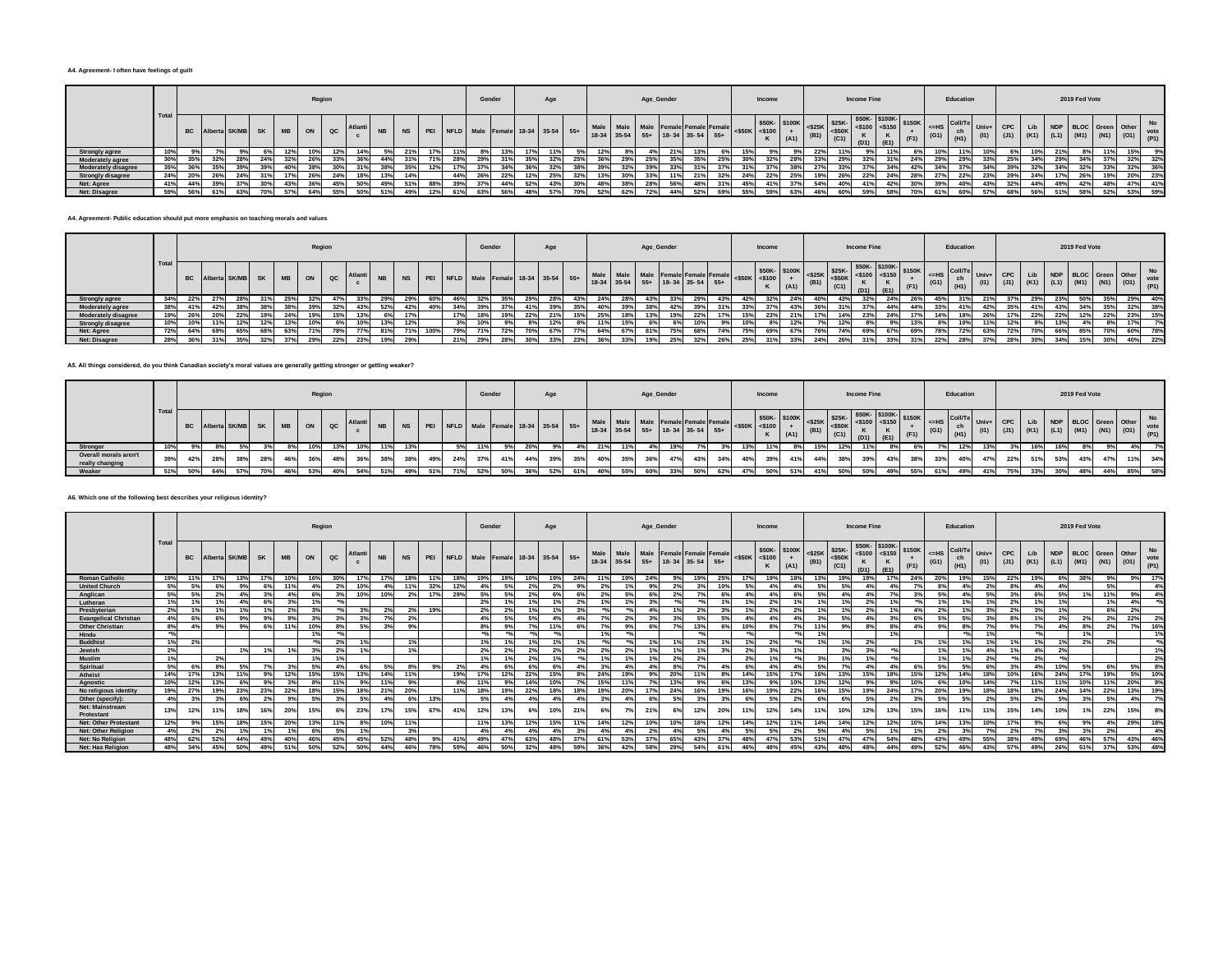#### **A4. Agreement- I often have feelings of guilt**

|                          |      |           |               |     |           |           |     | Region |        |     |     |     | Gender                           |     |     | Age  |     |     |      |     | Age_Gender                                                   |       |                         | Income |      |     |      | <b>Income Fine</b> |                                                                                                                                                                                                                                                                                                                  |      |                                                                                                                                                                 | Education |     |            |     |     | 2019 Fed Vote                                                       |     |     |           |
|--------------------------|------|-----------|---------------|-----|-----------|-----------|-----|--------|--------|-----|-----|-----|----------------------------------|-----|-----|------|-----|-----|------|-----|--------------------------------------------------------------|-------|-------------------------|--------|------|-----|------|--------------------|------------------------------------------------------------------------------------------------------------------------------------------------------------------------------------------------------------------------------------------------------------------------------------------------------------------|------|-----------------------------------------------------------------------------------------------------------------------------------------------------------------|-----------|-----|------------|-----|-----|---------------------------------------------------------------------|-----|-----|-----------|
|                          | Tota | <b>BC</b> | Alberta SK/MI |     | <b>SK</b> | <b>MB</b> | ON  | QC     | Atlant |     |     |     | NFLD Male Female 18-34 35-54 55+ |     |     |      |     |     | Male |     | Male Female Female Female<br>18-34 35-54 55+ 18-34 35-54 55+ |       | $\frac{B}{550K}$ <\$100 |        | (A1) |     | (C1) | (D1)               | \$50K-<br>$\times$ \$100K $\left  \begin{array}{cc} \text{5100K} \\ \text{525K} \end{array} \right $ $\times$ \$25K-<br>$\times$ \$150K $\left  \begin{array}{cc} \text{530K-} \\ \text{540K-} \end{array} \right $ $\times$ \$150K $\left  \begin{array}{cc} \text{5100K-} \\ \text{540K-} \end{array} \right $ |      | $\begin{array}{c c}\n\leftarrow & \text{CS} & \text{Coll/Te} \\ \leftarrow & \text{ch} & \text{Uni/Fe} \\ \text{(G1)} & \text{(H1)} & \text{(I1)}\n\end{array}$ |           |     | <b>CPC</b> |     |     | Lib NDP BLOC Green Other<br>(I1) (J1) (K1) (L1) (M1) (N1) (O1) (P1) |     |     | <b>No</b> |
| Strongly agree           |      |           |               |     |           |           |     | 12%    | 14%    |     |     |     |                                  |     |     |      |     | 12% |      |     |                                                              |       |                         |        |      |     |      |                    |                                                                                                                                                                                                                                                                                                                  |      |                                                                                                                                                                 |           |     |            |     |     |                                                                     |     |     | 9%        |
| <b>Moderately agree</b>  |      |           |               | 28% | 24%       |           | 26% |        |        |     |     |     |                                  |     |     |      |     |     | 29%  |     | 35%                                                          | 35%   |                         |        | 28%  |     | 29%  |                    |                                                                                                                                                                                                                                                                                                                  |      | 29%                                                                                                                                                             |           |     |            |     | 29% |                                                                     |     | 32% | 32%       |
| Moderately disagree      |      |           |               |     |           |           |     |        |        |     |     |     |                                  | 34% |     |      |     | 200 |      |     |                                                              |       |                         |        | 38%  |     | 33%  |                    |                                                                                                                                                                                                                                                                                                                  |      |                                                                                                                                                                 |           |     |            |     | 34% | 32%                                                                 | 33% | 32% | 36%       |
| <b>Strongly disagree</b> | 24%  |           |               | 24% | 31%       | 17%       | 26% | 24%    | 18%    |     |     | 44% | 26%                              | 22% | 12% | 25%  | 32% | 13% | 30%  | 33% | 11%                                                          | 21%   |                         | 22%    | 25%  | 19% | 26%  | 22%                | 24%                                                                                                                                                                                                                                                                                                              | 28%  | 27%                                                                                                                                                             | 22%       | 23% |            | 24% |     | 26%                                                                 | 19% | 20% | 23%       |
| Net: Agree               | 41%  | 44%       | 39%           | 37% | 30%       | 43%       | 36% | 45%    | 50%    | 51% | 88% |     | 37%                              | 44% | 52% | 43%  | 30% | 48% | 38%  | 28% | 56%                                                          |       | 45%                     | 41%    | 37%  | 54% | 40%  | 41%                | 42%                                                                                                                                                                                                                                                                                                              | 200I | 39%                                                                                                                                                             |           | 43% |            | 44% | 49% | 42%                                                                 | 48% | 47% | 41%       |
| Net: Disagree            | 59%  | 56%       |               | 63% |           | 57%       | 64% | 55%    | 509    |     |     |     |                                  | 56% | 48% | 570/ |     | 52% | 62%  | 72% |                                                              | 5.29% |                         |        | 63%  | 46% |      | 59%                | 58%                                                                                                                                                                                                                                                                                                              | 700/ |                                                                                                                                                                 |           |     |            |     |     | 5.9%                                                                |     | 53% | 59%       |

#### **A4. Agreement- Public education should put more emphasis on teaching morals and values**

|                          |      |     |     |                     |      |                | Region       |       |           |           |      |                                      | Gender |     |     | Age  |                    |     |  | Age_Gender                                                                         |     |     |     | Income |      |     |      | <b>Income Fine</b> |                                                                                                                                |      |                                          | Education |                 |         |     |            | 2019 Fed Vote                                            |      |      |              |
|--------------------------|------|-----|-----|---------------------|------|----------------|--------------|-------|-----------|-----------|------|--------------------------------------|--------|-----|-----|------|--------------------|-----|--|------------------------------------------------------------------------------------|-----|-----|-----|--------|------|-----|------|--------------------|--------------------------------------------------------------------------------------------------------------------------------|------|------------------------------------------|-----------|-----------------|---------|-----|------------|----------------------------------------------------------|------|------|--------------|
|                          | Tota |     |     | BC Alberta SK/MB SK |      | $\overline{a}$ | $_{\rm QC}$  | Atlan | <b>NB</b> | <b>NS</b> |      | PEI NFLD Male Female 18-34 35-54 55+ |        |     |     |      |                    |     |  | Je Male Male Female Female Female <\$50K <\$100<br>18-34 35-54 55+ 18-34 35-54 55+ |     |     |     |        | (A1) |     | (C1) | (D1)               | $\begin{array}{ c c c c c c c c c } \hline & $500 \text{K} & $525 \text{K} & $50 \text{K} & $5100 & $5150 & $3100 \end{array}$ |      | $\leq$ HS Coll/Te Univ+<br>$(G1)$ $(H1)$ |           | (11)            | CPC Lib |     |            | NDP BLOC Green Other<br>(J1) $(K1)$ $(L1)$ $(M1)$ $(N1)$ |      | (01) | vote<br>(P1) |
| <b>Strongly agree</b>    | 34%  | 22% | 27% | 28%                 |      |                |              |       |           |           |      |                                      |        |     | 29% |      |                    |     |  |                                                                                    |     |     |     |        | 24%  | 40% |      |                    |                                                                                                                                |      |                                          |           |                 |         |     |            |                                                          |      |      | 40%          |
| Moderately agree         | 38%  | 41% | 42% |                     |      |                | 32%          | 43%   | 52%       | 42%       | 40%  |                                      |        | 37% | 41% | 200  |                    |     |  |                                                                                    | 39% |     |     | 37%    | 43%  | 36% |      | 37%                | 44%                                                                                                                            |      |                                          | 41%       | 42 <sup>0</sup> |         |     | 43%        |                                                          |      | 32%  | 38%          |
| Moderately disagree      | 19%  | 26% | 20% | 22%                 |      |                |              |       |           |           |      | 17%                                  | 18%    | 19% | 22% | 21%  | 15%                |     |  |                                                                                    | 22% |     |     | 23%    | 21%  |     | 14%  | 23%                | 24%                                                                                                                            | 17%  | 14%                                      | 18%       |                 |         | 22% | $22^\circ$ |                                                          | 22%  | 23%  | 15%          |
| <b>Strongly disagree</b> | 10%  | 10% | 11% | 12%                 |      |                | -6%          | 10    | 13%       | 12%       |      |                                      | 10%    | 9%  | 8%  | 12%  |                    | 449 |  |                                                                                    |     |     |     |        | 12%  |     | 12%  | 8%                 | 9%                                                                                                                             | 13%  |                                          | 10%       | 11%             |         |     |            |                                                          |      | 170/ |              |
| Net: Agree               | 72%  | 64% | 69% | 65%                 | -68% |                |              |       |           | 71%       | 100% |                                      |        | 72% | 70% | 67%  | $T\gamma_{\alpha}$ | 64% |  |                                                                                    | 68% |     |     |        |      |     |      | 69%                | 67%                                                                                                                            | -69% |                                          | 72%       | -631            |         |     | -66%       | 85%                                                      |      | 60%  | 78%          |
| Net: Disagree            | 28%  | 36% | 31% | 35%                 | 32%  |                | $22^{\circ}$ | 23%   |           | 29%       |      | 21%                                  | 29%    | 28% | 30% | 2201 | 220/               | 200 |  |                                                                                    | 32% | 26% | 25% | 219/   | 33%  | 24% | 26%  | 240/               | 220                                                                                                                            | 240  | 22%                                      | 28%       | 37%             | 200/    |     |            |                                                          | 2001 | 40%  | 22%          |

#### **A5. All things considered, do you think Canadian society's moral values are generally getting stronger or getting weaker?**

|                                          |             |     |                     |     |  | Region |       |      |     | Gender |     |     | Aae                                  |  |  | Age_Gender                      |  |                                                                                                                                                                                                                                                          | Income |      |     | <b>Income Fine</b> |     |        | Education                            |      |     |               | 2019 Fed Vote |                      |     |                    |
|------------------------------------------|-------------|-----|---------------------|-----|--|--------|-------|------|-----|--------|-----|-----|--------------------------------------|--|--|---------------------------------|--|----------------------------------------------------------------------------------------------------------------------------------------------------------------------------------------------------------------------------------------------------------|--------|------|-----|--------------------|-----|--------|--------------------------------------|------|-----|---------------|---------------|----------------------|-----|--------------------|
|                                          | <b>Tota</b> |     | BC Alberta SK/MB SK |     |  |        | Atlan | NS I |     |        |     |     | PEI NFLD Male Female 18-34 35-54 55+ |  |  | 18-34 35-54 55+ 18-34 35-54 55+ |  | $\left \frac{$50K}{60}\right $ <\$50K \end{brac{\$100}} \end{brac{\$25K}{\end{brac{\$25K}}} \end{brac{\$25K}} \end{brac{\$25K}} \end{brac{\$25K}} \end{brac{\$25K}} \end{brac{\$25K}} \end{brac{\$25K}} \end{brac{\$25K}} \end{brac{\$25K}} \end{brac{\$ |        | (A1) |     |                    |     | \$150K | <= HS Coll/Te Univ+<br>$(G1)$ $(H1)$ | (J1) | Lib | $(K1)$ $(L1)$ |               | NDP BLOC Green Other |     | No<br>vote<br>(P1) |
| Stronger                                 |             |     |                     |     |  |        |       |      |     |        |     |     |                                      |  |  |                                 |  |                                                                                                                                                                                                                                                          |        |      |     |                    |     |        |                                      |      |     |               |               |                      |     |                    |
| Overall morals aren't<br>really changing | 39%         | 42% | 28%                 | 38% |  |        |       | 38%  | 49% |        | 41% | 44% | nnn                                  |  |  |                                 |  |                                                                                                                                                                                                                                                          |        | 41%  | 44% | 39%                | 43% | 0.08   | 40%                                  |      | 54% | 53°           |               |                      |     | 34%                |
| Weaker                                   | 51%         | 50% | 64%                 | 57% |  |        |       |      |     | 52%    | 50% | 36% | 52%                                  |  |  |                                 |  |                                                                                                                                                                                                                                                          |        |      |     | 50%                |     |        |                                      |      |     |               |               |                      | 85% | 58%                |

## **A6. Which one of the following best describes your religious identity?**

|                               |       |           |     |               |     |           |     | Region         |            |           |           |                 |     | Gender                               |     |     | Age |                |               |      |     | Age_Gender |                                                        |     |     | Income                          |                             |      |                                                                                                                               | <b>Income Fine</b> |                                                |                       |                | Education             |               |                    |            |                                    | 2019 Fed Vote |                                        |     |                                         |
|-------------------------------|-------|-----------|-----|---------------|-----|-----------|-----|----------------|------------|-----------|-----------|-----------------|-----|--------------------------------------|-----|-----|-----|----------------|---------------|------|-----|------------|--------------------------------------------------------|-----|-----|---------------------------------|-----------------------------|------|-------------------------------------------------------------------------------------------------------------------------------|--------------------|------------------------------------------------|-----------------------|----------------|-----------------------|---------------|--------------------|------------|------------------------------------|---------------|----------------------------------------|-----|-----------------------------------------|
|                               | Total | <b>BC</b> |     | Alberta SK/MB | SK  | <b>MB</b> | ON  | $_{\alpha c}$  | Atlan<br>c | <b>NB</b> | <b>NS</b> |                 |     | PEI NFLD Male Female 18-34 35-54 55+ |     |     |     |                | Male<br>18-34 | Male |     |            | Male Female Female Female<br>35-54 55+ 18-34 35-54 55+ |     |     | $<$ \$50K $<$ \$100<br>$\kappa$ | \$50K-\$100K<br>$+$<br>(A1) | (B1) | $\left  \begin{array}{c} 1.325 \times 10^{-11} \\ 1.325 \times 10^{-11} \\ 1.325 \times 10^{-11} \end{array} \right $<br>(C1) | K<br>(D1)          | \$50K-\$100K-<br>$<$ \$100 <\$150<br>K<br>(E1) | \$150K<br>$+$<br>(F1) | $=HS$<br>(G1)  | Coll/Te<br>ch<br>(H1) | Univ+<br>(11) | <b>CPC</b><br>(J1) | <b>Lib</b> | <b>NDP</b><br>$(K1)$ $(L1)$ $(M1)$ |               | <b>BLOC</b> Green Other<br>$(N1)$ (01) |     | No<br>$\frac{\text{vote}}{\text{(P1)}}$ |
| <b>Roman Catholic</b>         | 19%   |           |     |               |     | 10%       |     |                |            |           |           |                 |     |                                      |     |     |     |                |               |      |     |            |                                                        |     |     |                                 |                             |      |                                                                                                                               |                    |                                                |                       | <b>20%</b>     |                       |               | 22%                | 19%        |                                    | 38%           |                                        |     |                                         |
| <b>United Church</b>          | 5%    |           |     |               |     | 11%       |     |                |            |           |           | $32^\circ$      |     |                                      |     |     |     |                |               |      |     | 20         |                                                        |     |     |                                 |                             |      |                                                                                                                               |                    |                                                |                       |                |                       |               |                    |            |                                    |               | 5%                                     |     |                                         |
| Anglican                      | .5%   |           |     |               |     |           |     |                |            |           |           |                 |     |                                      |     |     |     |                |               |      |     |            |                                                        |     |     |                                 |                             |      |                                                                                                                               |                    |                                                |                       |                |                       |               |                    |            |                                    |               | 11%                                    |     | 4%                                      |
| Lutheran                      |       |           |     |               |     | 291       | 10L |                |            |           |           |                 |     | 2 <sup>9</sup>                       |     |     |     | 2 <sub>0</sub> |               |      |     |            |                                                        |     |     |                                 |                             |      |                                                                                                                               |                    |                                                |                       |                |                       |               | 20                 |            |                                    |               | 19/                                    |     |                                         |
| Presbyterian                  |       |           |     |               |     |           |     |                |            |           | 2%        | 19 <sup>o</sup> |     | 2 <sup>9</sup>                       |     |     |     |                |               |      |     |            |                                                        |     |     |                                 |                             |      |                                                                                                                               |                    |                                                |                       | 2 <sup>o</sup> |                       |               |                    |            |                                    |               | CO.                                    | 2%  |                                         |
| <b>Evangelical Christian</b>  |       |           |     |               |     |           | 20  |                |            |           | 2%        |                 |     | 4 <sub>9</sub>                       |     |     |     |                |               |      |     |            |                                                        |     |     |                                 |                             |      |                                                                                                                               |                    | $\sim$                                         |                       | 53             |                       |               |                    |            |                                    | 2%            | 2%                                     | 22% | 2%                                      |
| <b>Other Christian</b>        | 8%    |           | 93  | 9%            |     | 11%       | 10% |                | 5%         |           | 9%        |                 |     | 8%                                   |     |     |     |                |               |      |     |            | 139                                                    |     |     |                                 |                             |      |                                                                                                                               |                    |                                                |                       | 9%             | 8%                    |               |                    |            |                                    |               | 2%                                     | 7%  | 16%                                     |
| Hindu                         | 80    |           |     |               |     |           | 1%  |                |            |           |           |                 |     |                                      |     |     |     |                | $-10$         |      |     |            |                                                        |     |     |                                 |                             | 10L  |                                                                                                                               |                    | 10L                                            |                       |                |                       |               |                    |            |                                    | 1%            |                                        |     | 10L                                     |
| <b>Buddhist</b>               | 19    | 2%        |     |               |     |           |     | 2%             | 19L        |           | 1%        |                 |     |                                      |     |     |     |                |               |      |     |            |                                                        |     |     |                                 |                             |      | 10 <sub>1</sub>                                                                                                               |                    |                                                |                       |                |                       |               |                    |            |                                    | 2%            | 2%                                     |     |                                         |
| Jewish                        | 2%    |           |     | 1%            |     | 19L       | 3%  | 2 <sub>0</sub> | 401        |           | 10L       |                 |     | 2%                                   | 2%  |     | 20L | 2 <sub>0</sub> |               |      |     |            |                                                        |     | 20/ |                                 |                             |      | 20.                                                                                                                           |                    |                                                |                       | 40             |                       |               |                    | 4%         | 20.                                |               |                                        |     | 40/                                     |
| Muslim                        | 1%    |           | 2%  |               |     |           |     |                |            |           |           |                 |     |                                      |     |     |     |                |               |      |     | $2^\circ$  |                                                        |     | 2%  |                                 |                             |      |                                                                                                                               |                    |                                                |                       |                |                       |               |                    | 2%         |                                    |               |                                        |     | 2%                                      |
| Spiritual                     | 5%    |           |     |               |     |           |     |                |            |           |           |                 |     |                                      |     |     |     |                |               |      |     |            |                                                        |     |     |                                 |                             |      |                                                                                                                               |                    |                                                |                       |                |                       |               |                    |            |                                    |               |                                        | 5%  | 8%                                      |
| Atheist                       | 14%   |           | 13% | 11%           |     | 12%       | 15% | 15%            |            |           | 11%       |                 | 19% |                                      | 12% | 22% | 15% |                | 24%           |      |     | 20%        |                                                        |     | 14% | 15%                             | 17%                         | 16%  | 13%                                                                                                                           | 15%                |                                                |                       | 12%            | 14%                   | 18%           | 10%                | 16%        | 24%                                | 17%           | 19%                                    | .5% | 10%                                     |
| Agnostic                      | 10%   |           |     |               |     | 29/       |     | 11%            |            |           | 9%        |                 |     |                                      |     | 149 | 10% |                | 15%           |      |     | 13%        |                                                        |     | 13% |                                 | 10%                         | 13%  | 12%                                                                                                                           |                    |                                                |                       |                |                       |               |                    | 11%        | 11%                                | 10%           | 11%                                    | 20% | 8%                                      |
| No religious identity         | 19%   | 27%       |     | 23%           | 23% | 22%       | 18% | 15%            | 18%        |           | 20%       |                 | 11% | 18%                                  | 19% | 22% | 18% | 18%            | 19%           |      |     | 24%        |                                                        | 19% |     | 19%                             | 22%                         |      | 15%                                                                                                                           | 19%                | 24%                                            |                       | 20%            | 19%                   | 18%           |                    | 18%        | 24%                                | 14%           | 22%                                    | 13% | 19%                                     |
| Other (specify):              | 4%    | 3%        | 3%  | 6%            | 29  |           | 5%  |                | 5%         |           | 6%        | 13%             |     | 5%                                   | 4%  | 4%  | 4%  | 4%             |               |      |     | 5%         |                                                        | 3%  |     |                                 |                             |      |                                                                                                                               |                    |                                                |                       | .5%            | 5%                    | 2%            | 5%                 | 2%         |                                    |               | 5%                                     | 4%  | 70/                                     |
| Net: Mainstream<br>Protestant | 13%   | 12%       |     | 18%           |     | 20%       | 15% |                | 23%        |           | 15%       | 67%             | 41% |                                      | 13% |     | 10% | 21%            |               |      |     |            | 12%                                                    | 20% |     | 12%                             |                             |      | 10%                                                                                                                           |                    | 13%                                            |                       |                |                       |               | 15%                | 14%        | 10%                                |               | 22%                                    |     | 8%                                      |
| <b>Net: Other Protestant</b>  | 12%   |           |     | 18%           | 15% | 20%       | 13% | 11%            | 8%         | 10%       | 11%       |                 |     | 11%                                  | 13% | 12% | 15% | 11%            | 14%           |      |     | 10%        | 18%                                                    |     | 14% | 12%                             | 11%                         | 14%  | 14%                                                                                                                           |                    |                                                |                       | 14%            | 13%                   | 10%           | 17%                |            |                                    |               | 4%                                     | 29% | 18%                                     |
| Net: Other Religion           | 4%    |           |     |               |     | 1%        | 6%  | E0I            | 40/        |           | 3%        |                 |     | 4%                                   |     |     |     |                |               |      |     |            |                                                        |     |     |                                 |                             |      |                                                                                                                               |                    |                                                |                       | 2 <sup>o</sup> |                       |               | 2%                 |            |                                    | 20I           | 2%                                     |     |                                         |
| Net: No Religion              | 48%   |           |     | 44%           | 49% | 40%       |     | 45%            |            | 52%       | 48%       |                 | -41 | 49%                                  |     |     |     |                | 61°           | 53%  |     | 65%        | 43%                                                    |     |     |                                 | 53%                         |      | 47%                                                                                                                           |                    | 54%                                            |                       | 43%            | 49%                   | 55%           | 38%                | 49%        | 69%                                | 46%           | 57%                                    | 43% | 46%                                     |
| Net: Has Religion             | 48%   | 34%       | 45% | 50%           | 49% |           | 50% | 52%            | 50%        |           | 46%       |                 |     |                                      | 50% | 32% |     | 59%            | 36%           | 42%  | 58% | 29%        | 54%                                                    |     | 46% | 48%                             | 45%                         |      |                                                                                                                               | 48%                | 44%                                            | 49%                   | 52%            | 46%                   | 43%           | 57%                | 49%        | 26%                                |               | 37%                                    | 53% | 48%                                     |